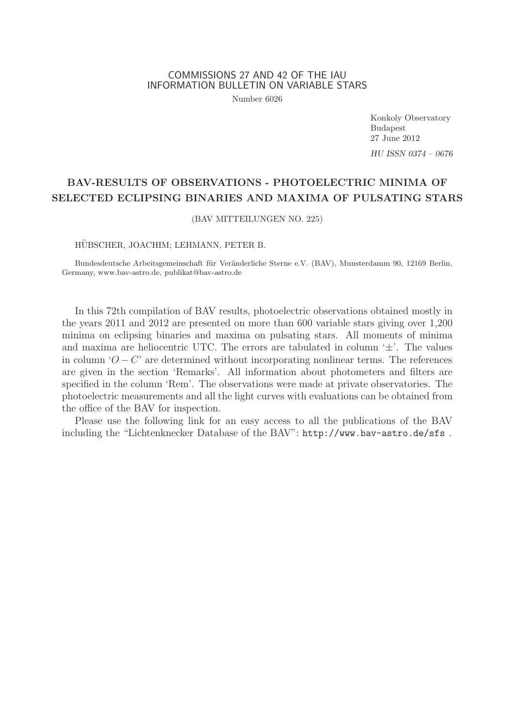## COMMISSIONS 27 AND 42 OF THE IAU INFORMATION BULLETIN ON VARIABLE STARS

Number 6026

Konkoly Observatory Budapest 27 June 2012 HU ISSN 0374 – 0676

# BAV-RESULTS OF OBSERVATIONS - PHOTOELECTRIC MINIMA OF SELECTED ECLIPSING BINARIES AND MAXIMA OF PULSATING STARS

(BAV MITTEILUNGEN NO. 225)

HÜBSCHER, JOACHIM; LEHMANN, PETER B.

Bundesdeutsche Arbeitsgemeinschaft für Veränderliche Sterne e.V. (BAV), Munsterdamm 90, 12169 Berlin, Germany, www.bav-astro.de, publikat@bav-astro.de

In this 72th compilation of BAV results, photoelectric observations obtained mostly in the years 2011 and 2012 are presented on more than 600 variable stars giving over 1,200 minima on eclipsing binaries and maxima on pulsating stars. All moments of minima and maxima are heliocentric UTC. The errors are tabulated in column  $\pm$ . The values in column ' $O - C'$  are determined without incorporating nonlinear terms. The references are given in the section 'Remarks'. All information about photometers and filters are specified in the column 'Rem'. The observations were made at private observatories. The photoelectric measurements and all the light curves with evaluations can be obtained from the office of the BAV for inspection.

Please use the following link for an easy access to all the publications of the BAV including the "Lichtenknecker Database of the BAV": http://www.bav-astro.de/sfs .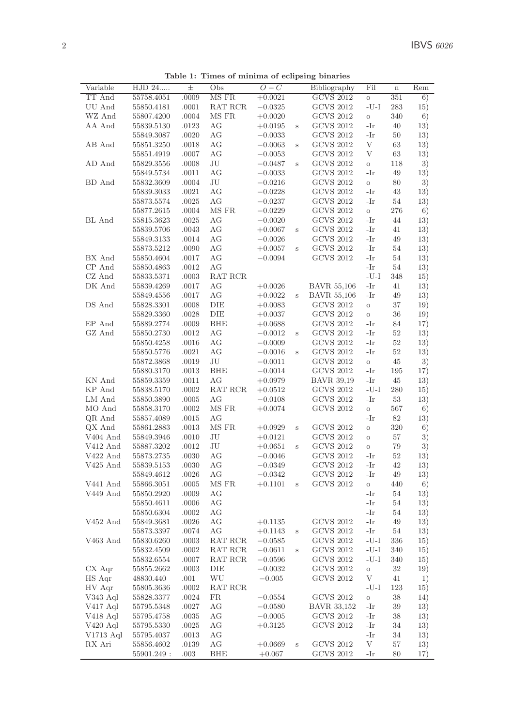|                                                           |                          |               |           |                       |              | ma or componig since res             |              |             |            |
|-----------------------------------------------------------|--------------------------|---------------|-----------|-----------------------|--------------|--------------------------------------|--------------|-------------|------------|
| Variable                                                  | HJD 24                   | $_{\pm}$      | Obs       | $O-C$                 |              | Bibliography                         | Fil          | $\mathbf n$ | Rem        |
| TT And                                                    | 55758.4051               | .0009         | MS FR     | $+0.0021$             |              | <b>GCVS 2012</b>                     | $\circ$      | 351         | 6)         |
| UU And                                                    | 55850.4181               | .0001         | RAT RCR   | $-0.0325$             |              | <b>GCVS 2012</b>                     | $-U-I$       | 283         | 15)        |
| WZ And                                                    | 55807.4200               | .0004         | MS FR     | $+0.0020$             |              | <b>GCVS 2012</b>                     | $\mathbf{o}$ | 340         | 6)         |
| AA And                                                    | 55839.5130               | .0123         | АG        | $+0.0195$             | $\mathbf{s}$ | <b>GCVS 2012</b>                     | -Ir          | 40          | 13)        |
|                                                           | 55849.3087               | .0020         | AG        | $-0.0033$             |              | <b>GCVS 2012</b>                     | -Ir          | 50          | 13)        |
| AB And                                                    | 55851.3250               | .0018         | AG        | $-0.0063$             | s            | <b>GCVS 2012</b>                     | V            | 63          | 13)        |
|                                                           | 55851.4919               | .0007         | AG        | $-0.0053$             |              | <b>GCVS 2012</b>                     | V            | 63          | 13)        |
| AD And                                                    | 55829.3556               | .0008         | JU        | $-0.0487$             | Ś            | GCVS 2012                            | $\rm{O}$     | 118         | 3)         |
|                                                           | 55849.5734               | .0011         | AG        | $-0.0033$             |              | <b>GCVS 2012</b>                     | -Ir          | 49          | 13)        |
| BD And                                                    | 55832.3609               | .0004         | JU        | $-0.0216$             |              | <b>GCVS 2012</b>                     | $\circ$      | 80          | 3)         |
|                                                           |                          | .0021         | АG        |                       |              | <b>GCVS 2012</b>                     | -Ir          | 43          |            |
|                                                           | 55839.3033               |               |           | $-0.0228$             |              |                                      |              |             | 13)        |
|                                                           | 55873.5574               | .0025         | АG        | $-0.0237$             |              | <b>GCVS 2012</b>                     | -Ir          | 54          | 13)        |
|                                                           | 55877.2615               | .0004         | MS FR     | $-0.0229$             |              | <b>GCVS 2012</b>                     | $\rm{O}$     | 276         | 6)         |
| BL And                                                    | 55815.3623               | .0025         | AG        | $-0.0020$             |              | <b>GCVS 2012</b>                     | -Ir          | 44          | 13)        |
|                                                           | 55839.5706               | .0043         | АG        | $+0.0067$             | S            | <b>GCVS 2012</b>                     | -Ir          | 41          | 13)        |
|                                                           | 55849.3133               | .0014         | АG        | $-0.0026$             |              | <b>GCVS 2012</b>                     | -Ir          | 49          | 13)        |
|                                                           | 55873.5212               | .0090         | AG        | $+0.0057$             | S            | <b>GCVS 2012</b>                     | -Ir          | 54          | 13)        |
| BX And                                                    | 55850.4604               | .0017         | AG        | $-0.0094$             |              | <b>GCVS 2012</b>                     | -Ir          | 54          | 13)        |
| CP And                                                    | 55850.4863               | .0012         | АG        |                       |              |                                      | -Ir          | 54          | 13)        |
| $CZ$ And                                                  | 55833.5371               | .0003         | RAT RCR   |                       |              |                                      | $-U-I$       | 348         | 15)        |
| DK And                                                    | 55839.4269               | .0017         | АG        | $+0.0026$             |              | <b>BAVR 55,106</b>                   | -Ir          | 41          | 13)        |
|                                                           | 55849.4556               | .0017         | АG        | $+0.0022$             | Ś            | <b>BAVR 55,106</b>                   | -Ir          | 49          | 13)        |
| DS And                                                    | 55828.3301               | .0008         | DIE       | $+0.0083$             |              | GCVS 2012                            | $\rm{O}$     | 37          | 19)        |
|                                                           | 55829.3360               | .0028         | DIE       | $+0.0037$             |              | <b>GCVS 2012</b>                     | $\rm{O}$     | 36          | 19)        |
| EP And                                                    |                          | .0009         | BHE       |                       |              | <b>GCVS 2012</b>                     | -Ir          | 84          |            |
|                                                           | 55889.2774               |               |           | $+0.0688$             |              |                                      |              |             | 17)        |
| GZ And                                                    | 55850.2730               | .0012         | АG        | $-0.0012$             | S            | GCVS 2012                            | -Ir          | 52          | 13)        |
|                                                           | 55850.4258               | .0016         | АG        | $-0.0009$             |              | <b>GCVS 2012</b>                     | -Ir          | 52          | 13)        |
|                                                           | 55850.5776               | .0021         | АG        | $-0.0016$             | S            | <b>GCVS 2012</b>                     | -Ir          | 52          | 13)        |
|                                                           | 55872.3868               | .0019         | JU        | $-0.0011$             |              | <b>GCVS 2012</b>                     | $\circ$      | 45          | 3)         |
|                                                           | 55880.3170               | .0013         | BHE       | $-0.0014$             |              | <b>GCVS 2012</b>                     | -Ir          | 195         | 17)        |
| KN And                                                    | 55859.3359               | .0011         | AG        | $+0.0979$             |              | <b>BAVR 39,19</b>                    | -Ir          | 45          | 13)        |
| KP And                                                    | 55838.5170               | .0002         | RAT RCR   | $+0.0512$             |              | <b>GCVS 2012</b>                     | $-U-I$       | 280         | 15)        |
| LM And                                                    | 55850.3890               | .0005         | АG        | $-0.0108$             |              | <b>GCVS 2012</b>                     | -Ir          | 53          | 13)        |
| MO And                                                    | 55858.3170               | .0002         | MS FR     | $+0.0074$             |              | <b>GCVS 2012</b>                     | $\circ$      | 567         | 6)         |
| QR And                                                    | 55857.4089               | .0015         | АG        |                       |              |                                      | -Ir          | 82          | 13)        |
| QX And                                                    | 55861.2883               | .0013         | MS FR     | $+0.0929$             | $\rm s$      | <b>GCVS 2012</b>                     | $\circ$      | 320         | 6)         |
| $V404$ And                                                | 55849.3946               | .0010         | JU        | $+0.0121$             |              | <b>GCVS 2012</b>                     | $\mathcal O$ | 57          | 3)         |
| V412 And                                                  | 55887.3202               | .0012         | JU        | $+0.0651$             | $\rm s$      | GCVS 2012                            | $\rm{O}$     | 79          | 3)         |
| V422 And                                                  | 55873.2735               | .0030         | АG        | $-0.0046$             |              | <b>GCVS 2012</b>                     | -Ir          | 52          | 13)        |
| $V425$ And                                                | 55839.5153               | .0030         | AG        | $-0.0349$             |              | <b>GCVS 2012</b>                     | -Ir          | 42          |            |
|                                                           |                          |               |           |                       |              | <b>GCVS 2012</b>                     |              |             | 13)        |
|                                                           | 55849.4612               | .0026         | АG        | $-0.0342$             |              |                                      | -Ir          | 49          | 13)        |
| V441 And                                                  | 55866.3051               | .0005         | MS FR     | $+0.1101$             | S            | <b>GCVS 2012</b>                     | $\rm{O}$     | 440         | 6)         |
| V449 And                                                  | 55850.2920               | .0009         | AG        |                       |              |                                      | -Ir          | 54          | 13)        |
|                                                           | 55850.4611               | .0006         | АG        |                       |              |                                      | -Ir          | 54          | 13)        |
|                                                           | 55850.6304               | .0002         | АG        |                       |              |                                      | -Ir          | 54          | 13)        |
| V452 And                                                  | 55849.3681               | .0026         | АG        | $+0.1135$             |              | <b>GCVS 2012</b>                     | -Ir          | 49          | 13)        |
|                                                           | 55873.3397               | .0074         | АG        | $+0.1143$             | S            | <b>GCVS 2012</b>                     | -Ir          | 54          | 13)        |
| V463 And                                                  | 55830.6260               | .0003         | RAT RCR   | $-0.0585$             |              | <b>GCVS 2012</b>                     | $-U-I$       | 336         | 15)        |
|                                                           | 55832.4509               | .0002         | RAT RCR   | $-0.0611$             | s            | <b>GCVS 2012</b>                     | $-I-J$       | 340         | 15)        |
|                                                           | 55832.6554               | .0007         | RAT RCR   | $-0.0596$             |              | <b>GCVS 2012</b>                     | $-U-I$       | 340         | 15)        |
| $CX$ Aqr                                                  | 55855.2662               | .0003         | DIE       | $-0.0032$             |              | <b>GCVS 2012</b>                     | $\mathcal O$ | 32          | 19)        |
| HS Aqr                                                    | 48830.440                | .001          | WU        | $-0.005$              |              | <b>GCVS 2012</b>                     | V            | 41          | 1)         |
| HV Aqr                                                    | 55805.3636               | .0002         | RAT RCR   |                       |              |                                      | $-U-I$       | 123         | 15)        |
|                                                           |                          |               | <b>FR</b> |                       |              | <b>GCVS 2012</b>                     |              | 38          |            |
| V343 Aql                                                  | 55828.3377               | .0024         |           | $-0.0554$             |              |                                      | $\rm _O$     |             | 14)        |
|                                                           | 55795.5348               | .0027         | AG        | $-0.0580$             |              | <b>BAVR 33,152</b>                   | -Ir          | 39          | 13)        |
|                                                           |                          |               |           |                       |              | GCVS 2012                            | -Ir          | 38          | 13)        |
|                                                           | 55795.4758               | .0035         | АG        | $-0.0005$             |              |                                      |              |             |            |
|                                                           | 55795.5330               | .0025         | АG        | $+0.3125$             |              | <b>GCVS 2012</b>                     | -Ir          | 34          | 13)        |
|                                                           | 55795.4037               | .0013         | AG        |                       |              |                                      | -Ir          | 34          | 13)        |
| $V417$ Aql<br>V418 Aql<br>V420 Aql<br>V1713 Aql<br>RX Ari | 55856.4602<br>55901.249: | .0139<br>.003 | АG<br>BHE | $+0.0669$<br>$+0.067$ | S            | <b>GCVS 2012</b><br><b>GCVS 2012</b> | V<br>-Ir     | 57<br>80    | 13)<br>17) |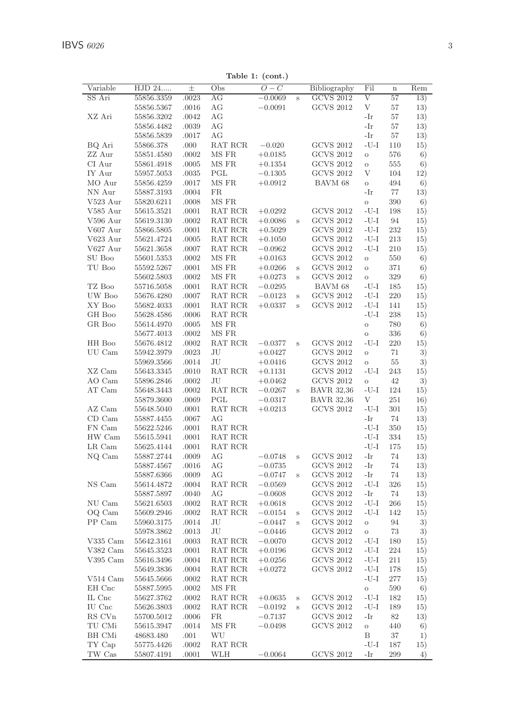Table 1: (cont.)

| Variable         | HJD 24                   | $_{\pm}$       | Obs                | $O-C$     |              | Bibliography                         | Fil              | $\bf n$    | Rem      |
|------------------|--------------------------|----------------|--------------------|-----------|--------------|--------------------------------------|------------------|------------|----------|
| SS Ari           | 55856.3359               | .0023          | AG                 | $-0.0069$ | S            | <b>GCVS 2012</b>                     | V                | 57         | 13)      |
|                  | 55856.5367               | .0016          | AG                 | $-0.0091$ |              | <b>GCVS 2012</b>                     | V                | 57         | 13)      |
| XZ Ari           | 55856.3202               | .0042          | AG                 |           |              |                                      | -Ir              | 57         | 13)      |
|                  | 55856.4482               | .0039          | AG                 |           |              |                                      | -Ir              | 57         | 13)      |
|                  | 55856.5839               | .0017          | AG                 |           |              |                                      | -Ir              | 57         | 13)      |
| BQ Ari           | 55866.378                | .000           | RAT RCR            | $-0.020$  |              | <b>GCVS 2012</b>                     | $-U-I$           | 110        | 15)      |
| ZZ Aur           | 55851.4580               | .0002          | MS FR              | $+0.0185$ |              | <b>GCVS 2012</b>                     | $\rm{O}$         | 576        | 6)       |
| CI Aur           | 55861.4918               | .0005          | MS FR              | $+0.1354$ |              | GCVS 2012                            | $\circ$          | 555        | 6)       |
| IY Aur           | 55957.5053               | .0035          | PGL                | $-0.1305$ |              | <b>GCVS 2012</b>                     | V                | 104        | 12)      |
| MO Aur           | 55856.4259               | .0017          | MS FR              | $+0.0912$ |              | BAVM 68                              | $\circ$          | 494        | 6)       |
| NN Aur           | 55887.3193               | .0004          | <b>FR</b>          |           |              |                                      | -Ir              | 77         | 13)      |
| V523 Aur         | 55820.6211               | .0008          | MS FR              |           |              |                                      | $\rm{O}$         | 390        | 6)       |
| V585 Aur         | 55615.3521               | .0001          | RAT RCR            | $+0.0292$ |              | <b>GCVS 2012</b>                     | $-U-I$           | 198        | 15)      |
| $V596$ Aur       | 55619.3130               | .0002          | RAT RCR            | $+0.0086$ | s            | <b>GCVS 2012</b>                     | $-U-I$           | 94         | 15)      |
| V607 Aur         | 55866.5805               | .0001          | RAT RCR            | $+0.5029$ |              | <b>GCVS 2012</b>                     | $-U-I$           | 232        | 15)      |
| V623 Aur         | 55621.4724               | .0005          | RAT RCR            | $+0.1050$ |              | <b>GCVS 2012</b>                     | $-U-I$           | 213        | 15)      |
| V627 Aur         | 55621.3658               | .0007          | RAT RCR            | $-0.0962$ |              | <b>GCVS 2012</b>                     | $-U-I$           | 210        | 15)      |
| SU Boo           | 55601.5353               | .0002          | MS FR              | $+0.0163$ |              | <b>GCVS 2012</b>                     | $\circ$          | 550        | 6)       |
| TU Boo           | 55592.5267               | .0001          | MS FR<br>MS FR     | $+0.0266$ | S            | <b>GCVS 2012</b><br><b>GCVS 2012</b> | $\circ$          | 371        | 6)       |
| TZ Boo           | 55602.5803               | .0002          |                    | $+0.0273$ | S            | BAVM 68                              | $\circ$          | 329        | 6)       |
|                  | 55716.5058               | .0001          | RAT RCR            | $-0.0295$ |              |                                      | $-U-I$<br>$-U-I$ | 185        | 15)      |
| UW Boo<br>XY Boo | 55676.4280               | .0007<br>.0001 | RAT RCR<br>RAT RCR | $-0.0123$ | S            | <b>GCVS 2012</b><br><b>GCVS 2012</b> | $-U-I$           | 220        | 15)      |
|                  | 55682.4033               |                |                    | $+0.0337$ | S            |                                      | $-U-I$           | 141        | 15)      |
| GH Boo<br>GR Boo | 55628.4586<br>55614.4970 | .0006<br>.0005 | RAT RCR<br>MS FR   |           |              |                                      | $\circ$          | 238<br>780 | 15)      |
|                  | 55677.4013               | .0002          | MS FR              |           |              |                                      | $\circ$          | 336        | 6)<br>6) |
| HH Boo           | 55676.4812               | .0002          | RAT RCR            | $-0.0377$ | S            | <b>GCVS 2012</b>                     | $-U-I$           | 220        | 15)      |
| UU Cam           | 55942.3979               | .0023          | JU                 | $+0.0427$ |              | <b>GCVS 2012</b>                     | $\circ$          | 71         | 3)       |
|                  | 55969.3566               | .0014          | JU                 | $+0.0416$ |              | <b>GCVS 2012</b>                     | $\circ$          | 55         | 3)       |
| XZ Cam           | 55643.3345               | .0010          | RAT RCR            | $+0.1131$ |              | <b>GCVS 2012</b>                     | -U-I             | 243        | 15)      |
| AO Cam           | 55896.2846               | .0002          | JU                 | $+0.0462$ |              | <b>GCVS 2012</b>                     | $\rm{O}$         | 42         | 3)       |
| AT Cam           | 55648.3443               | .0002          | RAT RCR            | $-0.0267$ | $\mathbf{s}$ | <b>BAVR 32.36</b>                    | $-U-I$           | 124        | 15)      |
|                  | 55879.3600               | .0069          | PGL                | $-0.0317$ |              | <b>BAVR</b> 32,36                    | V                | 251        | 16)      |
| AZ Cam           | 55648.5040               | .0001          | RAT RCR            | $+0.0213$ |              | <b>GCVS 2012</b>                     | $-U-I$           | 301        | 15)      |
| $CD$ Cam         | 55887.4455               | .0067          | АG                 |           |              |                                      | -Ir              | 74         | 13)      |
| FN Cam           | 55622.5246               | .0001          | RAT RCR            |           |              |                                      | $-U-I$           | 350        | 15)      |
| HW Cam           | 55615.5941               | .0001          | RAT RCR            |           |              |                                      | $-U-I$           | 334        | 15)      |
| LR Cam           | 55625.4144               | .0001          | RAT RCR            |           |              |                                      | $-U-I$           | 175        | 15)      |
| NQ Cam           | 55887.2744               | .0009          | AG                 | $-0.0748$ | S            | <b>GCVS 2012</b>                     | -Ir              | 74         | 13)      |
|                  | 55887.4567               | .0016          | AG                 | $-0.0735$ |              | <b>GCVS 2012</b>                     | -Ir              | 74         | 13)      |
|                  | 55887.6366               | .0009          | АG                 | $-0.0747$ | S            | <b>GCVS 2012</b>                     | -Ir              | 74         | 13)      |
| NS Cam           | 55614.4872               | .0004          | RAT RCR            | $-0.0569$ |              | <b>GCVS 2012</b>                     | $-U-I$           | 326        | 15)      |
|                  | 55887.5897               | .0040          | AG                 | $-0.0608$ |              | <b>GCVS 2012</b>                     | -Ir              | 74         | 13)      |
| NU Cam           | 55621.6503               | $.0002\,$      | RAT RCR            | $+0.0618$ |              | <b>GCVS 2012</b>                     | $-U-I$           | 266        | 15)      |
| OQ Cam           | 55609.2946               | .0002          | RAT RCR            | $-0.0154$ | S            | <b>GCVS 2012</b>                     | $-U-I$           | 142        | 15)      |
| PP Cam           | 55960.3175               | .0014          | JU                 | $-0.0447$ | $\mathbf{s}$ | <b>GCVS 2012</b>                     | $\circ$          | 94         | 3)       |
|                  | 55978.3862               | .0013          | JU                 | $-0.0446$ |              | <b>GCVS 2012</b>                     | $\circ$          | 73         | 3)       |
| V335 Cam         | 55642.3161               | .0003          | RAT RCR            | $-0.0070$ |              | <b>GCVS 2012</b>                     | $-U-I$           | 180        | 15)      |
| V382 Cam         | 55645.3523               | .0001          | RAT RCR            | $+0.0196$ |              | <b>GCVS 2012</b>                     | $-U-I$           | 224        | 15)      |
| V395 Cam         | 55616.3496               | .0004          | RAT RCR            | $+0.0256$ |              | <b>GCVS 2012</b>                     | $-U-I$           | 211        | 15)      |
|                  | 55649.3836               | .0004          | RAT RCR            | $+0.0272$ |              | <b>GCVS 2012</b>                     | $-U-I$           | 178        | 15)      |
| V514 Cam         | 55645.5666               | .0002          | RAT RCR            |           |              |                                      | $-U-I$           | 277        | 15)      |
| EH Cnc           | 55887.5995               | .0002          | MS FR              |           |              |                                      | $\rm{O}$         | 590        | 6)       |
| IL Cnc           | 55627.3762               | .0002          | RAT RCR            | $+0.0635$ | S            | <b>GCVS 2012</b>                     | $-U-I$           | 182        | 15)      |
| IU Cnc           | 55626.3803               | .0002          | RAT RCR            | $-0.0192$ | S            | <b>GCVS 2012</b>                     | $-U-I$           | 189        | 15)      |
| RS CVn           | 55700.5012               | .0006          | FR.                | $-0.7137$ |              | <b>GCVS 2012</b>                     | -Ir              | 82         | 13)      |
| TU CMi           | 55615.3947               | .0014          | MS FR              | $-0.0498$ |              | <b>GCVS 2012</b>                     | $\circ$          | 440        | 6)       |
| BH CMi           | 48683.480                | .001           | WU                 |           |              |                                      | Β                | 37         | 1)       |
| TY Cap           | 55775.4426               | .0002          | RAT RCR            |           |              |                                      | $-U-I$           | 187        | 15)      |
| TW Cas           |                          |                |                    |           |              | <b>GCVS 2012</b>                     |                  |            |          |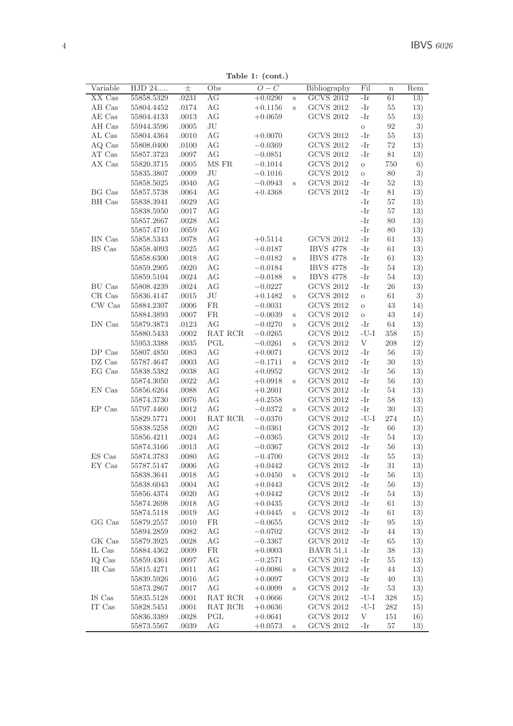Table 1: (cont.)

| Variable      | HJD 24     | 士         | Obs          | $O-C$     |         | Bibliography     | Fil                      | $\mathbf n$ | Rem |
|---------------|------------|-----------|--------------|-----------|---------|------------------|--------------------------|-------------|-----|
| XX Cas        | 55858.5329 | .0231     | AG           | $+0.0290$ | S       | <b>GCVS 2012</b> | -Ir                      | 61          | 13) |
| AB Cas        | 55804.4452 | .0174     | AG           | $+0.1156$ | s       | <b>GCVS 2012</b> | -Ir                      | 55          | 13) |
| AE Cas        | 55804.4133 | .0013     | AG           | $+0.0659$ |         | <b>GCVS 2012</b> | -Ir                      | 55          | 13) |
| AH Cas        | 55944.3596 | .0005     | JU           |           |         |                  | $\rm _O$                 | 92          | 3)  |
| AL Cas        | 55804.4364 | .0010     | AG           | $+0.0070$ |         | <b>GCVS 2012</b> | -Ir                      | 55          | 13) |
| AQ Cas        | 55808.0400 | .0100     | AG           | $-0.0369$ |         | <b>GCVS 2012</b> | -Ir                      | 72          | 13) |
| AT Cas        | 55857.3723 | .0097     | AG           | $-0.0851$ |         | <b>GCVS 2012</b> | -Ir                      | 81          | 13) |
| AX Cas        | 55820.3715 | .0005     | MS FR        | $-0.1014$ |         | <b>GCVS 2012</b> | $\circ$                  | 750         | 6)  |
|               | 55835.3807 | .0009     | JU           | $-0.1016$ |         | <b>GCVS 2012</b> | $\rm{O}$                 | 80          | 3)  |
|               | 55858.5025 | .0040     | AG           | $-0.0943$ | $\rm s$ | <b>GCVS 2012</b> | -Ir                      | 52          | 13) |
| BG Cas        | 55857.5738 | .0064     | AG           | $+0.4368$ |         | <b>GCVS 2012</b> | -Ir                      | 81          | 13) |
| BH Cas        | 55838.3941 | .0029     | AG           |           |         |                  | -Ir                      | 57          | 13) |
|               | 55838.5950 | .0017     | AG           |           |         |                  | -Ir                      | 57          | 13) |
|               | 55857.2667 | .0028     | AG           |           |         |                  | -Ir                      | 80          | 13) |
|               | 55857.4710 | .0059     | AG           |           |         |                  | -Ir                      | 80          | 13) |
| BN Cas        | 55858.5343 | .0078     | AG           | $+0.5114$ |         | <b>GCVS 2012</b> | -Ir                      | 61          | 13) |
| BS Cas        | 55858.4093 | .0025     | AG           | $-0.0187$ |         | <b>IBVS 4778</b> | -Ir                      | 61          | 13) |
|               |            |           |              |           |         |                  |                          |             |     |
|               | 55858.6300 | .0018     | AG           | $-0.0182$ | $\rm s$ | <b>IBVS 4778</b> | -Ir                      | 61          | 13) |
|               | 55859.2905 | .0020     | AG           | $-0.0184$ |         | <b>IBVS 4778</b> | -Ir                      | 54          | 13) |
|               | 55859.5104 | .0024     | AG           | $-0.0188$ | $\rm s$ | <b>IBVS 4778</b> | -Ir                      | 54          | 13) |
| <b>BU</b> Cas | 55808.4239 | .0024     | AG           | $-0.0227$ |         | <b>GCVS 2012</b> | -Ir                      | 26          | 13) |
| CR Cas        | 55836.4147 | .0015     | JU           | $+0.1482$ | $\rm s$ | <b>GCVS 2012</b> | $\circ$                  | 61          | 3)  |
| CW Cas        | 55884.2307 | .0006     | <b>FR</b>    | $-0.0031$ |         | <b>GCVS 2012</b> | $\circ$                  | 43          | 14) |
|               | 55884.3893 | .0007     | <b>FR</b>    | $-0.0039$ | $\,$ s  | <b>GCVS 2012</b> | $\circ$                  | 43          | 14) |
| DN Cas        | 55879.3873 | .0123     | AG           | $-0.0270$ | S       | <b>GCVS 2012</b> | -Ir                      | 64          | 13) |
|               | 55880.5433 | .0002     | RAT RCR      | $-0.0265$ |         | <b>GCVS 2012</b> | $\mathbf{-U}\mathbf{-I}$ | 358         | 15) |
|               | 55953.3388 | .0035     | $_{\rm PGL}$ | $-0.0261$ | s       | <b>GCVS 2012</b> | V                        | 208         | 12) |
| DP Cas        | 55807.4850 | .0083     | AG           | $+0.0071$ |         | <b>GCVS 2012</b> | -Ir                      | 56          | 13) |
| DZ Cas        | 55787.4647 | .0003     | AG           | $-0.1711$ | s       | <b>GCVS 2012</b> | -Ir                      | 30          | 13) |
| EG Cas        | 55838.5382 | .0038     | AG           | $+0.0952$ |         | <b>GCVS 2012</b> | -Ir                      | 56          | 13) |
|               | 55874.3050 | .0022     | AG           | $+0.0918$ | $\rm s$ | <b>GCVS 2012</b> | -Ir                      | 56          | 13) |
| EN Cas        | 55856.6264 | .0088     | AG           | $+0.2601$ |         | <b>GCVS 2012</b> | -Ir                      | 54          | 13) |
|               | 55874.3730 | $.0076\,$ | AG           | $+0.2558$ |         | <b>GCVS 2012</b> | -Ir                      | 58          | 13) |
| EP Cas        | 55797.4460 | .0012     | AG           | $-0.0372$ | $\,$ s  | <b>GCVS 2012</b> | -Ir                      | $30\,$      | 13) |
|               | 55829.5771 | .0001     | RAT RCR      | $-0.0370$ |         | <b>GCVS 2012</b> | $-U-I$                   | 274         | 15) |
|               | 55838.5258 | .0020     | AG           | $-0.0361$ |         | <b>GCVS 2012</b> | -Ir                      | 66          | 13) |
|               | 55856.4211 | $.0024\,$ | AG           | $-0.0365$ |         | <b>GCVS 2012</b> | -Ir                      | 54          | 13) |
|               | 55874.3166 | .0013     | AG           | $-0.0367$ |         | <b>GCVS 2012</b> | -Ir                      | 56          | 13) |
| ES Cas        | 55874.3783 | .0080     | AG           | $-0.4700$ |         | <b>GCVS 2012</b> | -Ir                      | 55          | 13) |
| EY Cas        | 55787.5147 | .0006     | AG           | $+0.0442$ |         | <b>GCVS 2012</b> | -Ir                      | 31          | 13) |
|               | 55838.3641 | .0018     | AG           | $+0.0450$ | $\rm s$ | <b>GCVS 2012</b> | -Ir                      | 56          | 13) |
|               | 55838.6043 | .0004     | AG           | $+0.0443$ |         | <b>GCVS 2012</b> | -Ir                      | 56          | 13) |
|               | 55856.4374 | .0020     | AG           | $+0.0442$ |         | <b>GCVS 2012</b> | -Ir                      | 54          | 13) |
|               | 55874.2698 | .0018     | AG           | $+0.0435$ |         | <b>GCVS 2012</b> | -Ir                      | 61          | 13) |
|               | 55874.5118 | .0019     | AG           |           |         | <b>GCVS 2012</b> | -Ir                      | 61          |     |
|               |            |           |              | $+0.0445$ | $\rm s$ |                  |                          |             | 13) |
| GG Cas        | 55879.2557 | .0010     | FR           | $-0.0655$ |         | GCVS 2012        | -Ir                      | 95          | 13) |
|               | 55894.2859 | .0082     | AG           | $-0.0702$ |         | <b>GCVS 2012</b> | -Ir                      | 44          | 13) |
| GK Cas        | 55879.3925 | .0028     | AG           | $-0.3367$ |         | <b>GCVS 2012</b> | -Ir                      | 65          | 13) |
| IL Cas        | 55884.4362 | .0009     | FR           | $+0.0003$ |         | <b>BAVR 51,1</b> | -Ir                      | 38          | 13) |
| IQ Cas        | 55859.4361 | .0097     | AG           | $-0.2571$ |         | <b>GCVS 2012</b> | -Ir                      | 55          | 13) |
| IR Cas        | 55815.4271 | .0011     | AG           | $+0.0086$ | $\rm s$ | <b>GCVS 2012</b> | -Ir                      | 44          | 13) |
|               | 55839.5926 | .0016     | AG           | $+0.0097$ |         | <b>GCVS 2012</b> | -Ir                      | 40          | 13) |
|               | 55873.2867 | .0017     | AG           | $+0.0099$ | $\,$ s  | <b>GCVS 2012</b> | -Ir                      | 53          | 13) |
| IS Cas        | 55835.5128 | .0001     | RAT RCR      | $+0.0666$ |         | <b>GCVS 2012</b> | $-U-I$                   | 328         | 15) |
| IT Cas        | 55828.5451 | .0001     | RAT RCR      | $+0.0636$ |         | <b>GCVS 2012</b> | $-U-I$                   | 282         | 15) |
|               | 55836.3389 | .0028     | PGL          | $+0.0641$ |         | <b>GCVS 2012</b> | V                        | 151         | 16) |
|               |            |           |              |           |         | <b>GCVS 2012</b> |                          |             | 13) |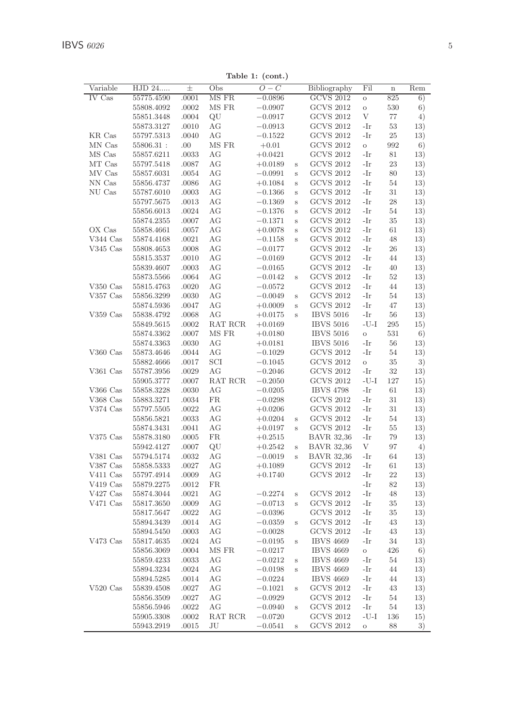| Variable   | $\overline{\mathrm{HJD}}$ 24 | $_{\pm}$       | Obs           | $O-C$                  |         | Bibliography                         | Fil           | $\bf n$   | Rem        |
|------------|------------------------------|----------------|---------------|------------------------|---------|--------------------------------------|---------------|-----------|------------|
| IV Cas     | 55775.4590                   | .0001          | MS FR         | $-0.0896$              |         | <b>GCVS 2012</b>                     | $\circ$       | 825       | 6)         |
|            | 55808.4092                   | .0002          | MS FR         | $-0.0907$              |         | <b>GCVS 2012</b>                     | $\circ$       | 530       | 6)         |
|            | 55851.3448                   | .0004          | QU            | $-0.0917$              |         | <b>GCVS 2012</b>                     | V             | 77        | 4)         |
|            | 55873.3127                   | .0010          | AG            | $-0.0913$              |         | <b>GCVS 2012</b>                     | -Ir           | 53        | 13)        |
| KR Cas     | 55797.5313                   | .0040          | AG            | $-0.1522$              |         | <b>GCVS 2012</b>                     | -Ir           | 25        | 13)        |
| MN Cas     | $55806.31\,$ :               | .00.           | MS FR         | $+0.01$                |         | <b>GCVS 2012</b>                     | $\circ$       | 992       | 6)         |
| MS Cas     | 55857.6211                   | .0033          | AG            | $+0.0421$              |         | <b>GCVS 2012</b>                     | -Ir           | 81        | 13)        |
| MT Cas     | 55797.5418                   | .0087          | AG            | $+0.0189$              | S       | <b>GCVS 2012</b>                     | -Ir           | 23        | 13)        |
| MV Cas     | 55857.6031                   | .0054          | AG            | $-0.0991$              | S       | <b>GCVS 2012</b>                     | -Ir           | 80        | 13)        |
| NN Cas     | 55856.4737                   | .0086          | AG            | $+0.1084$              | S       | <b>GCVS 2012</b>                     | -Ir           | 54        | 13)        |
| NU Cas     | 55787.6010                   | .0003          | AG            | $-0.1366$              | S       | <b>GCVS 2012</b>                     | -Ir           | 31        | 13)        |
|            | 55797.5675                   | .0013          | AG            | $-0.1369$              | Ś       | <b>GCVS 2012</b>                     | -Ir           | 28        | 13)        |
|            | 55856.6013                   | .0024          | AG            | $-0.1376$              | S       | <b>GCVS 2012</b>                     | -Ir           | 54        | 13)        |
|            | 55874.2355                   | .0007          | AG            | $-0.1371$              | S       | <b>GCVS 2012</b>                     | -Ir           | 35        | 13)        |
| OX Cas     | 55858.4661                   | .0057          | AG            | $+0.0078$              | S       | <b>GCVS 2012</b>                     | -Ir           | 61        | 13)        |
| V344 Cas   | 55874.4168                   | .0021          | AG            | $-0.1158$              | S       | <b>GCVS 2012</b>                     | -Ir           | 48        | 13)        |
| $V345$ Cas | 55808.4653                   | .0008          | AG            | $-0.0177$              |         | <b>GCVS 2012</b>                     | -Ir           | 26        | 13)        |
|            | 55815.3537                   | .0010          | AG            | $-0.0169$              |         | <b>GCVS 2012</b>                     | -Ir           | 44        | 13)        |
|            | 55839.4607                   | .0003          | AG            | $-0.0165$              |         | <b>GCVS 2012</b>                     | -Ir           | 40        | 13)        |
|            | 55873.5566                   | .0064          | AG            | $-0.0142$              | $\rm s$ | <b>GCVS 2012</b>                     | -Ir           | $52\,$    | 13)        |
| $V350$ Cas | 55815.4763                   | .0020          | AG            | $-0.0572$              |         | <b>GCVS 2012</b>                     | -Ir           | 44        | 13)        |
| V357 Cas   | 55856.3299                   | .0030          | AG            | $-0.0049$              | S       | <b>GCVS 2012</b>                     | -Ir           | 54        | 13)        |
|            | 55874.5936                   | .0047          | AG            | $+0.0009$              | S       | <b>GCVS 2012</b>                     | -Ir           | 47        | 13)        |
| $V359$ Cas | 55838.4792                   | .0068          | AG            | $+0.0175$              | S       | <b>IBVS 5016</b>                     | -Ir           | 56        | 13)        |
|            | 55849.5615                   | .0002          | RAT RCR       | $+0.0169$              |         | <b>IBVS 5016</b>                     | $-U-I$        | 295       | 15)        |
|            | 55874.3362                   | .0007          | MS FR         | $+0.0180$              |         | <b>IBVS 5016</b>                     | $\circ$       | 531       | 6)         |
|            | 55874.3363                   | .0030          | AG            | $+0.0181$              |         | <b>IBVS 5016</b>                     | -Ir           | 56        | 13)        |
| $V360$ Cas | 55873.4646                   | .0044          | AG            | $-0.1029$              |         | <b>GCVS 2012</b>                     | -Ir           | 54        | 13)        |
|            | 55882.4666                   | .0017          | SCI           | $-0.1045$              |         | <b>GCVS 2012</b>                     | $\circ$       | 35        | 3)         |
| V361 Cas   | 55787.3956                   | .0029          | AG            | $-0.2046$              |         | <b>GCVS 2012</b>                     | -Ir           | $32\,$    | 13)        |
|            | 55905.3777                   | .0007          | RAT RCR       | $-0.2050$              |         | <b>GCVS 2012</b>                     | $-U-I$        | 127       | 15)        |
| V366 Cas   | 55858.3228                   | .0030          | AG            | $-0.0205$              |         | <b>IBVS 4798</b>                     | -Ir           | 61        | 13)        |
| V368 Cas   | 55883.3271                   | .0034          | <b>FR</b>     | $-0.0298$              |         | <b>GCVS 2012</b>                     | -Ir           | 31        | 13)        |
| $V374$ Cas | 55797.5505                   | .0022          | AG            | $+0.0206$              |         | <b>GCVS 2012</b>                     | -Ir           | 31        | 13)        |
|            | 55856.5821                   | .0033          | AG            | $+0.0204$              | S       | <b>GCVS 2012</b>                     | -Ir           | 54        | 13)        |
|            | 55874.3431                   | .0041          | AG            | $+0.0197$              | Ś       | <b>GCVS 2012</b>                     | -Ir           | 55        | 13)        |
| $V375$ Cas | 55878.3180                   | .0005          | <b>FR</b>     | $+0.2515$              |         | <b>BAVR 32,36</b>                    | -Ir           | 79        | 13)        |
|            | 55942.4127                   | .0007          | QU            | $+0.2542$              | S       | <b>BAVR 32,36</b>                    | V             | 97        | 4)         |
| V381 Cas   | 55794.5174                   | .0032          | AG            | $-0.0019$              | Ś       | <b>BAVR 32,36</b>                    | -Ir           | 64        | 13)        |
| V387 Cas   | 55858.5333                   | .0027          | AG            | $+0.1089$              |         | <b>GCVS 2012</b>                     | -Ir           | 61        | 13)        |
| V411 Cas   | 55797.4914                   | .0009          | AG            | $+0.1740$              |         | <b>GCVS 2012</b>                     | -Ir           | 22        | 13)        |
| $V419$ Cas | 55879.2275                   | .0012          | <b>FR</b>     |                        |         |                                      | -Ir           | 82        | 13)        |
| $V427$ Cas | 55874.3044                   | .0021          | AG            | $-0.2274$              | S       | <b>GCVS 2012</b>                     | -Ir           | 48        | 13)        |
| V471 Cas   | 55817.3650                   | .0009          | AG            | $-0.0713$              | S       | <b>GCVS 2012</b>                     | -Ir           | 35        | 13)        |
|            | 55817.5647                   | .0022          | AG            | $-0.0396$              |         | <b>GCVS 2012</b>                     | -Ir           | 35        | 13)        |
|            | 55894.3439                   | .0014          | AG            | $-0.0359$              | S       | <b>GCVS 2012</b>                     | -Ir           | 43        | 13)        |
|            | 55894.5450                   | .0003          | AG            | $-0.0028$              |         | <b>GCVS 2012</b>                     | -Ir           | 43        | 13)        |
| V473 Cas   | 55817.4635                   | .0024          | AG            | $-0.0195$              | S       | <b>IBVS 4669</b>                     | -Ir           | 34        | 13)        |
|            | 55856.3069                   | .0004          | MS FR         | $-0.0217$              |         | <b>IBVS 4669</b>                     | $\circ$       | 426       | 6)         |
|            | 55859.4233                   | .0033          | AG            | $-0.0212$              | S       | <b>IBVS 4669</b>                     | -Ir           | 54        | 13)        |
|            |                              | .0024          | AG            | $-0.0198$              | S       | <b>IBVS 4669</b>                     | -Ir           | 44        | 13)        |
|            |                              |                |               |                        |         | <b>IBVS 4669</b>                     |               |           |            |
|            | 55894.3234                   |                |               |                        |         |                                      |               |           |            |
|            | 55894.5285                   | .0014          | AG            | $-0.0224$              |         |                                      | -Ir           | 44        | 13)        |
| $V520$ Cas | 55839.4508                   | .0027          | AG            | $-0.1021$              | S       | <b>GCVS 2012</b>                     | -Ir           | 43        | 13)        |
|            | 55856.3509                   | .0027          | AG            | $-0.0929$              |         | <b>GCVS 2012</b>                     | -Ir           | 54        | 13)        |
|            | 55856.5946<br>55905.3308     | .0022<br>.0002 | AG<br>RAT RCR | $-0.0940$<br>$-0.0720$ | S       | <b>GCVS 2012</b><br><b>GCVS 2012</b> | -Ir<br>$-U-I$ | 54<br>136 | 13)<br>15) |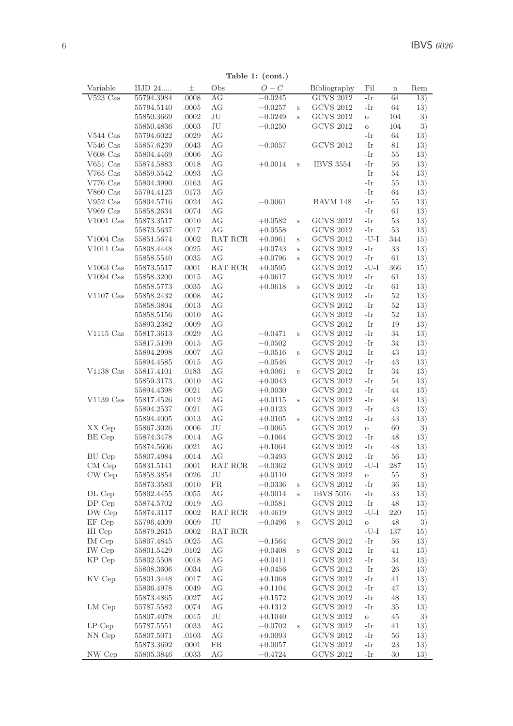Table 1: (cont.)

| $V523$ Cas<br>55794.3984<br>AG<br><b>GCVS 2012</b><br>-Ir<br>.0008<br>$-0.0245$<br>64<br>13)<br>AG<br><b>GCVS 2012</b><br>55794.5140<br>.0005<br>$-0.0257$<br>-Ir<br>64<br>13)<br>S<br>JU<br><b>GCVS 2012</b><br>104<br>3)<br>55850.3669<br>.0002<br>$-0.0249$<br>$\circ$<br>S<br>JU<br><b>GCVS 2012</b><br>55850.4836<br>.0003<br>$-0.0250$<br>104<br>3)<br>$\circ$<br>AG<br>$V544$ Cas<br>55794.6022<br>.0029<br>-Ir<br>64<br>13)<br><b>GCVS 2012</b><br>-Ir<br>$V546$ Cas<br>55857.6239<br>.0043<br>АG<br>$-0.0057$<br>81<br>13)<br>V608 Cas<br>55804.4469<br>.0006<br>АG<br>-Ir<br>55<br>13)<br><b>IBVS 3554</b><br>$V651$ Cas<br>55874.5883<br>.0018<br>АG<br>$+0.0014$<br>S<br>-Ir<br>56<br>13)<br>$V765$ Cas<br>AG<br>55859.5542<br>.0093<br>-Ir<br>54<br>13)<br>AG<br>-Ir<br>$V776$ Cas<br>55804.3990<br>.0163<br>55<br>13)<br>V860 Cas<br>AG<br>-Ir<br>55794.4123<br>.0173<br>64<br>13)<br>AG<br>$V952$ Cas<br>55804.5716<br>.0024<br>$-0.0061$<br>BAVM 148<br>-Ir<br>55<br>13)<br>V969 Cas<br>55858.2634<br>.0074<br>АG<br>-Ir<br>61<br>13)<br>AG<br><b>GCVS 2012</b><br>-Ir<br>$V1001$ Cas<br>55873.3517<br>.0010<br>$+0.0582$<br>53<br>13)<br>$\mathbf{s}$<br>55873.5637<br>.0017<br>АG<br>$+0.0558$<br><b>GCVS 2012</b><br>-Ir<br>53<br>13)<br>RAT RCR<br><b>GCVS 2012</b><br>$-U-I$<br>$V1004$ Cas<br>55851.5674<br>.0002<br>$+0.0961$<br>344<br>15)<br>S<br><b>GCVS 2012</b><br>-Ir<br>33<br>$V1011$ Cas<br>55808.4448<br>.0025<br>АG<br>$+0.0743$<br>13)<br>S<br>AG<br><b>GCVS 2012</b><br>55858.5540<br>.0035<br>$+0.0796$<br>-Ir<br>61<br>13)<br>S<br>RAT RCR<br><b>GCVS 2012</b><br>$-U-I$<br>$V1063$ Cas<br>15)<br>55873.5517<br>.0001<br>$+0.0595$<br>366<br>$V1094$ Cas<br>55858.3200<br>.0015<br>AG<br><b>GCVS 2012</b><br>-Ir<br>61<br>13)<br>$+0.0617$<br><b>GCVS 2012</b><br>55858.5773<br>.0035<br>АG<br>$+0.0618$<br>-Ir<br>61<br>13)<br>S<br>$V1107$ Cas<br><b>GCVS 2012</b><br>-Ir<br>55858.2432<br>.0008<br>АG<br>52<br>13)<br><b>GCVS 2012</b><br>55858.3804<br>.0013<br>АG<br>-Ir<br>52<br>13)<br><b>GCVS 2012</b><br>55858.5156<br>.0010<br>АG<br>-Ir<br>52<br>13)<br><b>GCVS 2012</b><br>AG<br>-Ir<br>55893.2382<br>.0009<br>19<br>13)<br><b>GCVS 2012</b><br>$V1115$ Cas<br>AG<br>-Ir<br>55817.3613<br>.0029<br>$-0.0471$<br>34<br>13)<br>S<br><b>GCVS 2012</b><br>AG<br>-Ir<br>55817.5199<br>.0015<br>$-0.0502$<br>34<br>13)<br><b>GCVS 2012</b><br>55894.2998<br>.0007<br>AG<br>-Ir<br>43<br>13)<br>$-0.0516$<br>S<br><b>GCVS 2012</b><br>55894.4585<br>.0015<br>АG<br>$-0.0546$<br>-Ir<br>43<br>13)<br>V1138 Cas<br>AG<br><b>GCVS 2012</b><br>55817.4101<br>.0183<br>$+0.0061$<br>-Ir<br>34<br>13)<br>S<br>55859.3173<br>.0010<br>АG<br>$+0.0043$<br><b>GCVS 2012</b><br>-Ir<br>54<br>13)<br><b>GCVS 2012</b><br>55894.4398<br>.0021<br>АG<br>$+0.0030$<br>-Ir<br>44<br>13)<br><b>GCVS 2012</b><br>$V1139$ Cas<br>55817.4526<br>.0012<br>АG<br>-Ir<br>34<br>13)<br>$+0.0115$<br>S<br><b>GCVS 2012</b><br>AG<br>-Ir<br>43<br>55894.2537<br>.0021<br>13)<br>$+0.0123$<br><b>GCVS 2012</b><br>AG<br>-Ir<br>43<br>13)<br>55894.4005<br>.0013<br>$+0.0105$<br>S<br>XX Cep<br>55867.3026<br>JU<br><b>GCVS 2012</b><br>60<br>3)<br>.0006<br>$-0.0065$<br>$\circ$<br>AG<br><b>GCVS 2012</b><br>BE Cep<br>55874.3478<br>.0014<br>$-0.1064$<br>-Ir<br>48<br>13)<br>55874.5606<br>.0021<br>AG<br><b>GCVS 2012</b><br>-Ir<br>48<br>13)<br>$+0.1064$<br><b>GCVS 2012</b><br>BU Cep<br>55807.4984<br>.0014<br>АG<br>$-0.3493$<br>-Ir<br>56<br>13)<br><b>GCVS 2012</b><br>$CM$ Cep<br>55831.5141<br>.0001<br>RAT RCR<br>$-0.0362$<br>-U-I<br>287<br>15)<br><b>GCVS 2012</b><br>CW Cep<br>55858.3854<br>.0026<br>JU<br>$+0.0110$<br>55<br>3)<br>$\rm _O$<br><b>GCVS 2012</b><br>FR.<br>-Ir<br>55873.3583<br>.0010<br>36<br>13)<br>$-0.0336$<br>S<br><b>IBVS 5016</b><br>DL Cep<br>AG<br>-Ir<br>33<br>55802.4455<br>.0055<br>$+0.0014$<br>13)<br>S<br><b>GCVS 2012</b><br>DP Cep<br>55874.5702<br>.0019<br>AG<br>-Ir<br>48<br>13)<br>$-0.0581$<br><b>GCVS 2012</b><br>DW Cep<br>55874.3117<br>.0002<br>RAT RCR<br>-U-I<br>220<br>15)<br>$+0.4619$<br>EF Cep<br>55796.4009<br>.0009<br>JU<br>$-0.0496$<br><b>GCVS 2012</b><br>48<br>3)<br>S<br>$\circ$<br>HI Cep<br>55879.2615<br>.0002<br>RAT RCR<br>-U-I<br>137<br>15)<br><b>GCVS 2012</b><br>IM Cep<br>55807.4845<br>.0025<br>АG<br>$-0.1564$<br>-Ir<br>56<br>13)<br><b>GCVS 2012</b><br>IW Cep<br>55801.5429<br>АG<br>-Ir<br>41<br>13)<br>.0102<br>$+0.0408$<br>S<br><b>GCVS 2012</b><br>KP Cep<br>AG<br>-Ir<br>55802.5508<br>.0018<br>$+0.0411$<br>34<br>13)<br>AG<br><b>GCVS 2012</b><br>-Ir<br>26<br>55808.3606<br>.0034<br>$+0.0456$<br>13)<br><b>GCVS 2012</b><br>KV Cep<br>55801.3448<br>.0017<br>AG<br>-Ir<br>41<br>13)<br>$+0.1068$<br>.0049<br>AG<br><b>GCVS 2012</b><br>-Ir<br>47<br>55806.4978<br>$+0.1104$<br>13) | Variable | $\overline{\mathrm{HJD}}$ 24 | 士     | Obs | $O-C$     | Bibliography     | Fil | $\mathbf n$ | Rem |
|--------------------------------------------------------------------------------------------------------------------------------------------------------------------------------------------------------------------------------------------------------------------------------------------------------------------------------------------------------------------------------------------------------------------------------------------------------------------------------------------------------------------------------------------------------------------------------------------------------------------------------------------------------------------------------------------------------------------------------------------------------------------------------------------------------------------------------------------------------------------------------------------------------------------------------------------------------------------------------------------------------------------------------------------------------------------------------------------------------------------------------------------------------------------------------------------------------------------------------------------------------------------------------------------------------------------------------------------------------------------------------------------------------------------------------------------------------------------------------------------------------------------------------------------------------------------------------------------------------------------------------------------------------------------------------------------------------------------------------------------------------------------------------------------------------------------------------------------------------------------------------------------------------------------------------------------------------------------------------------------------------------------------------------------------------------------------------------------------------------------------------------------------------------------------------------------------------------------------------------------------------------------------------------------------------------------------------------------------------------------------------------------------------------------------------------------------------------------------------------------------------------------------------------------------------------------------------------------------------------------------------------------------------------------------------------------------------------------------------------------------------------------------------------------------------------------------------------------------------------------------------------------------------------------------------------------------------------------------------------------------------------------------------------------------------------------------------------------------------------------------------------------------------------------------------------------------------------------------------------------------------------------------------------------------------------------------------------------------------------------------------------------------------------------------------------------------------------------------------------------------------------------------------------------------------------------------------------------------------------------------------------------------------------------------------------------------------------------------------------------------------------------------------------------------------------------------------------------------------------------------------------------------------------------------------------------------------------------------------------------------------------------------------------------------------------------------------------------------------------------------------------------------------------------------------------------------------------------------------------------------------------------------------------------------------------------------------------------------------------------------------------------------------------------------------------------------------------------------------------------------------------------------------------------------------------------------------------------------------------------------------------------------------------------------------------------------------------------------------------------------------------------------------------------------------|----------|------------------------------|-------|-----|-----------|------------------|-----|-------------|-----|
|                                                                                                                                                                                                                                                                                                                                                                                                                                                                                                                                                                                                                                                                                                                                                                                                                                                                                                                                                                                                                                                                                                                                                                                                                                                                                                                                                                                                                                                                                                                                                                                                                                                                                                                                                                                                                                                                                                                                                                                                                                                                                                                                                                                                                                                                                                                                                                                                                                                                                                                                                                                                                                                                                                                                                                                                                                                                                                                                                                                                                                                                                                                                                                                                                                                                                                                                                                                                                                                                                                                                                                                                                                                                                                                                                                                                                                                                                                                                                                                                                                                                                                                                                                                                                                                                                                                                                                                                                                                                                                                                                                                                                                                                                                                                                                                                        |          |                              |       |     |           |                  |     |             |     |
|                                                                                                                                                                                                                                                                                                                                                                                                                                                                                                                                                                                                                                                                                                                                                                                                                                                                                                                                                                                                                                                                                                                                                                                                                                                                                                                                                                                                                                                                                                                                                                                                                                                                                                                                                                                                                                                                                                                                                                                                                                                                                                                                                                                                                                                                                                                                                                                                                                                                                                                                                                                                                                                                                                                                                                                                                                                                                                                                                                                                                                                                                                                                                                                                                                                                                                                                                                                                                                                                                                                                                                                                                                                                                                                                                                                                                                                                                                                                                                                                                                                                                                                                                                                                                                                                                                                                                                                                                                                                                                                                                                                                                                                                                                                                                                                                        |          |                              |       |     |           |                  |     |             |     |
|                                                                                                                                                                                                                                                                                                                                                                                                                                                                                                                                                                                                                                                                                                                                                                                                                                                                                                                                                                                                                                                                                                                                                                                                                                                                                                                                                                                                                                                                                                                                                                                                                                                                                                                                                                                                                                                                                                                                                                                                                                                                                                                                                                                                                                                                                                                                                                                                                                                                                                                                                                                                                                                                                                                                                                                                                                                                                                                                                                                                                                                                                                                                                                                                                                                                                                                                                                                                                                                                                                                                                                                                                                                                                                                                                                                                                                                                                                                                                                                                                                                                                                                                                                                                                                                                                                                                                                                                                                                                                                                                                                                                                                                                                                                                                                                                        |          |                              |       |     |           |                  |     |             |     |
|                                                                                                                                                                                                                                                                                                                                                                                                                                                                                                                                                                                                                                                                                                                                                                                                                                                                                                                                                                                                                                                                                                                                                                                                                                                                                                                                                                                                                                                                                                                                                                                                                                                                                                                                                                                                                                                                                                                                                                                                                                                                                                                                                                                                                                                                                                                                                                                                                                                                                                                                                                                                                                                                                                                                                                                                                                                                                                                                                                                                                                                                                                                                                                                                                                                                                                                                                                                                                                                                                                                                                                                                                                                                                                                                                                                                                                                                                                                                                                                                                                                                                                                                                                                                                                                                                                                                                                                                                                                                                                                                                                                                                                                                                                                                                                                                        |          |                              |       |     |           |                  |     |             |     |
|                                                                                                                                                                                                                                                                                                                                                                                                                                                                                                                                                                                                                                                                                                                                                                                                                                                                                                                                                                                                                                                                                                                                                                                                                                                                                                                                                                                                                                                                                                                                                                                                                                                                                                                                                                                                                                                                                                                                                                                                                                                                                                                                                                                                                                                                                                                                                                                                                                                                                                                                                                                                                                                                                                                                                                                                                                                                                                                                                                                                                                                                                                                                                                                                                                                                                                                                                                                                                                                                                                                                                                                                                                                                                                                                                                                                                                                                                                                                                                                                                                                                                                                                                                                                                                                                                                                                                                                                                                                                                                                                                                                                                                                                                                                                                                                                        |          |                              |       |     |           |                  |     |             |     |
|                                                                                                                                                                                                                                                                                                                                                                                                                                                                                                                                                                                                                                                                                                                                                                                                                                                                                                                                                                                                                                                                                                                                                                                                                                                                                                                                                                                                                                                                                                                                                                                                                                                                                                                                                                                                                                                                                                                                                                                                                                                                                                                                                                                                                                                                                                                                                                                                                                                                                                                                                                                                                                                                                                                                                                                                                                                                                                                                                                                                                                                                                                                                                                                                                                                                                                                                                                                                                                                                                                                                                                                                                                                                                                                                                                                                                                                                                                                                                                                                                                                                                                                                                                                                                                                                                                                                                                                                                                                                                                                                                                                                                                                                                                                                                                                                        |          |                              |       |     |           |                  |     |             |     |
|                                                                                                                                                                                                                                                                                                                                                                                                                                                                                                                                                                                                                                                                                                                                                                                                                                                                                                                                                                                                                                                                                                                                                                                                                                                                                                                                                                                                                                                                                                                                                                                                                                                                                                                                                                                                                                                                                                                                                                                                                                                                                                                                                                                                                                                                                                                                                                                                                                                                                                                                                                                                                                                                                                                                                                                                                                                                                                                                                                                                                                                                                                                                                                                                                                                                                                                                                                                                                                                                                                                                                                                                                                                                                                                                                                                                                                                                                                                                                                                                                                                                                                                                                                                                                                                                                                                                                                                                                                                                                                                                                                                                                                                                                                                                                                                                        |          |                              |       |     |           |                  |     |             |     |
|                                                                                                                                                                                                                                                                                                                                                                                                                                                                                                                                                                                                                                                                                                                                                                                                                                                                                                                                                                                                                                                                                                                                                                                                                                                                                                                                                                                                                                                                                                                                                                                                                                                                                                                                                                                                                                                                                                                                                                                                                                                                                                                                                                                                                                                                                                                                                                                                                                                                                                                                                                                                                                                                                                                                                                                                                                                                                                                                                                                                                                                                                                                                                                                                                                                                                                                                                                                                                                                                                                                                                                                                                                                                                                                                                                                                                                                                                                                                                                                                                                                                                                                                                                                                                                                                                                                                                                                                                                                                                                                                                                                                                                                                                                                                                                                                        |          |                              |       |     |           |                  |     |             |     |
|                                                                                                                                                                                                                                                                                                                                                                                                                                                                                                                                                                                                                                                                                                                                                                                                                                                                                                                                                                                                                                                                                                                                                                                                                                                                                                                                                                                                                                                                                                                                                                                                                                                                                                                                                                                                                                                                                                                                                                                                                                                                                                                                                                                                                                                                                                                                                                                                                                                                                                                                                                                                                                                                                                                                                                                                                                                                                                                                                                                                                                                                                                                                                                                                                                                                                                                                                                                                                                                                                                                                                                                                                                                                                                                                                                                                                                                                                                                                                                                                                                                                                                                                                                                                                                                                                                                                                                                                                                                                                                                                                                                                                                                                                                                                                                                                        |          |                              |       |     |           |                  |     |             |     |
|                                                                                                                                                                                                                                                                                                                                                                                                                                                                                                                                                                                                                                                                                                                                                                                                                                                                                                                                                                                                                                                                                                                                                                                                                                                                                                                                                                                                                                                                                                                                                                                                                                                                                                                                                                                                                                                                                                                                                                                                                                                                                                                                                                                                                                                                                                                                                                                                                                                                                                                                                                                                                                                                                                                                                                                                                                                                                                                                                                                                                                                                                                                                                                                                                                                                                                                                                                                                                                                                                                                                                                                                                                                                                                                                                                                                                                                                                                                                                                                                                                                                                                                                                                                                                                                                                                                                                                                                                                                                                                                                                                                                                                                                                                                                                                                                        |          |                              |       |     |           |                  |     |             |     |
|                                                                                                                                                                                                                                                                                                                                                                                                                                                                                                                                                                                                                                                                                                                                                                                                                                                                                                                                                                                                                                                                                                                                                                                                                                                                                                                                                                                                                                                                                                                                                                                                                                                                                                                                                                                                                                                                                                                                                                                                                                                                                                                                                                                                                                                                                                                                                                                                                                                                                                                                                                                                                                                                                                                                                                                                                                                                                                                                                                                                                                                                                                                                                                                                                                                                                                                                                                                                                                                                                                                                                                                                                                                                                                                                                                                                                                                                                                                                                                                                                                                                                                                                                                                                                                                                                                                                                                                                                                                                                                                                                                                                                                                                                                                                                                                                        |          |                              |       |     |           |                  |     |             |     |
|                                                                                                                                                                                                                                                                                                                                                                                                                                                                                                                                                                                                                                                                                                                                                                                                                                                                                                                                                                                                                                                                                                                                                                                                                                                                                                                                                                                                                                                                                                                                                                                                                                                                                                                                                                                                                                                                                                                                                                                                                                                                                                                                                                                                                                                                                                                                                                                                                                                                                                                                                                                                                                                                                                                                                                                                                                                                                                                                                                                                                                                                                                                                                                                                                                                                                                                                                                                                                                                                                                                                                                                                                                                                                                                                                                                                                                                                                                                                                                                                                                                                                                                                                                                                                                                                                                                                                                                                                                                                                                                                                                                                                                                                                                                                                                                                        |          |                              |       |     |           |                  |     |             |     |
|                                                                                                                                                                                                                                                                                                                                                                                                                                                                                                                                                                                                                                                                                                                                                                                                                                                                                                                                                                                                                                                                                                                                                                                                                                                                                                                                                                                                                                                                                                                                                                                                                                                                                                                                                                                                                                                                                                                                                                                                                                                                                                                                                                                                                                                                                                                                                                                                                                                                                                                                                                                                                                                                                                                                                                                                                                                                                                                                                                                                                                                                                                                                                                                                                                                                                                                                                                                                                                                                                                                                                                                                                                                                                                                                                                                                                                                                                                                                                                                                                                                                                                                                                                                                                                                                                                                                                                                                                                                                                                                                                                                                                                                                                                                                                                                                        |          |                              |       |     |           |                  |     |             |     |
|                                                                                                                                                                                                                                                                                                                                                                                                                                                                                                                                                                                                                                                                                                                                                                                                                                                                                                                                                                                                                                                                                                                                                                                                                                                                                                                                                                                                                                                                                                                                                                                                                                                                                                                                                                                                                                                                                                                                                                                                                                                                                                                                                                                                                                                                                                                                                                                                                                                                                                                                                                                                                                                                                                                                                                                                                                                                                                                                                                                                                                                                                                                                                                                                                                                                                                                                                                                                                                                                                                                                                                                                                                                                                                                                                                                                                                                                                                                                                                                                                                                                                                                                                                                                                                                                                                                                                                                                                                                                                                                                                                                                                                                                                                                                                                                                        |          |                              |       |     |           |                  |     |             |     |
|                                                                                                                                                                                                                                                                                                                                                                                                                                                                                                                                                                                                                                                                                                                                                                                                                                                                                                                                                                                                                                                                                                                                                                                                                                                                                                                                                                                                                                                                                                                                                                                                                                                                                                                                                                                                                                                                                                                                                                                                                                                                                                                                                                                                                                                                                                                                                                                                                                                                                                                                                                                                                                                                                                                                                                                                                                                                                                                                                                                                                                                                                                                                                                                                                                                                                                                                                                                                                                                                                                                                                                                                                                                                                                                                                                                                                                                                                                                                                                                                                                                                                                                                                                                                                                                                                                                                                                                                                                                                                                                                                                                                                                                                                                                                                                                                        |          |                              |       |     |           |                  |     |             |     |
|                                                                                                                                                                                                                                                                                                                                                                                                                                                                                                                                                                                                                                                                                                                                                                                                                                                                                                                                                                                                                                                                                                                                                                                                                                                                                                                                                                                                                                                                                                                                                                                                                                                                                                                                                                                                                                                                                                                                                                                                                                                                                                                                                                                                                                                                                                                                                                                                                                                                                                                                                                                                                                                                                                                                                                                                                                                                                                                                                                                                                                                                                                                                                                                                                                                                                                                                                                                                                                                                                                                                                                                                                                                                                                                                                                                                                                                                                                                                                                                                                                                                                                                                                                                                                                                                                                                                                                                                                                                                                                                                                                                                                                                                                                                                                                                                        |          |                              |       |     |           |                  |     |             |     |
|                                                                                                                                                                                                                                                                                                                                                                                                                                                                                                                                                                                                                                                                                                                                                                                                                                                                                                                                                                                                                                                                                                                                                                                                                                                                                                                                                                                                                                                                                                                                                                                                                                                                                                                                                                                                                                                                                                                                                                                                                                                                                                                                                                                                                                                                                                                                                                                                                                                                                                                                                                                                                                                                                                                                                                                                                                                                                                                                                                                                                                                                                                                                                                                                                                                                                                                                                                                                                                                                                                                                                                                                                                                                                                                                                                                                                                                                                                                                                                                                                                                                                                                                                                                                                                                                                                                                                                                                                                                                                                                                                                                                                                                                                                                                                                                                        |          |                              |       |     |           |                  |     |             |     |
|                                                                                                                                                                                                                                                                                                                                                                                                                                                                                                                                                                                                                                                                                                                                                                                                                                                                                                                                                                                                                                                                                                                                                                                                                                                                                                                                                                                                                                                                                                                                                                                                                                                                                                                                                                                                                                                                                                                                                                                                                                                                                                                                                                                                                                                                                                                                                                                                                                                                                                                                                                                                                                                                                                                                                                                                                                                                                                                                                                                                                                                                                                                                                                                                                                                                                                                                                                                                                                                                                                                                                                                                                                                                                                                                                                                                                                                                                                                                                                                                                                                                                                                                                                                                                                                                                                                                                                                                                                                                                                                                                                                                                                                                                                                                                                                                        |          |                              |       |     |           |                  |     |             |     |
|                                                                                                                                                                                                                                                                                                                                                                                                                                                                                                                                                                                                                                                                                                                                                                                                                                                                                                                                                                                                                                                                                                                                                                                                                                                                                                                                                                                                                                                                                                                                                                                                                                                                                                                                                                                                                                                                                                                                                                                                                                                                                                                                                                                                                                                                                                                                                                                                                                                                                                                                                                                                                                                                                                                                                                                                                                                                                                                                                                                                                                                                                                                                                                                                                                                                                                                                                                                                                                                                                                                                                                                                                                                                                                                                                                                                                                                                                                                                                                                                                                                                                                                                                                                                                                                                                                                                                                                                                                                                                                                                                                                                                                                                                                                                                                                                        |          |                              |       |     |           |                  |     |             |     |
|                                                                                                                                                                                                                                                                                                                                                                                                                                                                                                                                                                                                                                                                                                                                                                                                                                                                                                                                                                                                                                                                                                                                                                                                                                                                                                                                                                                                                                                                                                                                                                                                                                                                                                                                                                                                                                                                                                                                                                                                                                                                                                                                                                                                                                                                                                                                                                                                                                                                                                                                                                                                                                                                                                                                                                                                                                                                                                                                                                                                                                                                                                                                                                                                                                                                                                                                                                                                                                                                                                                                                                                                                                                                                                                                                                                                                                                                                                                                                                                                                                                                                                                                                                                                                                                                                                                                                                                                                                                                                                                                                                                                                                                                                                                                                                                                        |          |                              |       |     |           |                  |     |             |     |
|                                                                                                                                                                                                                                                                                                                                                                                                                                                                                                                                                                                                                                                                                                                                                                                                                                                                                                                                                                                                                                                                                                                                                                                                                                                                                                                                                                                                                                                                                                                                                                                                                                                                                                                                                                                                                                                                                                                                                                                                                                                                                                                                                                                                                                                                                                                                                                                                                                                                                                                                                                                                                                                                                                                                                                                                                                                                                                                                                                                                                                                                                                                                                                                                                                                                                                                                                                                                                                                                                                                                                                                                                                                                                                                                                                                                                                                                                                                                                                                                                                                                                                                                                                                                                                                                                                                                                                                                                                                                                                                                                                                                                                                                                                                                                                                                        |          |                              |       |     |           |                  |     |             |     |
|                                                                                                                                                                                                                                                                                                                                                                                                                                                                                                                                                                                                                                                                                                                                                                                                                                                                                                                                                                                                                                                                                                                                                                                                                                                                                                                                                                                                                                                                                                                                                                                                                                                                                                                                                                                                                                                                                                                                                                                                                                                                                                                                                                                                                                                                                                                                                                                                                                                                                                                                                                                                                                                                                                                                                                                                                                                                                                                                                                                                                                                                                                                                                                                                                                                                                                                                                                                                                                                                                                                                                                                                                                                                                                                                                                                                                                                                                                                                                                                                                                                                                                                                                                                                                                                                                                                                                                                                                                                                                                                                                                                                                                                                                                                                                                                                        |          |                              |       |     |           |                  |     |             |     |
|                                                                                                                                                                                                                                                                                                                                                                                                                                                                                                                                                                                                                                                                                                                                                                                                                                                                                                                                                                                                                                                                                                                                                                                                                                                                                                                                                                                                                                                                                                                                                                                                                                                                                                                                                                                                                                                                                                                                                                                                                                                                                                                                                                                                                                                                                                                                                                                                                                                                                                                                                                                                                                                                                                                                                                                                                                                                                                                                                                                                                                                                                                                                                                                                                                                                                                                                                                                                                                                                                                                                                                                                                                                                                                                                                                                                                                                                                                                                                                                                                                                                                                                                                                                                                                                                                                                                                                                                                                                                                                                                                                                                                                                                                                                                                                                                        |          |                              |       |     |           |                  |     |             |     |
|                                                                                                                                                                                                                                                                                                                                                                                                                                                                                                                                                                                                                                                                                                                                                                                                                                                                                                                                                                                                                                                                                                                                                                                                                                                                                                                                                                                                                                                                                                                                                                                                                                                                                                                                                                                                                                                                                                                                                                                                                                                                                                                                                                                                                                                                                                                                                                                                                                                                                                                                                                                                                                                                                                                                                                                                                                                                                                                                                                                                                                                                                                                                                                                                                                                                                                                                                                                                                                                                                                                                                                                                                                                                                                                                                                                                                                                                                                                                                                                                                                                                                                                                                                                                                                                                                                                                                                                                                                                                                                                                                                                                                                                                                                                                                                                                        |          |                              |       |     |           |                  |     |             |     |
|                                                                                                                                                                                                                                                                                                                                                                                                                                                                                                                                                                                                                                                                                                                                                                                                                                                                                                                                                                                                                                                                                                                                                                                                                                                                                                                                                                                                                                                                                                                                                                                                                                                                                                                                                                                                                                                                                                                                                                                                                                                                                                                                                                                                                                                                                                                                                                                                                                                                                                                                                                                                                                                                                                                                                                                                                                                                                                                                                                                                                                                                                                                                                                                                                                                                                                                                                                                                                                                                                                                                                                                                                                                                                                                                                                                                                                                                                                                                                                                                                                                                                                                                                                                                                                                                                                                                                                                                                                                                                                                                                                                                                                                                                                                                                                                                        |          |                              |       |     |           |                  |     |             |     |
|                                                                                                                                                                                                                                                                                                                                                                                                                                                                                                                                                                                                                                                                                                                                                                                                                                                                                                                                                                                                                                                                                                                                                                                                                                                                                                                                                                                                                                                                                                                                                                                                                                                                                                                                                                                                                                                                                                                                                                                                                                                                                                                                                                                                                                                                                                                                                                                                                                                                                                                                                                                                                                                                                                                                                                                                                                                                                                                                                                                                                                                                                                                                                                                                                                                                                                                                                                                                                                                                                                                                                                                                                                                                                                                                                                                                                                                                                                                                                                                                                                                                                                                                                                                                                                                                                                                                                                                                                                                                                                                                                                                                                                                                                                                                                                                                        |          |                              |       |     |           |                  |     |             |     |
|                                                                                                                                                                                                                                                                                                                                                                                                                                                                                                                                                                                                                                                                                                                                                                                                                                                                                                                                                                                                                                                                                                                                                                                                                                                                                                                                                                                                                                                                                                                                                                                                                                                                                                                                                                                                                                                                                                                                                                                                                                                                                                                                                                                                                                                                                                                                                                                                                                                                                                                                                                                                                                                                                                                                                                                                                                                                                                                                                                                                                                                                                                                                                                                                                                                                                                                                                                                                                                                                                                                                                                                                                                                                                                                                                                                                                                                                                                                                                                                                                                                                                                                                                                                                                                                                                                                                                                                                                                                                                                                                                                                                                                                                                                                                                                                                        |          |                              |       |     |           |                  |     |             |     |
|                                                                                                                                                                                                                                                                                                                                                                                                                                                                                                                                                                                                                                                                                                                                                                                                                                                                                                                                                                                                                                                                                                                                                                                                                                                                                                                                                                                                                                                                                                                                                                                                                                                                                                                                                                                                                                                                                                                                                                                                                                                                                                                                                                                                                                                                                                                                                                                                                                                                                                                                                                                                                                                                                                                                                                                                                                                                                                                                                                                                                                                                                                                                                                                                                                                                                                                                                                                                                                                                                                                                                                                                                                                                                                                                                                                                                                                                                                                                                                                                                                                                                                                                                                                                                                                                                                                                                                                                                                                                                                                                                                                                                                                                                                                                                                                                        |          |                              |       |     |           |                  |     |             |     |
|                                                                                                                                                                                                                                                                                                                                                                                                                                                                                                                                                                                                                                                                                                                                                                                                                                                                                                                                                                                                                                                                                                                                                                                                                                                                                                                                                                                                                                                                                                                                                                                                                                                                                                                                                                                                                                                                                                                                                                                                                                                                                                                                                                                                                                                                                                                                                                                                                                                                                                                                                                                                                                                                                                                                                                                                                                                                                                                                                                                                                                                                                                                                                                                                                                                                                                                                                                                                                                                                                                                                                                                                                                                                                                                                                                                                                                                                                                                                                                                                                                                                                                                                                                                                                                                                                                                                                                                                                                                                                                                                                                                                                                                                                                                                                                                                        |          |                              |       |     |           |                  |     |             |     |
|                                                                                                                                                                                                                                                                                                                                                                                                                                                                                                                                                                                                                                                                                                                                                                                                                                                                                                                                                                                                                                                                                                                                                                                                                                                                                                                                                                                                                                                                                                                                                                                                                                                                                                                                                                                                                                                                                                                                                                                                                                                                                                                                                                                                                                                                                                                                                                                                                                                                                                                                                                                                                                                                                                                                                                                                                                                                                                                                                                                                                                                                                                                                                                                                                                                                                                                                                                                                                                                                                                                                                                                                                                                                                                                                                                                                                                                                                                                                                                                                                                                                                                                                                                                                                                                                                                                                                                                                                                                                                                                                                                                                                                                                                                                                                                                                        |          |                              |       |     |           |                  |     |             |     |
|                                                                                                                                                                                                                                                                                                                                                                                                                                                                                                                                                                                                                                                                                                                                                                                                                                                                                                                                                                                                                                                                                                                                                                                                                                                                                                                                                                                                                                                                                                                                                                                                                                                                                                                                                                                                                                                                                                                                                                                                                                                                                                                                                                                                                                                                                                                                                                                                                                                                                                                                                                                                                                                                                                                                                                                                                                                                                                                                                                                                                                                                                                                                                                                                                                                                                                                                                                                                                                                                                                                                                                                                                                                                                                                                                                                                                                                                                                                                                                                                                                                                                                                                                                                                                                                                                                                                                                                                                                                                                                                                                                                                                                                                                                                                                                                                        |          |                              |       |     |           |                  |     |             |     |
|                                                                                                                                                                                                                                                                                                                                                                                                                                                                                                                                                                                                                                                                                                                                                                                                                                                                                                                                                                                                                                                                                                                                                                                                                                                                                                                                                                                                                                                                                                                                                                                                                                                                                                                                                                                                                                                                                                                                                                                                                                                                                                                                                                                                                                                                                                                                                                                                                                                                                                                                                                                                                                                                                                                                                                                                                                                                                                                                                                                                                                                                                                                                                                                                                                                                                                                                                                                                                                                                                                                                                                                                                                                                                                                                                                                                                                                                                                                                                                                                                                                                                                                                                                                                                                                                                                                                                                                                                                                                                                                                                                                                                                                                                                                                                                                                        |          |                              |       |     |           |                  |     |             |     |
|                                                                                                                                                                                                                                                                                                                                                                                                                                                                                                                                                                                                                                                                                                                                                                                                                                                                                                                                                                                                                                                                                                                                                                                                                                                                                                                                                                                                                                                                                                                                                                                                                                                                                                                                                                                                                                                                                                                                                                                                                                                                                                                                                                                                                                                                                                                                                                                                                                                                                                                                                                                                                                                                                                                                                                                                                                                                                                                                                                                                                                                                                                                                                                                                                                                                                                                                                                                                                                                                                                                                                                                                                                                                                                                                                                                                                                                                                                                                                                                                                                                                                                                                                                                                                                                                                                                                                                                                                                                                                                                                                                                                                                                                                                                                                                                                        |          |                              |       |     |           |                  |     |             |     |
|                                                                                                                                                                                                                                                                                                                                                                                                                                                                                                                                                                                                                                                                                                                                                                                                                                                                                                                                                                                                                                                                                                                                                                                                                                                                                                                                                                                                                                                                                                                                                                                                                                                                                                                                                                                                                                                                                                                                                                                                                                                                                                                                                                                                                                                                                                                                                                                                                                                                                                                                                                                                                                                                                                                                                                                                                                                                                                                                                                                                                                                                                                                                                                                                                                                                                                                                                                                                                                                                                                                                                                                                                                                                                                                                                                                                                                                                                                                                                                                                                                                                                                                                                                                                                                                                                                                                                                                                                                                                                                                                                                                                                                                                                                                                                                                                        |          |                              |       |     |           |                  |     |             |     |
|                                                                                                                                                                                                                                                                                                                                                                                                                                                                                                                                                                                                                                                                                                                                                                                                                                                                                                                                                                                                                                                                                                                                                                                                                                                                                                                                                                                                                                                                                                                                                                                                                                                                                                                                                                                                                                                                                                                                                                                                                                                                                                                                                                                                                                                                                                                                                                                                                                                                                                                                                                                                                                                                                                                                                                                                                                                                                                                                                                                                                                                                                                                                                                                                                                                                                                                                                                                                                                                                                                                                                                                                                                                                                                                                                                                                                                                                                                                                                                                                                                                                                                                                                                                                                                                                                                                                                                                                                                                                                                                                                                                                                                                                                                                                                                                                        |          |                              |       |     |           |                  |     |             |     |
|                                                                                                                                                                                                                                                                                                                                                                                                                                                                                                                                                                                                                                                                                                                                                                                                                                                                                                                                                                                                                                                                                                                                                                                                                                                                                                                                                                                                                                                                                                                                                                                                                                                                                                                                                                                                                                                                                                                                                                                                                                                                                                                                                                                                                                                                                                                                                                                                                                                                                                                                                                                                                                                                                                                                                                                                                                                                                                                                                                                                                                                                                                                                                                                                                                                                                                                                                                                                                                                                                                                                                                                                                                                                                                                                                                                                                                                                                                                                                                                                                                                                                                                                                                                                                                                                                                                                                                                                                                                                                                                                                                                                                                                                                                                                                                                                        |          |                              |       |     |           |                  |     |             |     |
|                                                                                                                                                                                                                                                                                                                                                                                                                                                                                                                                                                                                                                                                                                                                                                                                                                                                                                                                                                                                                                                                                                                                                                                                                                                                                                                                                                                                                                                                                                                                                                                                                                                                                                                                                                                                                                                                                                                                                                                                                                                                                                                                                                                                                                                                                                                                                                                                                                                                                                                                                                                                                                                                                                                                                                                                                                                                                                                                                                                                                                                                                                                                                                                                                                                                                                                                                                                                                                                                                                                                                                                                                                                                                                                                                                                                                                                                                                                                                                                                                                                                                                                                                                                                                                                                                                                                                                                                                                                                                                                                                                                                                                                                                                                                                                                                        |          |                              |       |     |           |                  |     |             |     |
|                                                                                                                                                                                                                                                                                                                                                                                                                                                                                                                                                                                                                                                                                                                                                                                                                                                                                                                                                                                                                                                                                                                                                                                                                                                                                                                                                                                                                                                                                                                                                                                                                                                                                                                                                                                                                                                                                                                                                                                                                                                                                                                                                                                                                                                                                                                                                                                                                                                                                                                                                                                                                                                                                                                                                                                                                                                                                                                                                                                                                                                                                                                                                                                                                                                                                                                                                                                                                                                                                                                                                                                                                                                                                                                                                                                                                                                                                                                                                                                                                                                                                                                                                                                                                                                                                                                                                                                                                                                                                                                                                                                                                                                                                                                                                                                                        |          |                              |       |     |           |                  |     |             |     |
|                                                                                                                                                                                                                                                                                                                                                                                                                                                                                                                                                                                                                                                                                                                                                                                                                                                                                                                                                                                                                                                                                                                                                                                                                                                                                                                                                                                                                                                                                                                                                                                                                                                                                                                                                                                                                                                                                                                                                                                                                                                                                                                                                                                                                                                                                                                                                                                                                                                                                                                                                                                                                                                                                                                                                                                                                                                                                                                                                                                                                                                                                                                                                                                                                                                                                                                                                                                                                                                                                                                                                                                                                                                                                                                                                                                                                                                                                                                                                                                                                                                                                                                                                                                                                                                                                                                                                                                                                                                                                                                                                                                                                                                                                                                                                                                                        |          |                              |       |     |           |                  |     |             |     |
|                                                                                                                                                                                                                                                                                                                                                                                                                                                                                                                                                                                                                                                                                                                                                                                                                                                                                                                                                                                                                                                                                                                                                                                                                                                                                                                                                                                                                                                                                                                                                                                                                                                                                                                                                                                                                                                                                                                                                                                                                                                                                                                                                                                                                                                                                                                                                                                                                                                                                                                                                                                                                                                                                                                                                                                                                                                                                                                                                                                                                                                                                                                                                                                                                                                                                                                                                                                                                                                                                                                                                                                                                                                                                                                                                                                                                                                                                                                                                                                                                                                                                                                                                                                                                                                                                                                                                                                                                                                                                                                                                                                                                                                                                                                                                                                                        |          |                              |       |     |           |                  |     |             |     |
|                                                                                                                                                                                                                                                                                                                                                                                                                                                                                                                                                                                                                                                                                                                                                                                                                                                                                                                                                                                                                                                                                                                                                                                                                                                                                                                                                                                                                                                                                                                                                                                                                                                                                                                                                                                                                                                                                                                                                                                                                                                                                                                                                                                                                                                                                                                                                                                                                                                                                                                                                                                                                                                                                                                                                                                                                                                                                                                                                                                                                                                                                                                                                                                                                                                                                                                                                                                                                                                                                                                                                                                                                                                                                                                                                                                                                                                                                                                                                                                                                                                                                                                                                                                                                                                                                                                                                                                                                                                                                                                                                                                                                                                                                                                                                                                                        |          |                              |       |     |           |                  |     |             |     |
|                                                                                                                                                                                                                                                                                                                                                                                                                                                                                                                                                                                                                                                                                                                                                                                                                                                                                                                                                                                                                                                                                                                                                                                                                                                                                                                                                                                                                                                                                                                                                                                                                                                                                                                                                                                                                                                                                                                                                                                                                                                                                                                                                                                                                                                                                                                                                                                                                                                                                                                                                                                                                                                                                                                                                                                                                                                                                                                                                                                                                                                                                                                                                                                                                                                                                                                                                                                                                                                                                                                                                                                                                                                                                                                                                                                                                                                                                                                                                                                                                                                                                                                                                                                                                                                                                                                                                                                                                                                                                                                                                                                                                                                                                                                                                                                                        |          |                              |       |     |           |                  |     |             |     |
|                                                                                                                                                                                                                                                                                                                                                                                                                                                                                                                                                                                                                                                                                                                                                                                                                                                                                                                                                                                                                                                                                                                                                                                                                                                                                                                                                                                                                                                                                                                                                                                                                                                                                                                                                                                                                                                                                                                                                                                                                                                                                                                                                                                                                                                                                                                                                                                                                                                                                                                                                                                                                                                                                                                                                                                                                                                                                                                                                                                                                                                                                                                                                                                                                                                                                                                                                                                                                                                                                                                                                                                                                                                                                                                                                                                                                                                                                                                                                                                                                                                                                                                                                                                                                                                                                                                                                                                                                                                                                                                                                                                                                                                                                                                                                                                                        |          |                              |       |     |           |                  |     |             |     |
|                                                                                                                                                                                                                                                                                                                                                                                                                                                                                                                                                                                                                                                                                                                                                                                                                                                                                                                                                                                                                                                                                                                                                                                                                                                                                                                                                                                                                                                                                                                                                                                                                                                                                                                                                                                                                                                                                                                                                                                                                                                                                                                                                                                                                                                                                                                                                                                                                                                                                                                                                                                                                                                                                                                                                                                                                                                                                                                                                                                                                                                                                                                                                                                                                                                                                                                                                                                                                                                                                                                                                                                                                                                                                                                                                                                                                                                                                                                                                                                                                                                                                                                                                                                                                                                                                                                                                                                                                                                                                                                                                                                                                                                                                                                                                                                                        |          |                              |       |     |           |                  |     |             |     |
|                                                                                                                                                                                                                                                                                                                                                                                                                                                                                                                                                                                                                                                                                                                                                                                                                                                                                                                                                                                                                                                                                                                                                                                                                                                                                                                                                                                                                                                                                                                                                                                                                                                                                                                                                                                                                                                                                                                                                                                                                                                                                                                                                                                                                                                                                                                                                                                                                                                                                                                                                                                                                                                                                                                                                                                                                                                                                                                                                                                                                                                                                                                                                                                                                                                                                                                                                                                                                                                                                                                                                                                                                                                                                                                                                                                                                                                                                                                                                                                                                                                                                                                                                                                                                                                                                                                                                                                                                                                                                                                                                                                                                                                                                                                                                                                                        |          |                              |       |     |           |                  |     |             |     |
|                                                                                                                                                                                                                                                                                                                                                                                                                                                                                                                                                                                                                                                                                                                                                                                                                                                                                                                                                                                                                                                                                                                                                                                                                                                                                                                                                                                                                                                                                                                                                                                                                                                                                                                                                                                                                                                                                                                                                                                                                                                                                                                                                                                                                                                                                                                                                                                                                                                                                                                                                                                                                                                                                                                                                                                                                                                                                                                                                                                                                                                                                                                                                                                                                                                                                                                                                                                                                                                                                                                                                                                                                                                                                                                                                                                                                                                                                                                                                                                                                                                                                                                                                                                                                                                                                                                                                                                                                                                                                                                                                                                                                                                                                                                                                                                                        |          |                              |       |     |           |                  |     |             |     |
|                                                                                                                                                                                                                                                                                                                                                                                                                                                                                                                                                                                                                                                                                                                                                                                                                                                                                                                                                                                                                                                                                                                                                                                                                                                                                                                                                                                                                                                                                                                                                                                                                                                                                                                                                                                                                                                                                                                                                                                                                                                                                                                                                                                                                                                                                                                                                                                                                                                                                                                                                                                                                                                                                                                                                                                                                                                                                                                                                                                                                                                                                                                                                                                                                                                                                                                                                                                                                                                                                                                                                                                                                                                                                                                                                                                                                                                                                                                                                                                                                                                                                                                                                                                                                                                                                                                                                                                                                                                                                                                                                                                                                                                                                                                                                                                                        |          |                              |       |     |           |                  |     |             |     |
|                                                                                                                                                                                                                                                                                                                                                                                                                                                                                                                                                                                                                                                                                                                                                                                                                                                                                                                                                                                                                                                                                                                                                                                                                                                                                                                                                                                                                                                                                                                                                                                                                                                                                                                                                                                                                                                                                                                                                                                                                                                                                                                                                                                                                                                                                                                                                                                                                                                                                                                                                                                                                                                                                                                                                                                                                                                                                                                                                                                                                                                                                                                                                                                                                                                                                                                                                                                                                                                                                                                                                                                                                                                                                                                                                                                                                                                                                                                                                                                                                                                                                                                                                                                                                                                                                                                                                                                                                                                                                                                                                                                                                                                                                                                                                                                                        |          |                              |       |     |           |                  |     |             |     |
|                                                                                                                                                                                                                                                                                                                                                                                                                                                                                                                                                                                                                                                                                                                                                                                                                                                                                                                                                                                                                                                                                                                                                                                                                                                                                                                                                                                                                                                                                                                                                                                                                                                                                                                                                                                                                                                                                                                                                                                                                                                                                                                                                                                                                                                                                                                                                                                                                                                                                                                                                                                                                                                                                                                                                                                                                                                                                                                                                                                                                                                                                                                                                                                                                                                                                                                                                                                                                                                                                                                                                                                                                                                                                                                                                                                                                                                                                                                                                                                                                                                                                                                                                                                                                                                                                                                                                                                                                                                                                                                                                                                                                                                                                                                                                                                                        |          |                              |       |     |           |                  |     |             |     |
|                                                                                                                                                                                                                                                                                                                                                                                                                                                                                                                                                                                                                                                                                                                                                                                                                                                                                                                                                                                                                                                                                                                                                                                                                                                                                                                                                                                                                                                                                                                                                                                                                                                                                                                                                                                                                                                                                                                                                                                                                                                                                                                                                                                                                                                                                                                                                                                                                                                                                                                                                                                                                                                                                                                                                                                                                                                                                                                                                                                                                                                                                                                                                                                                                                                                                                                                                                                                                                                                                                                                                                                                                                                                                                                                                                                                                                                                                                                                                                                                                                                                                                                                                                                                                                                                                                                                                                                                                                                                                                                                                                                                                                                                                                                                                                                                        |          |                              |       |     |           |                  |     |             |     |
|                                                                                                                                                                                                                                                                                                                                                                                                                                                                                                                                                                                                                                                                                                                                                                                                                                                                                                                                                                                                                                                                                                                                                                                                                                                                                                                                                                                                                                                                                                                                                                                                                                                                                                                                                                                                                                                                                                                                                                                                                                                                                                                                                                                                                                                                                                                                                                                                                                                                                                                                                                                                                                                                                                                                                                                                                                                                                                                                                                                                                                                                                                                                                                                                                                                                                                                                                                                                                                                                                                                                                                                                                                                                                                                                                                                                                                                                                                                                                                                                                                                                                                                                                                                                                                                                                                                                                                                                                                                                                                                                                                                                                                                                                                                                                                                                        |          |                              |       |     |           |                  |     |             |     |
|                                                                                                                                                                                                                                                                                                                                                                                                                                                                                                                                                                                                                                                                                                                                                                                                                                                                                                                                                                                                                                                                                                                                                                                                                                                                                                                                                                                                                                                                                                                                                                                                                                                                                                                                                                                                                                                                                                                                                                                                                                                                                                                                                                                                                                                                                                                                                                                                                                                                                                                                                                                                                                                                                                                                                                                                                                                                                                                                                                                                                                                                                                                                                                                                                                                                                                                                                                                                                                                                                                                                                                                                                                                                                                                                                                                                                                                                                                                                                                                                                                                                                                                                                                                                                                                                                                                                                                                                                                                                                                                                                                                                                                                                                                                                                                                                        |          |                              |       |     |           |                  |     |             |     |
|                                                                                                                                                                                                                                                                                                                                                                                                                                                                                                                                                                                                                                                                                                                                                                                                                                                                                                                                                                                                                                                                                                                                                                                                                                                                                                                                                                                                                                                                                                                                                                                                                                                                                                                                                                                                                                                                                                                                                                                                                                                                                                                                                                                                                                                                                                                                                                                                                                                                                                                                                                                                                                                                                                                                                                                                                                                                                                                                                                                                                                                                                                                                                                                                                                                                                                                                                                                                                                                                                                                                                                                                                                                                                                                                                                                                                                                                                                                                                                                                                                                                                                                                                                                                                                                                                                                                                                                                                                                                                                                                                                                                                                                                                                                                                                                                        |          |                              |       |     |           |                  |     |             |     |
|                                                                                                                                                                                                                                                                                                                                                                                                                                                                                                                                                                                                                                                                                                                                                                                                                                                                                                                                                                                                                                                                                                                                                                                                                                                                                                                                                                                                                                                                                                                                                                                                                                                                                                                                                                                                                                                                                                                                                                                                                                                                                                                                                                                                                                                                                                                                                                                                                                                                                                                                                                                                                                                                                                                                                                                                                                                                                                                                                                                                                                                                                                                                                                                                                                                                                                                                                                                                                                                                                                                                                                                                                                                                                                                                                                                                                                                                                                                                                                                                                                                                                                                                                                                                                                                                                                                                                                                                                                                                                                                                                                                                                                                                                                                                                                                                        |          |                              |       |     |           |                  |     |             |     |
|                                                                                                                                                                                                                                                                                                                                                                                                                                                                                                                                                                                                                                                                                                                                                                                                                                                                                                                                                                                                                                                                                                                                                                                                                                                                                                                                                                                                                                                                                                                                                                                                                                                                                                                                                                                                                                                                                                                                                                                                                                                                                                                                                                                                                                                                                                                                                                                                                                                                                                                                                                                                                                                                                                                                                                                                                                                                                                                                                                                                                                                                                                                                                                                                                                                                                                                                                                                                                                                                                                                                                                                                                                                                                                                                                                                                                                                                                                                                                                                                                                                                                                                                                                                                                                                                                                                                                                                                                                                                                                                                                                                                                                                                                                                                                                                                        |          | 55873.4865                   | .0027 | АG  | $+0.1572$ | <b>GCVS 2012</b> | -Ir | 48          | 13) |
| <b>GCVS 2012</b><br>LM Cep<br>55787.5582<br>.0074<br>АG<br>$+0.1312$<br>-Ir<br>35<br>13)                                                                                                                                                                                                                                                                                                                                                                                                                                                                                                                                                                                                                                                                                                                                                                                                                                                                                                                                                                                                                                                                                                                                                                                                                                                                                                                                                                                                                                                                                                                                                                                                                                                                                                                                                                                                                                                                                                                                                                                                                                                                                                                                                                                                                                                                                                                                                                                                                                                                                                                                                                                                                                                                                                                                                                                                                                                                                                                                                                                                                                                                                                                                                                                                                                                                                                                                                                                                                                                                                                                                                                                                                                                                                                                                                                                                                                                                                                                                                                                                                                                                                                                                                                                                                                                                                                                                                                                                                                                                                                                                                                                                                                                                                                               |          |                              |       |     |           |                  |     |             |     |
| <b>GCVS 2012</b><br>JU<br>45<br>3)<br>55807.4078<br>.0015<br>$+0.1040$<br>$\rm _O$                                                                                                                                                                                                                                                                                                                                                                                                                                                                                                                                                                                                                                                                                                                                                                                                                                                                                                                                                                                                                                                                                                                                                                                                                                                                                                                                                                                                                                                                                                                                                                                                                                                                                                                                                                                                                                                                                                                                                                                                                                                                                                                                                                                                                                                                                                                                                                                                                                                                                                                                                                                                                                                                                                                                                                                                                                                                                                                                                                                                                                                                                                                                                                                                                                                                                                                                                                                                                                                                                                                                                                                                                                                                                                                                                                                                                                                                                                                                                                                                                                                                                                                                                                                                                                                                                                                                                                                                                                                                                                                                                                                                                                                                                                                     |          |                              |       |     |           |                  |     |             |     |
| <b>GCVS 2012</b><br>LP Cep<br>AG<br>55787.5551<br>.0033<br>-Ir<br>41<br>13)<br>$-0.0702$<br>S                                                                                                                                                                                                                                                                                                                                                                                                                                                                                                                                                                                                                                                                                                                                                                                                                                                                                                                                                                                                                                                                                                                                                                                                                                                                                                                                                                                                                                                                                                                                                                                                                                                                                                                                                                                                                                                                                                                                                                                                                                                                                                                                                                                                                                                                                                                                                                                                                                                                                                                                                                                                                                                                                                                                                                                                                                                                                                                                                                                                                                                                                                                                                                                                                                                                                                                                                                                                                                                                                                                                                                                                                                                                                                                                                                                                                                                                                                                                                                                                                                                                                                                                                                                                                                                                                                                                                                                                                                                                                                                                                                                                                                                                                                          |          |                              |       |     |           |                  |     |             |     |
| <b>GCVS 2012</b><br>AG<br>NN Cep<br>55807.5071<br>.0103<br>$+0.0093$<br>-Ir<br>56<br>13)                                                                                                                                                                                                                                                                                                                                                                                                                                                                                                                                                                                                                                                                                                                                                                                                                                                                                                                                                                                                                                                                                                                                                                                                                                                                                                                                                                                                                                                                                                                                                                                                                                                                                                                                                                                                                                                                                                                                                                                                                                                                                                                                                                                                                                                                                                                                                                                                                                                                                                                                                                                                                                                                                                                                                                                                                                                                                                                                                                                                                                                                                                                                                                                                                                                                                                                                                                                                                                                                                                                                                                                                                                                                                                                                                                                                                                                                                                                                                                                                                                                                                                                                                                                                                                                                                                                                                                                                                                                                                                                                                                                                                                                                                                               |          |                              |       |     |           |                  |     |             |     |
| FR.<br><b>GCVS 2012</b><br>-Ir<br>23<br>55873.3692<br>.0001<br>$+0.0057$<br>13)                                                                                                                                                                                                                                                                                                                                                                                                                                                                                                                                                                                                                                                                                                                                                                                                                                                                                                                                                                                                                                                                                                                                                                                                                                                                                                                                                                                                                                                                                                                                                                                                                                                                                                                                                                                                                                                                                                                                                                                                                                                                                                                                                                                                                                                                                                                                                                                                                                                                                                                                                                                                                                                                                                                                                                                                                                                                                                                                                                                                                                                                                                                                                                                                                                                                                                                                                                                                                                                                                                                                                                                                                                                                                                                                                                                                                                                                                                                                                                                                                                                                                                                                                                                                                                                                                                                                                                                                                                                                                                                                                                                                                                                                                                                        |          |                              |       |     |           |                  |     |             |     |
| <b>GCVS 2012</b><br>NW Cep<br>55805.3846<br>.0033<br>AG<br>$-0.4724$<br>-Ir<br>30<br>13)                                                                                                                                                                                                                                                                                                                                                                                                                                                                                                                                                                                                                                                                                                                                                                                                                                                                                                                                                                                                                                                                                                                                                                                                                                                                                                                                                                                                                                                                                                                                                                                                                                                                                                                                                                                                                                                                                                                                                                                                                                                                                                                                                                                                                                                                                                                                                                                                                                                                                                                                                                                                                                                                                                                                                                                                                                                                                                                                                                                                                                                                                                                                                                                                                                                                                                                                                                                                                                                                                                                                                                                                                                                                                                                                                                                                                                                                                                                                                                                                                                                                                                                                                                                                                                                                                                                                                                                                                                                                                                                                                                                                                                                                                                               |          |                              |       |     |           |                  |     |             |     |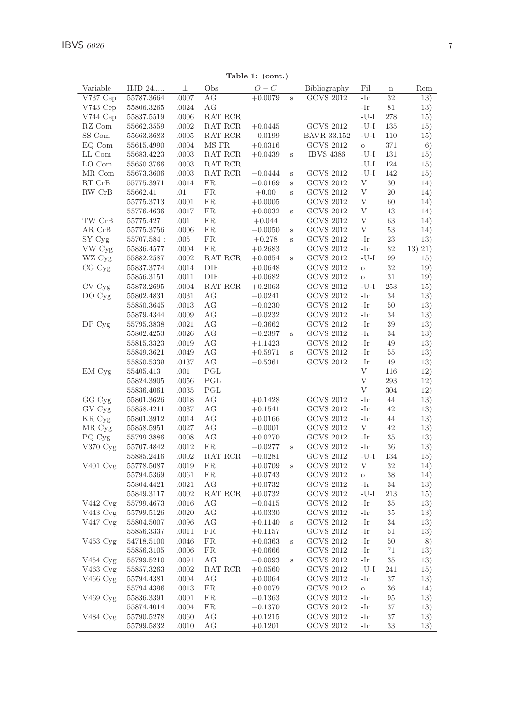| Variable                   | HJD 24      | $_{\pm}$  | Obs       | O<br>C    |         | Bibliography       | Fil      | $\bf n$ | Rem     |
|----------------------------|-------------|-----------|-----------|-----------|---------|--------------------|----------|---------|---------|
| V737Cep                    | 55787.3664  | .0007     | AG        | $+0.0079$ | S       | <b>GCVS 2012</b>   | -Ir      | 32      | 13)     |
| $V743$ Cep                 | 55806.3265  | .0024     | АG        |           |         |                    | -Ir      | 81      | 13)     |
| V744 Cep                   | 55837.5519  | .0006     | RAT RCR   |           |         |                    | -U-I     | 278     | 15)     |
| $\mathbf{R}\mathbf{Z}$ Com | 55662.3559  | .0002     | RAT RCR   | $+0.0445$ |         | <b>GCVS 2012</b>   | $-U-I$   | 135     | 15)     |
|                            |             |           |           |           |         |                    | $-U-I$   |         |         |
| SS Com                     | 55663.3683  | .0005     | RAT RCR   | $-0.0199$ |         | <b>BAVR 33,152</b> |          | 110     | 15)     |
| EQ Com                     | 55615.4990  | .0004     | MS FR     | $+0.0316$ |         | <b>GCVS 2012</b>   | $\circ$  | 371     | 6)      |
| LL Com                     | 55683.4223  | .0003     | RAT RCR   | $+0.0439$ | S       | <b>IBVS 4386</b>   | $-U-I$   | 131     | 15)     |
| LO Com                     | 55650.3766  | .0003     | RAT RCR   |           |         |                    | $-U-I$   | 124     | 15)     |
| MR Com                     | 55673.3606  | .0003     | RAT RCR   | $-0.0444$ | S       | <b>GCVS 2012</b>   | $-U-I$   | 142     | 15)     |
| RT CrB                     | 55775.3971  | .0014     | FR        | $-0.0169$ | S       | GCVS 2012          | V        | 30      | 14)     |
| RW CrB                     | 55662.41    | .01       | <b>FR</b> | $+0.00$   | S       | <b>GCVS 2012</b>   | V        | 20      | 14)     |
|                            | 55775.3713  | .0001     | <b>FR</b> | $+0.0005$ |         | <b>GCVS 2012</b>   | V        | 60      | 14)     |
|                            | 55776.4636  | .0017     | <b>FR</b> | $+0.0032$ | S       | <b>GCVS 2012</b>   | V        | 43      | 14)     |
| TW CrB                     | 55775.427   | .001      | <b>FR</b> | $+0.044$  |         | <b>GCVS 2012</b>   | V        | 63      | 14)     |
| AR CrB                     | 55775.3756  | .0006     | FR.       | $-0.0050$ | S       | <b>GCVS 2012</b>   | V        | 53      | 14)     |
| SY Cyg                     | 55707.584 : | .005      | <b>FR</b> | $+0.278$  | Ś       | <b>GCVS 2012</b>   | -Ir      | 23      | 13)     |
| VW Cyg                     | 55836.4577  | .0004     | <b>FR</b> | $+0.2683$ |         | <b>GCVS 2012</b>   | -Ir      | 82      | 13) 21) |
| WZ Cyg                     | 55882.2587  | .0002     | RAT RCR   | $+0.0654$ | Ś       | <b>GCVS 2012</b>   | $-U-I$   | 99      | 15)     |
| CG Cyg                     | 55837.3774  | .0014     | DIE       | $+0.0648$ |         | <b>GCVS 2012</b>   | $\circ$  | 32      | 19)     |
|                            |             |           | DIE       |           |         | <b>GCVS 2012</b>   |          | 31      |         |
|                            | 55856.3151  | .0011     |           | $+0.0682$ |         |                    | $\circ$  |         | 19)     |
| CV Cyg                     | 55873.2695  | .0004     | RAT RCR   | $+0.2063$ |         | <b>GCVS 2012</b>   | $-U-I$   | 253     | 15)     |
| DO Cyg                     | 55802.4831  | .0031     | AG        | $-0.0241$ |         | <b>GCVS 2012</b>   | -Ir      | 34      | 13)     |
|                            | 55850.3645  | .0013     | AG        | $-0.0230$ |         | <b>GCVS 2012</b>   | -Ir      | 50      | 13)     |
|                            | 55879.4344  | .0009     | AG        | $-0.0232$ |         | <b>GCVS 2012</b>   | -Ir      | 34      | 13)     |
| DP Cyg                     | 55795.3838  | .0021     | AG        | $-0.3662$ |         | <b>GCVS 2012</b>   | -Ir      | 39      | 13)     |
|                            | 55802.4253  | .0026     | AG        | $-0.2397$ | S       | <b>GCVS 2012</b>   | -Ir      | 34      | 13)     |
|                            | 55815.3323  | .0019     | AG        | $+1.1423$ |         | <b>GCVS 2012</b>   | -Ir      | 49      | 13)     |
|                            | 55849.3621  | .0049     | AG        | $+0.5971$ | S       | <b>GCVS 2012</b>   | -Ir      | 55      | 13)     |
|                            | 55850.5339  | .0137     | AG        | $-0.5361$ |         | <b>GCVS 2012</b>   | -Ir      | 49      | 13)     |
| EM Cyg                     | 55405.413   | .001      | PGL       |           |         |                    | V        | 116     | 12)     |
|                            | 55824.3905  | .0056     | PGL       |           |         |                    | V        | 293     | 12)     |
|                            | 55836.4061  | .0035     | PGL       |           |         |                    | V        | 304     | 12)     |
| GG Cyg                     | 55801.3626  | .0018     | AG        | $+0.1428$ |         | <b>GCVS 2012</b>   | -Ir      | 44      | 13)     |
| GV Cyg                     | 55858.4211  | .0037     | АG        | $+0.1541$ |         | <b>GCVS 2012</b>   | -Ir      | 42      | 13)     |
|                            |             | .0014     | AG        |           |         | <b>GCVS 2012</b>   | -Ir      | 44      |         |
| KR Cyg                     | 55801.3912  |           |           | $+0.0166$ |         |                    | V        |         | 13)     |
| MR Cyg                     | 55858.5951  | .0027     | AG        | $-0.0001$ |         | <b>GCVS 2012</b>   |          | 42      | 13)     |
| PQ Cyg                     | 55799.3886  | .0008     | АG        | $+0.0270$ |         | <b>GCVS 2012</b>   | -Ir      | 35      | 13)     |
| V370 Cyg                   | 55707.4842  | .0012     | FR.       | $-0.0277$ | $\rm s$ | GCVS 2012          | -Ir      | 36      | 13)     |
|                            | 55885.2416  | .0002     | RAT RCR   | $-0.0281$ |         | <b>GCVS 2012</b>   | $-U-I$   | 134     | 15)     |
| V401 Cyg                   | 55778.5087  | .0019     | <b>FR</b> | $+0.0709$ | S       | <b>GCVS 2012</b>   | V        | 32      | 14)     |
|                            | 55794.5369  | .0061     | <b>FR</b> | $+0.0743$ |         | <b>GCVS 2012</b>   | $\circ$  | 38      | 14)     |
|                            | 55804.4421  | .0021     | AG        | $+0.0732$ |         | <b>GCVS 2012</b>   | -Ir      | 34      | 13)     |
|                            | 55849.3117  | .0002     | RAT RCR   | $+0.0732$ |         | <b>GCVS 2012</b>   | $-U-I$   | 213     | 15)     |
| V442 Cyg                   | 55799.4673  | .0016     | AG        | $-0.0415$ |         | <b>GCVS 2012</b>   | -Ir      | 35      | 13)     |
| V443 Cyg                   | 55799.5126  | .0020     | AG        | $+0.0330$ |         | <b>GCVS 2012</b>   | -Ir      | 35      | 13)     |
| V447 Cyg                   | 55804.5007  | .0096     | AG        | $+0.1140$ | S       | <b>GCVS 2012</b>   | -Ir      | 34      | 13)     |
|                            | 55856.3337  | .0011     | <b>FR</b> | $+0.1157$ |         | <b>GCVS 2012</b>   | -Ir      | 51      | 13)     |
| V453 Cyg                   | 54718.5100  | .0046     | <b>FR</b> | $+0.0363$ | S       | <b>GCVS 2012</b>   | -Ir      | 50      | 8)      |
|                            | 55856.3105  | .0006     | <b>FR</b> | $+0.0666$ |         | <b>GCVS 2012</b>   | -Ir      | 71      | 13)     |
| V454 Cyg                   | 55799.5210  | .0091     | AG        | $-0.0093$ | Ś       | <b>GCVS 2012</b>   | -Ir      | 35      | 13)     |
| V463 Cyg                   | 55857.3263  | .0002     | RAT RCR   | $+0.0560$ |         | <b>GCVS 2012</b>   | $-U-I$   | 241     | 15)     |
|                            |             |           | AG        |           |         | <b>GCVS 2012</b>   | -Ir      | 37      |         |
| V466 Cyg                   | 55794.4381  | .0004     |           | $+0.0064$ |         |                    |          |         | 13)     |
|                            | 55794.4396  | $.0013\,$ | <b>FR</b> | $+0.0079$ |         | <b>GCVS 2012</b>   | $\rm{O}$ | 36      | 14)     |
| V469 Cyg                   | 55836.3391  | .0001     | <b>FR</b> | $-0.1363$ |         | <b>GCVS 2012</b>   | -Ir      | 95      | 13)     |
|                            | 55874.4014  | .0004     | <b>FR</b> | $-0.1370$ |         | <b>GCVS 2012</b>   | -Ir      | 37      | 13)     |
| V484 Cyg                   | 55790.5278  | .0060     | AG        | $+0.1215$ |         | <b>GCVS 2012</b>   | -Ir      | 37      | 13)     |
|                            | 55799.5832  | .0010     | АG        | $+0.1201$ |         | <b>GCVS 2012</b>   | -Ir      | 33      | 13)     |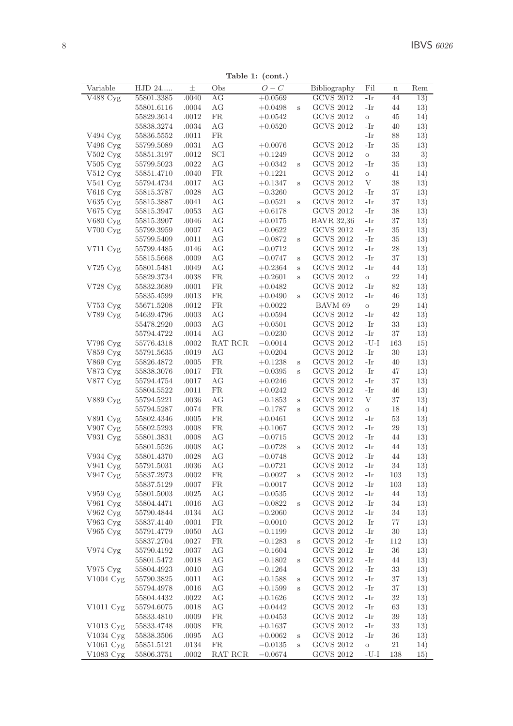Table 1: (cont.)

| Variable                       | HJD 24                   | $\pm$          | Obs       | $O-C$                  |        | Bibliography      | Fil             | $\mathbf n$ | Rem |
|--------------------------------|--------------------------|----------------|-----------|------------------------|--------|-------------------|-----------------|-------------|-----|
| $\overline{\mathrm{V}}488$ Cyg | 55801.3385               | .0040          | AG        | $+0.0569$              |        | <b>GCVS 2012</b>  | -Ir             | 44          | 13) |
|                                | 55801.6116               | .0004          | AG        | $+0.0498$              | S      | <b>GCVS 2012</b>  | -Ir             | 44          | 13) |
|                                | 55829.3614               | .0012          | FR        | $+0.0542$              |        | <b>GCVS 2012</b>  | $\rm _O$        | 45          | 14) |
|                                | 55838.3274               | .0034          | AG        | $+0.0520$              |        | <b>GCVS 2012</b>  | -Ir             | 40          | 13) |
| V494 Cyg                       | 55836.5552               | .0011          | FR.       |                        |        |                   | -Ir             | 88          | 13) |
| V496 Cyg                       | 55799.5089               | .0031          | AG        | $+0.0076$              |        | <b>GCVS 2012</b>  | -Ir             | 35          | 13) |
| $V502$ Cyg                     | 55851.3197               | .0012          | SCI       | $+0.1249$              |        | <b>GCVS 2012</b>  | $\rm _O$        | 33          | 3)  |
| $V505$ Cyg                     | 55799.5023               | .0022          | AG        | $+0.0342$              | S      | <b>GCVS 2012</b>  | -Ir             | 35          | 13) |
| V512 Cyg                       | 55851.4710               | .0040          | FR        | $+0.1221$              |        | <b>GCVS 2012</b>  | $\circ$         | 41          | 14) |
| $V541 \,\mathrm{Cyg}$          | 55794.4734               | .0017          | АG        | $+0.1347$              | S      | <b>GCVS 2012</b>  | V               | 38          | 13) |
| V616 Cyg                       | 55815.3787               | .0028          | АG        | $-0.3260$              |        | <b>GCVS 2012</b>  | -Ir             | 37          | 13) |
| V635 Cyg                       | 55815.3887               | .0041          | АG        | $-0.0521$              | S      | <b>GCVS 2012</b>  | -Ir             | 37          | 13) |
| $V675$ Cyg                     | 55815.3947               | .0053          | АG        | $+0.6178$              |        | <b>GCVS 2012</b>  | -Ir             | 38          | 13) |
| V680 Cyg                       | 55815.3907               | .0046          | AG        | $+0.0175$              |        | <b>BAVR 32,36</b> | -Ir             | 37          | 13) |
| $V700 \,\mathrm{Cyg}$          | 55799.3959               | .0007          | ΑG        | $-0.0622$              |        | <b>GCVS 2012</b>  | -Ir             | 35          | 13) |
|                                | 55799.5409               | .0011          | AG        | $-0.0872$              | $\,$ s | <b>GCVS 2012</b>  | -Ir             | 35          | 13) |
| V711 Cyg                       | 55799.4485               | .0146          | AG        | $-0.0712$              |        | <b>GCVS 2012</b>  | -Ir             | 28          | 13) |
|                                | 55815.5668               | .0009          | АG        | $-0.0747$              | S      | <b>GCVS 2012</b>  | -Ir             | 37          | 13) |
| $V725\ \mathrm{Cyg}$           | 55801.5481               | .0049          | АG        | $+0.2364$              | S      | <b>GCVS 2012</b>  | -Ir             | 44          | 13) |
|                                | 55829.3734               | .0038          | FR        | $+0.2601$              | S      | <b>GCVS 2012</b>  | $\rm _O$        | 22          | 14) |
| V728 Cyg                       | 55832.3689               | .0001          | FR        | $+0.0482$              |        | <b>GCVS 2012</b>  | -Ir             | 82          | 13) |
|                                |                          |                | FR        |                        |        | <b>GCVS 2012</b>  | -Ir             | 46          | 13) |
| $V753$ Cyg                     | 55835.4599<br>55671.5208 | .0013<br>.0012 | <b>FR</b> | $+0.0490$<br>$+0.0022$ | S      | BAVM 69           |                 | 29          | 14) |
|                                |                          |                |           |                        |        | <b>GCVS 2012</b>  | $\rm _O$<br>-Ir | 42          |     |
| V789 Cyg                       | 54639.4796               | .0003          | AG<br>AG  | $+0.0594$              |        | <b>GCVS 2012</b>  | -Ir             | 33          | 13) |
|                                | 55478.2920               | .0003          |           | $+0.0501$              |        |                   |                 |             | 13) |
|                                | 55794.4722               | .0014          | АG        | $-0.0230$              |        | <b>GCVS 2012</b>  | -Ir             | 37          | 13) |
| V796 Cyg                       | 55776.4318               | .0002          | RAT RCR   | $-0.0014$              |        | <b>GCVS 2012</b>  | -U-I            | 163         | 15) |
| V859 Cyg                       | 55791.5635               | .0019          | АG        | $+0.0204$              |        | <b>GCVS 2012</b>  | -Ir             | 30          | 13) |
| V869 Cyg                       | 55826.4872               | .0005          | FR        | $+0.1238$              | S      | <b>GCVS 2012</b>  | -Ir             | 40          | 13) |
| V873 Cyg                       | 55838.3076               | .0017          | FR        | $-0.0395$              | S      | <b>GCVS 2012</b>  | -Ir             | 47          | 13) |
| V877 Cyg                       | 55794.4754               | .0017          | AG        | $+0.0246$              |        | <b>GCVS 2012</b>  | -Ir             | 37          | 13) |
|                                | 55804.5522               | .0011          | <b>FR</b> | $+0.0242$              |        | <b>GCVS 2012</b>  | -Ir             | 46          | 13) |
| V889 Cyg                       | 55794.5221               | .0036          | AG        | $-0.1853$              | S      | <b>GCVS 2012</b>  | V               | 37          | 13) |
|                                | 55794.5287               | .0074          | FR        | $-0.1787$              | S      | <b>GCVS 2012</b>  | $\rm _O$        | 18          | 14) |
| V891 Cyg                       | 55802.4346               | .0005          | FR        | $+0.0461$              |        | <b>GCVS 2012</b>  | -Ir             | 53          | 13) |
| V907 Cyg                       | 55802.5293               | .0008          | <b>FR</b> | $+0.1067$              |        | <b>GCVS 2012</b>  | -Ir             | 29          | 13) |
| V931 Cyg                       | 55801.3831               | .0008          | АG        | $-0.0715$              |        | <b>GCVS 2012</b>  | -Ir             | 44          | 13) |
|                                | 55801.5526               | .0008          | AG        | $-0.0728$              | S      | <b>GCVS 2012</b>  | -Ir             | 44          | 13) |
| V934 Cyg                       | 55801.4370               | .0028          | AG        | $-0.0748$              |        | <b>GCVS 2012</b>  | -Ir             | 44          | 13) |
| V941 Cyg                       | 55791.5031               | .0036          | AG        | $-0.0721$              |        | <b>GCVS 2012</b>  | -Ir             | 34          | 13) |
| V947 Cyg                       | 55837.2973               | .0002          | FR.       | $-0.0027$              | S      | <b>GCVS 2012</b>  | -Ir             | 103         | 13) |
|                                | 55837.5129               | .0007          | FR.       | $-0.0017$              |        | <b>GCVS 2012</b>  | -Ir             | 103         | 13) |
| $V959$ Cyg                     | 55801.5003               | .0025          | АG        | $-0.0535$              |        | <b>GCVS 2012</b>  | -Ir             | 44          | 13) |
| V961 Cyg                       | 55804.4471               | .0016          | АG        | $-0.0822$              | S      | <b>GCVS 2012</b>  | -Ir             | 34          | 13) |
| V962 Cyg                       | 55790.4844               | .0134          | АG        | $-0.2060$              |        | <b>GCVS 2012</b>  | -Ir             | 34          | 13) |
| V963 Cyg                       | 55837.4140               | .0001          | FR.       | $-0.0010$              |        | <b>GCVS 2012</b>  | -Ir             | 77          | 13) |
| $V965$ Cyg                     | 55791.4779               | .0050          | АG        | $-0.1199$              |        | <b>GCVS 2012</b>  | -Ir             | 30          | 13) |
|                                | 55837.2704               | .0027          | FR        | $-0.1283$              | S      | <b>GCVS 2012</b>  | -Ir             | 112         | 13) |
| V974 Cyg                       | 55790.4192               | .0037          | AG        | $-0.1604$              |        | <b>GCVS 2012</b>  | -Ir             | 36          | 13) |
|                                | 55801.5472               | .0018          | AG        | $-0.1802$              | S      | <b>GCVS 2012</b>  | -Ir             | 44          | 13) |
| V975 Cyg                       | 55804.4923               | .0010          | AG        | $-0.1264$              |        | <b>GCVS 2012</b>  | -Ir             | 33          | 13) |
| V1004 Cyg                      | 55790.3825               | .0011          | AG        | $+0.1588$              | S      | <b>GCVS 2012</b>  | -Ir             | 37          | 13) |
|                                | 55794.4978               | .0016          | АG        | $+0.1599$              | S      | <b>GCVS 2012</b>  | -Ir             | 37          | 13) |
|                                | 55804.4432               | .0022          | АG        | $+0.1626$              |        | <b>GCVS 2012</b>  | -Ir             | 32          | 13) |
| $V1011$ Cyg                    | 55794.6075               | .0018          | AG        | $+0.0442$              |        | <b>GCVS 2012</b>  | -Ir             | 63          | 13) |
|                                | 55833.4810               | .0009          | FR        | $+0.0453$              |        | <b>GCVS 2012</b>  | -Ir             | 39          | 13) |
| V1013 Cyg                      | 55833.4748               | .0008          | FR        | $+0.1637$              |        | <b>GCVS 2012</b>  | -Ir             | 33          | 13) |
| V1034 Cyg                      | 55838.3506               | .0095          | AG        | $+0.0062$              | S      | <b>GCVS 2012</b>  | -Ir             | 36          | 13) |
| V1061 Cyg                      | 55851.5121               | .0134          | FR        | $-0.0135$              | S      | <b>GCVS 2012</b>  | $\rm{O}$        | 21          | 14) |
| V1083 Cyg                      | 55806.3751               | .0002          | RAT RCR   | $-0.0674$              |        | <b>GCVS 2012</b>  | -U-I            | 138         | 15) |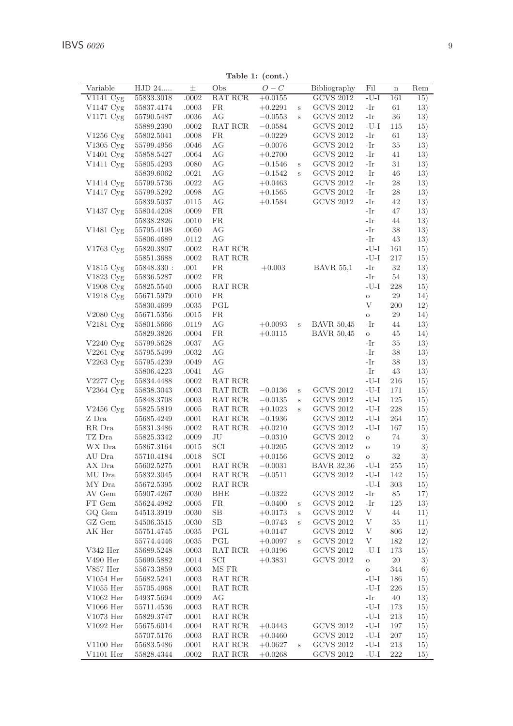| Variable                        | HJD 24     | 士     | Obs        | $O-C$     |   | Bibliography      | Fil                                    | $\mathbf n$ | Rem |
|---------------------------------|------------|-------|------------|-----------|---|-------------------|----------------------------------------|-------------|-----|
| $\overline{\mathrm{V}}1141$ Cyg | 55833.3018 | .0002 | RAT RCR    | $+0.0155$ |   | <b>GCVS 2012</b>  | $-U-I$                                 | 161         | 15) |
| V1147 Cyg                       | 55837.4174 | .0003 | FR         | $+0.2291$ | S | GCVS 2012         | -Ir                                    | 61          | 13) |
| V1171 Cyg                       | 55790.5487 | .0036 | АG         | $-0.0553$ | S | <b>GCVS 2012</b>  | -Ir                                    | 36          | 13) |
|                                 | 55889.2390 | .0002 | RAT RCR    | $-0.0584$ |   | <b>GCVS 2012</b>  | $-U-I$                                 | 115         | 15) |
| V1256 Cyg                       | 55802.5041 | .0008 | FR         | $-0.0229$ |   | <b>GCVS 2012</b>  | -Ir                                    | 61          | 13) |
| $V1305 \,\mathrm{Cyg}$          | 55799.4956 | .0046 | AG         | $-0.0076$ |   | <b>GCVS 2012</b>  | -Ir                                    | 35          | 13) |
| V1401 Cyg                       | 55858.5427 | .0064 | AG         | $+0.2700$ |   | <b>GCVS 2012</b>  | -Ir                                    | 41          | 13) |
| V1411 Cyg                       | 55805.4293 | .0080 | AG         | $-0.1546$ | S | <b>GCVS 2012</b>  | -Ir                                    | 31          | 13) |
|                                 | 55839.6062 | .0021 | AG         | $-0.1542$ | s | <b>GCVS 2012</b>  | -Ir                                    | 46          | 13) |
| V1414 Cyg                       | 55799.5736 | .0022 | AG         | $+0.0463$ |   | <b>GCVS 2012</b>  | -Ir                                    | 28          | 13) |
| V1417 Cyg                       | 55799.5292 | .0098 | AG         | $+0.1565$ |   | <b>GCVS 2012</b>  | -Ir                                    | 28          | 13) |
|                                 | 55839.5037 | .0115 | AG         | $+0.1584$ |   | <b>GCVS 2012</b>  | -Ir                                    | 42          | 13) |
| V1437 Cyg                       | 55804.4208 | .0009 | <b>FR</b>  |           |   |                   | -Ir                                    | 47          | 13) |
|                                 | 55838.2826 | .0010 | <b>FR</b>  |           |   |                   | -Ir                                    | 44          | 13) |
| V1481 Cyg                       | 55795.4198 | .0050 | AG         |           |   |                   | -Ir                                    | 38          | 13) |
|                                 | 55806.4689 | .0112 | AG         |           |   |                   | -Ir                                    | 43          | 13) |
| V1763 Cyg                       | 55820.3807 | .0002 | RAT RCR    |           |   |                   | $\mbox{-}\mathrm{U}\mbox{-}\mathrm{I}$ | 161         | 15) |
|                                 | 55851.3688 | .0002 | RAT RCR    |           |   |                   | $-U-I$                                 | 217         | 15) |
| V1815 Cyg                       | 55848.330: | .001  | <b>FR</b>  | $+0.003$  |   | <b>BAVR 55,1</b>  | -Ir                                    | 32          | 13) |
| V1823 Cyg                       | 55836.5287 | .0002 | FR.        |           |   |                   | -Ir                                    | 54          | 13) |
| V1908 Cyg                       | 55825.5540 | .0005 | RAT RCR    |           |   |                   | $-U-I$                                 | 228         | 15) |
|                                 | 55671.5979 | .0010 | FR.        |           |   |                   |                                        | 29          |     |
| V1918 Cyg                       |            |       | PGL        |           |   |                   | $\rm{O}$<br>V                          | 200         | 14) |
|                                 | 55830.4699 | .0035 | <b>FR</b>  |           |   |                   |                                        | 29          | 12) |
| V2080 Cyg                       | 55671.5356 | .0015 | AG         |           | S | <b>BAVR 50,45</b> | $\rm{O}$<br>-Ir                        | 44          | 14) |
| V2181 Cyg                       | 55801.5666 | .0119 | FR         | $+0.0093$ |   | <b>BAVR 50,45</b> |                                        |             | 13) |
|                                 | 55829.3826 | .0004 |            | $+0.0115$ |   |                   | $\rm _O$                               | 45          | 14) |
| $V2240 \text{ Cyg}$             | 55799.5628 | .0037 | AG         |           |   |                   | -Ir                                    | 35          | 13) |
| $V2261 \,\mathrm{Cyg}$          | 55795.5499 | .0032 | AG         |           |   |                   | -Ir                                    | 38          | 13) |
| V2263 Cyg                       | 55795.4239 | .0049 | AG         |           |   |                   | -Ir                                    | 38          | 13) |
|                                 | 55806.4223 | .0041 | AG         |           |   |                   | -Ir                                    | 43          | 13) |
| V2277 Cyg                       | 55834.4488 | .0002 | RAT RCR    |           |   |                   | $-U-I$                                 | 216         | 15) |
| $V2364$ Cyg                     | 55838.3043 | .0003 | RAT RCR    | $-0.0136$ | S | <b>GCVS 2012</b>  | $-U-I$                                 | 171         | 15) |
|                                 | 55848.3708 | .0003 | RAT RCR    | $-0.0135$ | S | <b>GCVS 2012</b>  | $-U-I$                                 | 125         | 15) |
| $V2456$ Cyg                     | 55825.5819 | .0005 | RAT RCR    | $+0.1023$ | S | <b>GCVS 2012</b>  | $-U-I$                                 | 228         | 15) |
| Z Dra                           | 55685.4249 | .0001 | RAT RCR    | $-0.1936$ |   | <b>GCVS 2012</b>  | $-U-I$                                 | 264         | 15) |
| RR Dra                          | 55831.3486 | .0002 | RAT RCR    | $+0.0210$ |   | <b>GCVS 2012</b>  | $-U-I$                                 | 167         | 15) |
| TZ Dra                          | 55825.3342 | .0009 | JU         | $-0.0310$ |   | <b>GCVS 2012</b>  | $\rm{O}$                               | 74          | 3)  |
| WX Dra                          | 55867.3164 | .0015 | SCI        | $+0.0205$ |   | <b>GCVS 2012</b>  | $\rm{O}$                               | 19          | 3)  |
| AU Dra                          | 55710.4184 | .0018 | SCI        | $+0.0156$ |   | <b>GCVS 2012</b>  | $\circ$                                | 32          | 3)  |
| AX Dra                          | 55602.5275 | .0001 | RAT RCR    | $-0.0031$ |   | <b>BAVR 32,36</b> | $-U-I$                                 | 255         | 15) |
| MU Dra                          | 55832.3045 | .0004 | RAT RCR    | $-0.0511$ |   | <b>GCVS 2012</b>  | $-U-I$                                 | 142         | 15) |
| MY Dra                          | 55672.5395 | .0002 | RAT RCR    |           |   |                   | $-U-I$                                 | 303         | 15) |
| AV Gem                          | 55907.4267 | .0030 | <b>BHE</b> | $-0.0322$ |   | <b>GCVS 2012</b>  | -Ir                                    | 85          | 17) |
| FT Gem                          | 55624.4982 | .0005 | FR.        | $-0.0400$ | s | <b>GCVS 2012</b>  | -Ir                                    | 125         | 13) |
| GO Gem                          | 54513.3919 | .0030 | SB         | $+0.0173$ | S | <b>GCVS 2012</b>  | V                                      | 44          | 11) |
| GZ Gem                          | 54506.3515 | .0030 | SB         | $-0.0743$ | S | <b>GCVS 2012</b>  | V                                      | 35          | 11) |
| AK Her                          | 55751.4745 | .0035 | PGL        | $+0.0147$ |   | <b>GCVS 2012</b>  | V                                      | 806         | 12) |
|                                 | 55774.4446 | .0035 | PGL        | $+0.0097$ | S | <b>GCVS 2012</b>  | V                                      | 182         | 12) |
| V342 Her                        | 55689.5248 | .0003 | RAT RCR    | $+0.0196$ |   | <b>GCVS 2012</b>  | $-U-I$                                 | 173         | 15) |
| V490 Her                        | 55699.5882 | .0014 | SCI        | $+0.3831$ |   | <b>GCVS 2012</b>  | $\rm{O}$                               | $20\,$      | 3)  |
| V857 Her                        | 55673.3859 | .0003 | MS FR      |           |   |                   | $\rm{O}$                               | 344         | 6)  |
| $V1054$ Her                     | 55682.5241 | .0003 | RAT RCR    |           |   |                   | $-U-I$                                 | 186         | 15) |
| $V1055$ Her                     | 55705.4968 | .0001 | RAT RCR    |           |   |                   | $-U-I$                                 | 226         | 15) |
| $V1062$ Her                     | 54937.5694 | .0009 | AG         |           |   |                   | -Ir                                    | 40          | 13) |
| $V1066$ Her                     | 55711.4536 | .0003 | RAT RCR    |           |   |                   | $-U-I$                                 | 173         | 15) |
| V1073 Her                       | 55829.3747 | .0001 | RAT RCR    |           |   |                   | $-U-I$                                 | 213         | 15) |
| $V1092$ Her                     | 55675.6014 | .0004 | RAT RCR    | $+0.0443$ |   | <b>GCVS 2012</b>  | $-U-I$                                 | 197         | 15) |
|                                 | 55707.5176 | .0003 | RAT RCR    | $+0.0460$ |   | <b>GCVS 2012</b>  | $-U-I$                                 | 207         | 15) |
| $V1100$ Her                     | 55683.5486 | .0001 | RAT RCR    | $+0.0627$ | S | <b>GCVS 2012</b>  | $-U-I$                                 | 213         | 15) |
| $V1101$ Her                     | 55828.4344 | .0002 | RAT RCR    | $+0.0268$ |   | <b>GCVS 2012</b>  | $-U-I$                                 | 222         | 15) |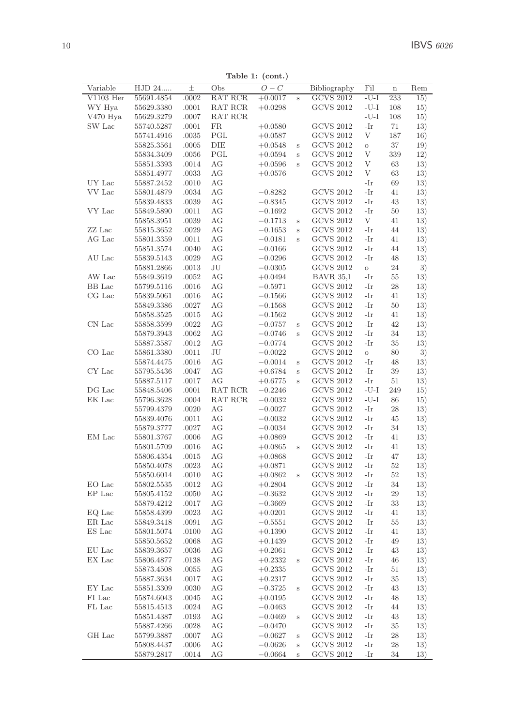Table 1: (cont.)

| Variable    | HJD 24     | $_{\pm}$ | Obs     | $O-C$     |              | Bibliography                         | Fil        | $\overline{\mathbf{n}}$ | Rem |
|-------------|------------|----------|---------|-----------|--------------|--------------------------------------|------------|-------------------------|-----|
| $V1103$ Her | 55691.4854 | .0002    | RAT RCR | $+0.0017$ | $\,$ s       | <b>GCVS 2012</b>                     | $-U-I$     | 233                     | 15) |
| WY Hya      | 55629.3380 | .0001    | RAT RCR | $+0.0298$ |              | <b>GCVS 2012</b>                     | $-U-I$     | 108                     | 15) |
| V470 Hya    | 55629.3279 | .0007    | RAT RCR |           |              |                                      | $-U-I$     | 108                     | 15) |
| SW Lac      | 55740.5287 | .0001    | FR.     | $+0.0580$ |              | <b>GCVS 2012</b>                     | -Ir        | 71                      | 13) |
|             | 55741.4916 | .0035    | PGL     | $+0.0587$ |              | <b>GCVS 2012</b>                     | V          | 187                     | 16) |
|             | 55825.3561 | .0005    | DIE     | $+0.0548$ | S            | <b>GCVS 2012</b>                     | $\circ$    | 37                      | 19) |
|             | 55834.3409 | .0056    | PGL     | $+0.0594$ | $\,$ s       | $\rm GCVS$ 2012                      | V          | 339                     | 12) |
|             | 55851.3393 | .0014    | AG      | $+0.0596$ | S            | <b>GCVS 2012</b>                     | V          | 63                      | 13) |
|             | 55851.4977 | .0033    | AG      | $+0.0576$ |              | <b>GCVS 2012</b>                     | V          | 63                      | 13) |
| UY Lac      | 55887.2452 | .0010    | AG      |           |              |                                      | -Ir        | 69                      | 13) |
| VV Lac      | 55801.4879 | .0034    | AG      | $-0.8282$ |              | <b>GCVS 2012</b>                     | -Ir        | 41                      | 13) |
|             | 55839.4833 | .0039    | AG      | $-0.8345$ |              | <b>GCVS 2012</b>                     | -Ir        | 43                      | 13) |
| VY Lac      | 55849.5890 | .0011    | AG      | $-0.1692$ |              | <b>GCVS 2012</b>                     | -Ir        | 50                      | 13) |
|             | 55858.3951 | .0039    | AG      | $-0.1713$ | $\rm s$      | <b>GCVS 2012</b>                     | V          | 41                      | 13) |
| ZZ Lac      | 55815.3652 | .0029    | AG      | $-0.1653$ | S            | <b>GCVS 2012</b>                     | -Ir        | 44                      | 13) |
| AG Lac      | 55801.3359 | .0011    | AG      | $-0.0181$ | S            | <b>GCVS 2012</b>                     | -Ir        | 41                      | 13) |
|             | 55851.3574 | .0040    | AG      | $-0.0166$ |              | <b>GCVS 2012</b>                     | -Ir        | 44                      | 13) |
| AU Lac      | 55839.5143 | .0029    | AG      | $-0.0296$ |              | <b>GCVS 2012</b>                     | -Ir        | 48                      | 13) |
|             | 55881.2866 | .0013    | JU      | $-0.0305$ |              | <b>GCVS 2012</b>                     | $\rm _O$   | 24                      | 3)  |
| AW Lac      | 55849.3619 | .0052    | AG      | $+0.0494$ |              | <b>BAVR 35,1</b>                     | -Ir        | 55                      | 13) |
| BB Lac      | 55799.5116 | .0016    | AG      | $-0.5971$ |              | <b>GCVS 2012</b>                     | -Ir        | 28                      | 13) |
| CG Lac      | 55839.5061 | .0016    | AG      | $-0.1566$ |              | <b>GCVS 2012</b>                     | -Ir        | 41                      | 13) |
|             | 55849.3386 | .0027    | AG      | $-0.1568$ |              | <b>GCVS 2012</b>                     | -Ir        | 50                      | 13) |
|             | 55858.3525 | .0015    | AG      | $-0.1562$ |              | <b>GCVS 2012</b>                     | -Ir        | 41                      | 13) |
| CN Lac      | 55858.3599 | .0022    | AG      | $-0.0757$ | $\,$ s       | <b>GCVS 2012</b>                     | -Ir        | 42                      | 13) |
|             | 55879.3943 | .0062    | AG      | $-0.0746$ | S            | <b>GCVS 2012</b>                     | -Ir        | 34                      | 13) |
|             | 55887.3587 | .0012    | AG      | $-0.0774$ |              | <b>GCVS 2012</b>                     | -Ir        | 35                      | 13) |
| CO Lac      | 55861.3380 | .0011    | JU      | $-0.0022$ |              | <b>GCVS 2012</b>                     | $\rm{O}$   | 80                      | 3)  |
|             | 55874.4475 | .0016    | AG      | $-0.0014$ | $\, {\bf S}$ | <b>GCVS 2012</b>                     | -Ir        | 48                      | 13) |
| CY Lac      | 55795.5436 | .0047    | AG      | $+0.6784$ | S            | <b>GCVS 2012</b>                     | -Ir        | 39                      | 13) |
|             | 55887.5117 | .0017    | AG      | $+0.6775$ | S            | <b>GCVS 2012</b>                     | -Ir        | 51                      | 13) |
| DG Lac      | 55848.5406 | .0001    | RAT RCR | $-0.2246$ |              | <b>GCVS 2012</b>                     | $-U-I$     | 249                     | 15) |
| EK Lac      | 55796.3628 | .0004    | RAT RCR | $-0.0032$ |              | <b>GCVS 2012</b>                     | $-U-I$     | 86                      | 15) |
|             | 55799.4379 | .0020    | AG      | $-0.0027$ |              | <b>GCVS 2012</b>                     | -Ir        | 28                      | 13) |
|             | 55839.4076 | .0011    | AG      | $-0.0032$ |              | <b>GCVS 2012</b>                     | $-Ir$      | 45                      | 13) |
|             | 55879.3777 | .0027    | AG      | $-0.0034$ |              | <b>GCVS 2012</b>                     | -Ir        | 34                      | 13) |
| EM Lac      | 55801.3767 | .0006    | AG      | $+0.0869$ |              | <b>GCVS 2012</b>                     | -Ir        | 41                      | 13) |
|             | 55801.5709 | .0016    | AG      | $+0.0865$ | S            | <b>GCVS 2012</b>                     | -Ir        | 41                      | 13) |
|             | 55806.4354 | .0015    | AG      | $+0.0868$ |              | <b>GCVS 2012</b>                     | -Ir        | 47                      | 13) |
|             | 55850.4078 | .0023    | АG      | $+0.0871$ |              | <b>GCVS 2012</b>                     | -Ir        | 52                      | 13) |
|             | 55850.6014 | .0010    | AG      | $+0.0862$ | $\,$ s       | <b>GCVS 2012</b>                     | -Ir        | 52                      | 13) |
| EO Lac      | 55802.5535 | .0012    | AG      | $+0.2804$ |              | <b>GCVS 2012</b>                     | -Ir        | 34                      | 13) |
| EP Lac      | 55805.4152 | .0050    | AG      | $-0.3632$ |              | <b>GCVS 2012</b>                     | -Ir        | 29                      | 13) |
|             | 55879.4212 | .0017    | AG      | $-0.3669$ |              | <b>GCVS 2012</b>                     | -Ir        | 33                      | 13) |
| EQ Lac      | 55858.4399 | .0023    | AG      | $+0.0201$ |              | <b>GCVS 2012</b>                     | -Ir        | 41                      | 13) |
| ER Lac      | 55849.3418 | .0091    | AG      | $-0.5551$ |              | <b>GCVS 2012</b>                     | -Ir        | 55                      | 13) |
| ES Lac      | 55801.5074 | .0100    | AG      | $+0.1390$ |              | <b>GCVS 2012</b>                     | -Ir        | 41                      | 13) |
|             | 55850.5652 | .0068    | AG      | $+0.1439$ |              | <b>GCVS 2012</b>                     | -Ir        | 49                      | 13) |
| EU Lac      | 55839.3657 | .0036    | AG      | $+0.2061$ |              | <b>GCVS 2012</b>                     | -Ir        | 43                      | 13) |
|             |            |          |         |           |              |                                      | -Ir        |                         |     |
| EX Lac      | 55806.4877 | .0138    | AG      | $+0.2332$ | $\,$ s       | <b>GCVS 2012</b>                     |            | 46                      | 13) |
|             | 55873.4508 | .0055    | AG      | $+0.2335$ |              | <b>GCVS 2012</b>                     | -Ir        | 51                      | 13) |
|             | 55887.3634 | .0017    | AG      | $+0.2317$ |              | <b>GCVS 2012</b>                     | -Ir        | 35                      | 13) |
| EY Lac      | 55851.3309 | .0030    | AG      | $-0.3725$ | S            | <b>GCVS 2012</b>                     | -Ir        | 43                      | 13) |
| FI Lac      | 55874.6043 | .0045    | AG      | $+0.0195$ |              | <b>GCVS 2012</b>                     | -Ir        | 48                      | 13) |
| FL Lac      | 55815.4513 | .0024    | AG      | $-0.0463$ |              | <b>GCVS 2012</b>                     | -Ir        | 44                      | 13) |
|             | 55851.4387 | .0193    | AG      | $-0.0469$ | S            | <b>GCVS 2012</b>                     | -Ir        | 43                      | 13) |
|             | 55887.4266 | .0028    | AG      | $-0.0470$ |              | <b>GCVS 2012</b>                     | -Ir        | 35                      | 13) |
| GH Lac      | 55799.3887 | .0007    | AG      | $-0.0627$ | $\,$ s       | <b>GCVS 2012</b>                     | -Ir        | 28                      | 13) |
|             | 55808.4437 | .0006    | AG      | $-0.0626$ | S            | <b>GCVS 2012</b><br><b>GCVS 2012</b> | -Ir<br>-Ir | 28                      | 13) |
|             | 55879.2817 | .0014    | AG      | $-0.0664$ | S            |                                      |            | 34                      | 13) |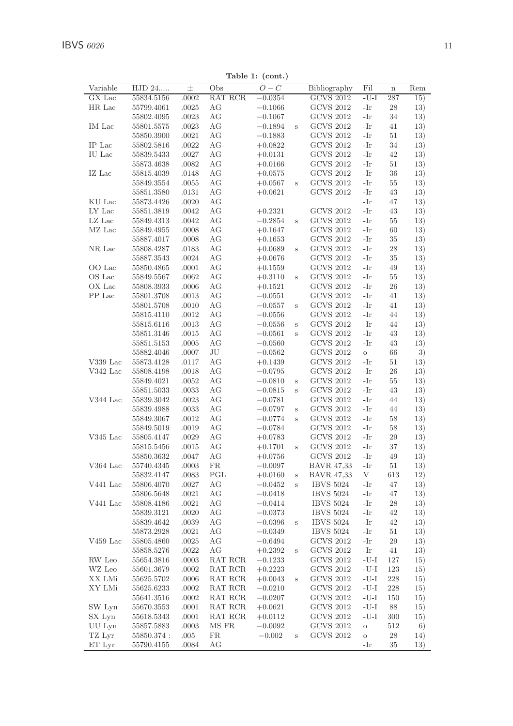| Variable       | HJD 24      | 士         | Obs     | $O-C$     |   | Bibliography      | Fil     | $\mathbf n$ | Rem |
|----------------|-------------|-----------|---------|-----------|---|-------------------|---------|-------------|-----|
| GX Lac         | 55834.5156  | .0002     | RAT RCR | $-0.0354$ |   | <b>GCVS 2012</b>  | $-U-I$  | 287         | 15) |
| HR Lac         | 55799.4061  | .0025     | АG      | $-0.1066$ |   | <b>GCVS 2012</b>  | -Ir     | 28          | 13) |
|                | 55802.4095  | .0023     | АG      | $-0.1067$ |   | <b>GCVS 2012</b>  | -Ir     | 34          | 13) |
| IM Lac         | 55801.5575  | .0023     | AG      | $-0.1894$ | S | <b>GCVS 2012</b>  | -Ir     | 41          | 13) |
|                | 55850.3900  | .0021     | АG      | $-0.1883$ |   | <b>GCVS 2012</b>  | -Ir     | 51          | 13) |
| IP Lac         | 55802.5816  | .0022     | АG      |           |   | <b>GCVS 2012</b>  | -Ir     | 34          | 13) |
|                |             |           |         | $+0.0822$ |   |                   |         |             |     |
| IU Lac         | 55839.5433  | .0027     | АG      | $+0.0131$ |   | <b>GCVS 2012</b>  | -Ir     | 42          | 13) |
|                | 55873.4638  | .0082     | АG      | $+0.0166$ |   | <b>GCVS 2012</b>  | -Ir     | 51          | 13) |
| IZ Lac         | 55815.4039  | .0148     | АG      | $+0.0575$ |   | <b>GCVS 2012</b>  | -Ir     | 36          | 13) |
|                | 55849.3554  | .0055     | AG      | $+0.0567$ | S | <b>GCVS 2012</b>  | -Ir     | 55          | 13) |
|                | 55851.3580  | .0131     | АG      | $+0.0621$ |   | <b>GCVS 2012</b>  | -Ir     | 43          | 13) |
| KU Lac         | 55873.4426  | .0020     | AG      |           |   |                   | -Ir     | 47          | 13) |
| ${\rm LY}$ Lac | 55851.3819  | .0042     | АG      | $+0.2321$ |   | <b>GCVS 2012</b>  | -Ir     | 43          | 13) |
| $LZ$ Lac       | 55849.4313  | .0042     | АG      | $-0.2854$ | S | <b>GCVS 2012</b>  | -Ir     | 55          | 13) |
| MZ Lac         | 55849.4955  | .0008     | АG      | $+0.1647$ |   | <b>GCVS 2012</b>  | -Ir     | 60          | 13) |
|                | 55887.4017  | .0008     | АG      | $+0.1653$ |   | <b>GCVS 2012</b>  | -Ir     | 35          | 13) |
| NR Lac         | 55808.4287  | .0183     | АG      | $+0.0689$ | S | <b>GCVS 2012</b>  | -Ir     | 28          | 13) |
|                | 55887.3543  | .0024     | AG      | $+0.0676$ |   | <b>GCVS 2012</b>  | -Ir     | 35          | 13) |
| OO Lac         | 55850.4865  | .0001     | АG      | $+0.1559$ |   | <b>GCVS 2012</b>  | -Ir     | 49          | 13) |
| OS Lac         | 55849.5567  | .0062     | АG      | $+0.3110$ | S | <b>GCVS 2012</b>  | -Ir     | 55          | 13) |
| OX Lac         |             |           | AG      |           |   | <b>GCVS 2012</b>  | -Ir     | 26          |     |
|                | 55808.3933  | .0006     |         | $+0.1521$ |   |                   |         |             | 13) |
| PP Lac         | 55801.3708  | .0013     | АG      | $-0.0551$ |   | <b>GCVS 2012</b>  | -Ir     | 41          | 13) |
|                | 55801.5708  | .0010     | АG      | $-0.0557$ | S | <b>GCVS 2012</b>  | -Ir     | 41          | 13) |
|                | 55815.4110  | .0012     | АG      | $-0.0556$ |   | <b>GCVS 2012</b>  | -Ir     | 44          | 13) |
|                | 55815.6116  | .0013     | АG      | $-0.0556$ | S | <b>GCVS 2012</b>  | -Ir     | 44          | 13) |
|                | 55851.3146  | .0015     | АG      | $-0.0561$ | S | <b>GCVS 2012</b>  | -Ir     | 43          | 13) |
|                | 55851.5153  | .0005     | AG      | $-0.0560$ |   | <b>GCVS 2012</b>  | -Ir     | 43          | 13) |
|                | 55882.4046  | .0007     | JU      | $-0.0562$ |   | <b>GCVS 2012</b>  | $\circ$ | 66          | 3)  |
| V339 Lac       | 55873.4128  | .0117     | АG      | $+0.1439$ |   | <b>GCVS 2012</b>  | -Ir     | 51          | 13) |
| V342 Lac       | 55808.4198  | .0018     | АG      | $-0.0795$ |   | <b>GCVS 2012</b>  | -Ir     | 26          | 13) |
|                | 55849.4021  | .0052     | АG      | $-0.0810$ | S | <b>GCVS 2012</b>  | -Ir     | 55          | 13) |
|                | 55851.5033  | .0033     | АG      | $-0.0815$ | S | <b>GCVS 2012</b>  | -Ir     | 43          | 13) |
| V344 Lac       | 55839.3042  | .0023     | АG      | $-0.0781$ |   | <b>GCVS 2012</b>  | -Ir     | 44          | 13) |
|                | 55839.4988  | .0033     | АG      | $-0.0797$ | S | <b>GCVS 2012</b>  | -Ir     | 44          | 13) |
|                | 55849.3067  | .0012     | AG      | $-0.0774$ | S | <b>GCVS 2012</b>  | -Ir     | 58          | 13) |
|                | 55849.5019  | .0019     | АG      | $-0.0784$ |   | <b>GCVS 2012</b>  | -Ir     | 58          | 13) |
| $V345$ Lac     | 55805.4147  | $.0029\,$ | АG      | $+0.0783$ |   | <b>GCVS 2012</b>  | -Ir     | 29          | 13) |
|                | 55815.5456  | .0015     | АG      | $+0.1701$ | S | <b>GCVS 2012</b>  | -Ir     | 37          | 13) |
|                |             | .0047     | AG      |           |   | <b>GCVS 2012</b>  | -Ir     | 49          | 13) |
|                | 55850.3632  |           |         | $+0.0756$ |   |                   |         |             |     |
| V364 Lac       | 55740.4345  | .0003     | FR      | $-0.0097$ |   | <b>BAVR 47.33</b> | -Ir     | 51          | 13) |
|                | 55832.4147  | .0083     | PGL     | $+0.0160$ | S | <b>BAVR 47,33</b> | V       | 613         | 12) |
| V441 Lac       | 55806.4070  | .0027     | АG      | $-0.0452$ | S | <b>IBVS 5024</b>  | -Ir     | 47          | 13) |
|                | 55806.5648  | .0021     | АG      | $-0.0418$ |   | <b>IBVS 5024</b>  | -Ir     | 47          | 13) |
| V441 Lac       | 55808.4186  | .0021     | AG      | $-0.0414$ |   | <b>IBVS 5024</b>  | -Ir     | 28          | 13) |
|                | 55839.3121  | .0020     | АG      | $-0.0373$ |   | <b>IBVS 5024</b>  | -Ir     | 42          | 13) |
|                | 55839.4642  | .0039     | АG      | $-0.0396$ | S | <b>IBVS 5024</b>  | -Ir     | 42          | 13) |
|                | 55873.2928  | .0021     | AG      | $-0.0349$ |   | <b>IBVS 5024</b>  | -Ir     | 51          | 13) |
| $V459$ Lac     | 55805.4860  | .0025     | АG      | $-0.6494$ |   | <b>GCVS 2012</b>  | -Ir     | 29          | 13) |
|                | 55858.5276  | .0022     | AG      | $+0.2392$ | S | <b>GCVS 2012</b>  | -Ir     | 41          | 13) |
| RW Leo         | 55654.3816  | .0003     | RAT RCR | $-0.1233$ |   | <b>GCVS 2012</b>  | $-U-I$  | 127         | 15) |
| WZ Leo         | 55601.3679  | .0002     | RAT RCR | $+0.2223$ |   | <b>GCVS 2012</b>  | $-U-I$  | 123         | 15) |
| XX LMi         | 55625.5702  | .0006     | RAT RCR | $+0.0043$ | S | <b>GCVS 2012</b>  | $-U-I$  | 228         | 15) |
| XY LMi         | 55625.6233  | .0002     | RAT RCR | $-0.0210$ |   | <b>GCVS 2012</b>  | $-U-I$  | 228         | 15) |
|                | 55641.3516  | .0002     | RAT RCR | $-0.0207$ |   | <b>GCVS 2012</b>  | $-U-I$  | 150         | 15) |
| SW Lyn         |             | .0001     | RAT RCR |           |   | <b>GCVS 2012</b>  | $-U-I$  | 88          |     |
|                | 55670.3553  |           |         | $+0.0621$ |   | <b>GCVS 2012</b>  | -U-I    |             | 15) |
| SX Lyn         | 55618.5343  | .0001     | RAT RCR | $+0.0112$ |   |                   |         | 300         | 15) |
| UU Lyn         | 55857.5883  | .0003     | MS FR   | $-0.0092$ |   | <b>GCVS 2012</b>  | $\circ$ | 512         | 6)  |
| TZ Lyr         | 55850.374 : | .005      | FR      | $-0.002$  | S | <b>GCVS 2012</b>  | $\circ$ | $\bf 28$    | 14) |
| ET Lyr         | 55790.4155  | .0084     | АG      |           |   |                   | -Ir     | 35          | 13) |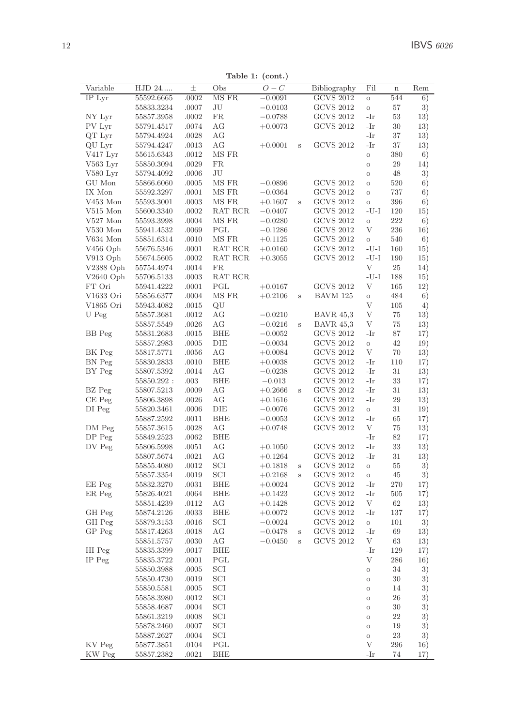Table 1: (cont.)

| Variable    | HJD 24     | $_{\pm}$ | Obs        | $O-C$     |                         | Bibliography                         | Fil                      | $\mathbf n$ | Rem |
|-------------|------------|----------|------------|-----------|-------------------------|--------------------------------------|--------------------------|-------------|-----|
| IP Lyr      | 55592.6665 | .0002    | MS FR      | $-0.0091$ |                         | <b>GCVS 2012</b>                     | $\rm{O}$                 | 544         | 6)  |
|             | 55833.3234 | .0007    | JU         | $-0.0103$ |                         | <b>GCVS 2012</b>                     | $\rm{O}$                 | 57          | 3)  |
| NY Lyr      | 55857.3958 | .0002    | <b>FR</b>  | $-0.0788$ |                         | <b>GCVS 2012</b>                     | -Ir                      | 53          | 13) |
| PV Lyr      | 55791.4517 | .0074    | AG         | $+0.0073$ |                         | <b>GCVS 2012</b>                     | -Ir                      | 30          | 13) |
| QT Lyr      | 55794.4924 | .0028    | AG         |           |                         |                                      | -Ir                      | 37          | 13) |
| QU Lyr      | 55794.4247 | .0013    | AG         | $+0.0001$ | S                       | <b>GCVS 2012</b>                     | -Ir                      | 37          | 13) |
| V417 Lyr    | 55615.6343 | .0012    | MS FR      |           |                         |                                      | $\rm{O}$                 | 380         | 6)  |
| $V563$ Lyr  | 55850.3094 | .0029    | <b>FR</b>  |           |                         |                                      | $\rm{O}$                 | 29          | 14) |
| $V580$ Lyr  | 55794.4092 | .0006    | JU         |           |                         |                                      | $\circ$                  | 48          | 3)  |
| GU Mon      | 55866.6060 | .0005    | MS FR      | $-0.0896$ |                         | <b>GCVS 2012</b>                     | $\circ$                  | 520         | 6)  |
| IX Mon      | 55592.3297 | .0001    | MS FR      | $-0.0364$ |                         | <b>GCVS 2012</b>                     | $\circ$                  | 737         | 6)  |
| V453 Mon    | 55593.3001 | .0003    | MS FR      | $+0.1607$ | S                       | <b>GCVS 2012</b>                     | $\circ$                  | 396         | 6)  |
| $V515$ Mon  | 55600.3340 | .0002    | RAT RCR    | $-0.0407$ |                         | <b>GCVS 2012</b>                     | -U-I                     | 120         | 15) |
| $V527$ Mon  | 55593.3998 | .0004    | MS FR      | $-0.0280$ |                         | <b>GCVS 2012</b>                     | $\circ$                  | 222         | 6)  |
| $V530$ Mon  | 55941.4532 | .0069    | PGL        | $-0.1286$ |                         | <b>GCVS 2012</b>                     | V                        | 236         | 16) |
| V634 Mon    | 55851.6314 | .0010    | MS FR      | $+0.1125$ |                         | <b>GCVS 2012</b>                     | $\circ$                  | 540         | 6)  |
| $V456$ Oph  | 55676.5346 | .0001    | RAT RCR    | $+0.0160$ |                         | <b>GCVS 2012</b>                     | $-U-I$                   | 160         | 15) |
| V913 Oph    | 55674.5605 | .0002    | RAT RCR    | $+0.3055$ |                         | <b>GCVS 2012</b>                     | $-U-I$                   | 190         | 15) |
| V2388 Oph   | 55754.4974 | .0014    | <b>FR</b>  |           |                         |                                      | V                        | 25          | 14) |
| $V2640$ Oph | 55706.5133 | .0003    | RAT RCR    |           |                         |                                      | $\mathbf{-U}\mathbf{-I}$ | 188         | 15) |
| FT Ori      | 55941.4222 | .0001    | PGL        | $+0.0167$ |                         | <b>GCVS 2012</b>                     | V                        | 165         | 12) |
| V1633 Ori   | 55856.6377 | .0004    | MS FR      | $+0.2106$ | $\mathbf s$             | BAVM 125                             | $\circ$                  | 484         | 6)  |
| V1865 Ori   | 55943.4082 | .0015    | QU         |           |                         |                                      | V                        | 105         | 4)  |
| U Peg       | 55857.3681 | .0012    | AG         | $-0.0210$ |                         | <b>BAVR 45,3</b>                     | V                        | 75          | 13) |
|             | 55857.5549 | .0026    | AG         | $-0.0216$ | $\rm s$                 | <b>BAVR 45,3</b>                     | V                        | 75          | 13) |
| BB Peg      | 55831.2683 | .0015    | <b>BHE</b> | $-0.0052$ |                         | <b>GCVS 2012</b>                     | -Ir                      | 87          | 17) |
|             | 55857.2983 | .0005    | DIE        | $-0.0034$ |                         | <b>GCVS 2012</b>                     | $\circ$                  | 42          | 19) |
| BK Peg      | 55817.5771 | .0056    | AG         | $+0.0084$ |                         | <b>GCVS 2012</b>                     | V                        | 70          | 13) |
| BN Peg      | 55830.2833 | .0010    | <b>BHE</b> | $+0.0038$ |                         | <b>GCVS 2012</b>                     | $-Ir$                    | 110         | 17) |
| BY Peg      | 55807.5392 | .0014    | AG         | $-0.0238$ |                         | <b>GCVS 2012</b>                     | -Ir                      | 31          | 13) |
|             | 55850.292: | .003     | <b>BHE</b> | $-0.013$  |                         | <b>GCVS 2012</b>                     | -Ir                      | 33          | 17) |
| BZ Peg      | 55807.5213 | .0009    | AG         | $+0.2666$ | $\overline{\mathbf{s}}$ | <b>GCVS 2012</b>                     | -Ir                      | 31          | 13) |
| $CE$ $Peg$  | 55806.3898 | .0026    | AG         | $+0.1616$ |                         | <b>GCVS 2012</b>                     | -Ir                      | 29          | 13) |
| DI Peg      | 55820.3461 | .0006    | DIE        | $-0.0076$ |                         | <b>GCVS 2012</b>                     | $\rm{O}$                 | 31          | 19) |
|             | 55887.2592 | .0011    | <b>BHE</b> | $-0.0053$ |                         | <b>GCVS 2012</b><br><b>GCVS 2012</b> | -Ir<br>V                 | 65          | 17) |
| DM Peg      | 55857.3615 | .0028    | AG         | $+0.0748$ |                         |                                      |                          | 75          | 13) |
| DP Peg      | 55849.2523 | .0062    | <b>BHE</b> |           |                         | <b>GCVS 2012</b>                     | -Ir                      | 82          | 17) |
| DV Peg      | 55806.5998 | .0051    | AG         | $+0.1050$ |                         |                                      | -Ir                      | 33          | 13) |
|             | 55807.5674 | .0021    | AG         | $+0.1264$ |                         | <b>GCVS 2012</b>                     | -Ir                      | 31          | 13) |
|             | 55855.4080 | .0012    | SCI        | $+0.1818$ | $\,$ s                  | <b>GCVS 2012</b>                     | $\rm{O}$                 | 55          | 3)  |
|             | 55857.3354 | .0019    | SCI        | $+0.2168$ | S                       | <b>GCVS 2012</b>                     | $\rm{O}$                 | 45          | 3)  |
| EE Peg      | 55832.3270 | .0031    | <b>BHE</b> | $+0.0024$ |                         | <b>GCVS 2012</b>                     | -Ir<br>-Ir               | 270         | 17) |
| ER Peg      | 55826.4021 | .0064    | BHE        | $+0.1423$ |                         | <b>GCVS 2012</b>                     |                          | 505         | 17) |
|             | 55851.4239 | .0112    | AG         | $+0.1428$ |                         | <b>GCVS 2012</b>                     | V                        | 62          | 13) |
| GH Peg      | 55874.2126 | .0033    | <b>BHE</b> | $+0.0072$ |                         | <b>GCVS 2012</b><br><b>GCVS 2012</b> | -Ir                      | 137         | 17) |
| GH Peg      | 55879.3153 | .0016    | SCI        | $-0.0024$ |                         |                                      | $\mathbf{o}$             | 101         | 3)  |
| GP Peg      | 55817.4263 | .0018    | AG         | $-0.0478$ | S                       | <b>GCVS 2012</b>                     | -Ir                      | 69          | 13) |
|             | 55851.5757 | .0030    | AG         | $-0.0450$ | S                       | <b>GCVS 2012</b>                     | V                        | 63          | 13) |
| HI Peg      | 55835.3399 | .0017    | <b>BHE</b> |           |                         |                                      | -Ir                      | 129         | 17) |
| IP Peg      | 55835.3722 | .0001    | PGL        |           |                         |                                      | V                        | 286         | 16) |
|             | 55850.3988 | .0005    | SCI        |           |                         |                                      | $\rm{O}$                 | 34          | 3)  |
|             | 55850.4730 | .0019    | SCI        |           |                         |                                      | $\circ$                  | 30          | 3)  |
|             | 55850.5581 | .0005    | SCI        |           |                         |                                      | $\circ$                  | 14          | 3)  |
|             | 55858.3980 | .0012    | SCI        |           |                         |                                      | $\circ$                  | 26          | 3)  |
|             | 55858.4687 | .0004    | SCI        |           |                         |                                      | $\circ$                  | 30          | 3)  |
|             | 55861.3219 | .0008    | SCI        |           |                         |                                      | $\circ$                  | 22          | 3)  |
|             | 55878.2460 | .0007    | SCI        |           |                         |                                      | $\circ$                  | 19          | 3)  |
|             | 55887.2627 | .0004    | SCI        |           |                         |                                      | $\circ$                  | 23          | 3)  |
| KV Peg      | 55877.3851 | .0104    | PGL        |           |                         |                                      | V                        | 296         | 16) |
| KW Peg      | 55857.2382 | .0021    | <b>BHE</b> |           |                         |                                      | -Ir                      | 74          | 17) |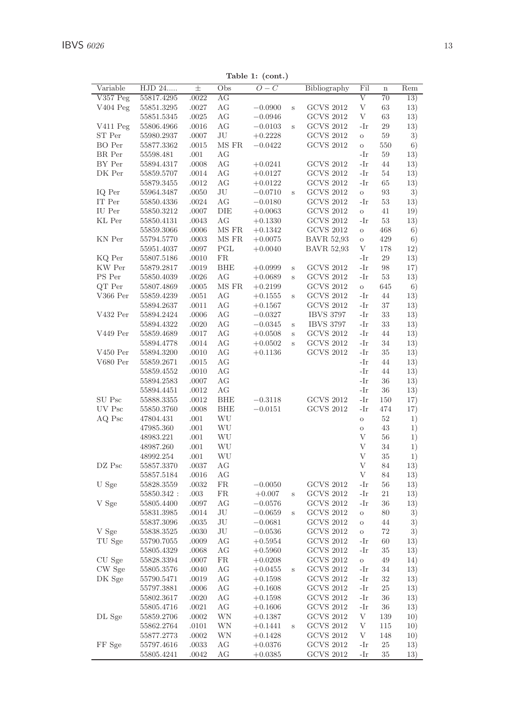Table 1: (cont.)

| Variable      | HJD 24                   | $\pm$          | $\cdots$<br>Obs  | ,<br>$\overline{O}-C$ |         | Bibliography      | Fil                | $\mathbf n$ | Rem      |
|---------------|--------------------------|----------------|------------------|-----------------------|---------|-------------------|--------------------|-------------|----------|
| $V357$ Peg    | 55817.4295               | .0022          | АG               |                       |         |                   | V                  | 70          | 13)      |
| V404 Peg      | 55851.3295               | .0027          | ΑG               | $-0.0900$             | S       | <b>GCVS 2012</b>  | V                  | 63          | 13)      |
|               | 55851.5345               | .0025          | AG               | $-0.0946$             |         | <b>GCVS 2012</b>  | V                  | 63          | 13)      |
| V411 Peg      | 55806.4966               | .0016          | AG               | $-0.0103$             | $\rm s$ | <b>GCVS 2012</b>  | -Ir                | 29          | 13)      |
| ST Per        | 55980.2937               | .0007          | JU               | $+0.2228$             |         | <b>GCVS 2012</b>  | $\circ$            | 59          | 3)       |
| <b>BO</b> Per | 55877.3362               | .0015          | MS FR            | $-0.0422$             |         | <b>GCVS 2012</b>  | $\circ$            | 550         | 6)       |
| BR Per        | 55598.481                | .001           | AG               |                       |         |                   | -Ir                | 59          | 13)      |
| BY Per        | 55894.4317               | .0008          | AG               | $+0.0241$             |         | <b>GCVS 2012</b>  | -Ir                | 44          | 13)      |
| DK Per        | 55859.5707               | .0014          | AG               | $+0.0127$             |         | <b>GCVS 2012</b>  | -Ir                | 54          | 13)      |
|               | 55879.3455               | .0012          | AG               | $+0.0122$             |         | <b>GCVS 2012</b>  | -Ir                | 65          | 13)      |
| IQ Per        | 55964.3487               | .0050          | JU               | $-0.0710$             | $\rm s$ | <b>GCVS 2012</b>  | $\circ$            | 93          | 3)       |
| IT Per        | 55850.4336               | .0024          | AG               | $-0.0180$             |         | <b>GCVS 2012</b>  | -Ir                | 53          | 13)      |
| IU Per        | 55850.3212               | .0007          | DIE              | $+0.0063$             |         | <b>GCVS 2012</b>  | $\circ$            | 41          | 19)      |
| KL Per        | 55850.4131               | .0043          | АG               | $+0.1330$             |         | <b>GCVS 2012</b>  | -Ir                | 53          | 13)      |
|               | 55859.3066               | .0006          | MS FR            | $+0.1342$             |         | <b>GCVS 2012</b>  | $\circ$            | 468         | 6)       |
| KN Per        | 55794.5770               | .0003          | MS FR            | $+0.0075$             |         | <b>BAVR 52,93</b> | $\circ$            | 429         | 6)       |
|               | 55951.4037               | .0097          | PGL              | $+0.0040$             |         | <b>BAVR 52,93</b> | V                  | 178         | 12)      |
| KQ Per        | 55807.5186               | .0010          | <b>FR</b>        |                       |         |                   | -Ir                | 29          | 13)      |
| KW Per        | 55879.2817               | .0019          | <b>BHE</b>       | $+0.0999$             | $\rm s$ | <b>GCVS 2012</b>  | -Ir                | 98          | 17)      |
| PS Per        | 55850.4039               | .0026          | AG               | $+0.0689$             | S       | <b>GCVS 2012</b>  | -Ir                | 53          | 13)      |
| QT Per        | 55807.4869               | .0005          | MS FR            | $+0.2199$             |         | <b>GCVS 2012</b>  | $\circ$            | 645         | 6)       |
| V366 Per      | 55859.4239               | .0051          | АG               | $+0.1555$             | S       | <b>GCVS 2012</b>  | -Ir                | 44          | 13)      |
|               | 55894.2637               | .0011          | AG               | $+0.1567$             |         | <b>GCVS 2012</b>  | -Ir                | 37          | 13)      |
| V432 Per      | 55894.2424               | .0006          | AG               | $-0.0327$             |         | <b>IBVS 3797</b>  | -Ir                | 33          | 13)      |
|               | 55894.4322               | .0020          | AG               | $-0.0345$             | S       | <b>IBVS 3797</b>  | -Ir                | 33          | 13)      |
| V449 Per      | 55859.4689               | .0017          | AG               | $+0.0508$             | s       | <b>GCVS 2012</b>  | -Ir                | 44          | 13)      |
|               | 55894.4778               | .0014          | AG               | $+0.0502$             | Ś       | <b>GCVS 2012</b>  | -Ir                | 34          | 13)      |
| $V450$ Per    | 55894.3200               | .0010          | АG               | $+0.1136$             |         | <b>GCVS 2012</b>  | -Ir                | 35          | 13)      |
| V680 Per      | 55859.2671               | .0015          | АG               |                       |         |                   | -Ir                | 44          | 13)      |
|               | 55859.4552               | .0010          | AG               |                       |         |                   | -Ir                | 44          | 13)      |
|               | 55894.2583               | .0007          | AG               |                       |         |                   | -Ir<br>-Ir         | 36          | 13)      |
| SU Psc        | 55894.4451<br>55888.3355 | .0012<br>.0012 | AG<br><b>BHE</b> | $-0.3118$             |         | <b>GCVS 2012</b>  | -Ir                | 36<br>150   | 13)      |
| UV Psc        | 55850.3760               | .0008          | BHE              | $-0.0151$             |         | <b>GCVS 2012</b>  | -Ir                | 474         | 17)      |
| AQ Psc        | 47804.431                | .001           | WU               |                       |         |                   |                    | 52          | 17)      |
|               | 47985.360                | .001           | WU               |                       |         |                   | $\circ$<br>$\circ$ | 43          | 1)<br>1) |
|               | 48983.221                | .001           | WU               |                       |         |                   | V                  | 56          | 1)       |
|               | 48987.260                | .001           | WU               |                       |         |                   | V                  | 34          | 1)       |
|               | 48992.254                | .001           | WU               |                       |         |                   | $\rm V$            | 35          | 1)       |
| DZ Psc        | 55857.3370               | .0037          | AG               |                       |         |                   | $\overline{V}$     | 84          | 13)      |
|               | 55857.5184               | .0016          | АG               |                       |         |                   | V                  | 84          | 13)      |
| U Sge         | 55828.3559               | .0032          | <b>FR</b>        | $-0.0050$             |         | <b>GCVS 2012</b>  | -Ir                | 56          | 13)      |
|               | 55850.342 :              | .003           | FR               | $+0.007$              | $\,$ s  | <b>GCVS 2012</b>  | -Ir                | 21          | 13)      |
| V Sge         | 55805.4400               | .0097          | АG               | $-0.0576$             |         | <b>GCVS 2012</b>  | -Ir                | 36          | 13)      |
|               | 55831.3985               | .0014          | JU               | $-0.0659$             | S       | <b>GCVS 2012</b>  | $\circ$            | 80          | 3)       |
|               | 55837.3096               | .0035          | JU               | $-0.0681$             |         | <b>GCVS 2012</b>  | $\circ$            | 44          | 3)       |
| V Sge         | 55838.3525               | .0030          | JU               | $-0.0536$             |         | <b>GCVS 2012</b>  | $\circ$            | 72          | 3)       |
| TU Sge        | 55790.7055               | .0009          | AG               | $+0.5954$             |         | <b>GCVS 2012</b>  | -Ir                | 60          | 13)      |
|               | 55805.4329               | .0068          | АG               | $+0.5960$             |         | <b>GCVS 2012</b>  | -Ir                | 35          | 13)      |
| CU Sge        | 55828.3394               | .0007          | FR               | $+0.0208$             |         | <b>GCVS 2012</b>  | $\circ$            | 49          | 14)      |
| CW Sge        | 55805.3576               | .0040          | АG               | $+0.0455$             | $\rm s$ | <b>GCVS 2012</b>  | -Ir                | 34          | 13)      |
| DK Sge        | 55790.5471               | .0019          | AG               | $+0.1598$             |         | <b>GCVS 2012</b>  | -Ir                | 32          | 13)      |
|               | 55797.3881               | .0006          | AG               | $+0.1608$             |         | <b>GCVS 2012</b>  | -Ir                | 25          | 13)      |
|               | 55802.3617               | .0020          | AG               | $+0.1598$             |         | <b>GCVS 2012</b>  | -Ir                | 36          | 13)      |
|               | 55805.4716               | .0021          | AG               | $+0.1606$             |         | <b>GCVS 2012</b>  | -Ir                | 36          | 13)      |
| DL Sge        | 55859.2706               | .0002          | WΝ               | $+0.1387$             |         | <b>GCVS 2012</b>  | V                  | 139         | 10)      |
|               | 55862.2764               | .0101          | WΝ               | $+0.1441$             | S       | <b>GCVS 2012</b>  | $\mathbf{V}$       | 115         | 10)      |
|               | 55877.2773               | .0002          | WN               | $+0.1428$             |         | <b>GCVS 2012</b>  | V                  | 148         | 10)      |
| FF Sge        | 55797.4616               | .0033          | AG               | $+0.0376$             |         | <b>GCVS 2012</b>  | -Ir                | $25\,$      | 13)      |
|               | 55805.4241               | .0042          | АG               | $+0.0385$             |         | <b>GCVS 2012</b>  | -Ir                | 35          | 13)      |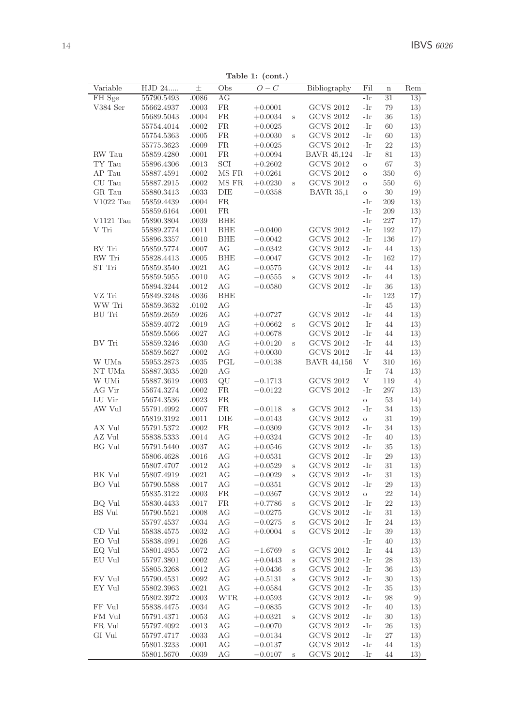Table 1: (cont.)

| Variable            | HJD 24                   | $\pm$          | Obs                    | $O-C$     |   | Bibliography       | Fil            | $\overline{\mathbf{n}}$ | Rem        |
|---------------------|--------------------------|----------------|------------------------|-----------|---|--------------------|----------------|-------------------------|------------|
| FH Sge              | 55790.5493               | .0086          | AG                     |           |   |                    | -Ir            | 31                      | 13)        |
| V384 Ser            | 55662.4937               | .0003          | <b>FR</b>              | $+0.0001$ |   | <b>GCVS 2012</b>   | -Ir            | 79                      | 13)        |
|                     | 55689.5043               | .0004          | FR.                    | $+0.0034$ | S | <b>GCVS 2012</b>   | -Ir            | 36                      | 13)        |
|                     | 55754.4014               | .0002          | FR.                    | $+0.0025$ |   | <b>GCVS 2012</b>   | -Ir            | 60                      | 13)        |
|                     | 55754.5363               | .0005          | <b>FR</b><br><b>FR</b> | $+0.0030$ | S | <b>GCVS 2012</b>   | -Ir            | 60                      | 13)        |
| RW Tau              | 55775.3623               | .0009          |                        | $+0.0025$ |   | <b>GCVS 2012</b>   | -Ir            | 22                      | 13)        |
|                     | 55859.4280               | .0001          | FR.                    | $+0.0094$ |   | BAVR 45,124        | -Ir            | 81                      | 13)        |
| TY Tau              | 55896.4306               | .0013          | SCI                    | $+0.2602$ |   | <b>GCVS 2012</b>   | $\circ$        | 67                      | 3)         |
| AP Tau<br>CU Tau    | 55887.4591               | .0002          | MS FR<br>MS FR         | $+0.0261$ |   | <b>GCVS 2012</b>   | $\circ$        | 350<br>550              | 6)         |
|                     | 55887.2915               | .0002          |                        | $+0.0230$ | S | <b>GCVS 2012</b>   | $\circ$        |                         | 6)         |
| GR Tau<br>V1022 Tau | 55880.3413               | .0033<br>.0004 | DIE<br>FR.             | $-0.0358$ |   | <b>BAVR 35,1</b>   | $\circ$<br>-Ir | 30<br>209               | 19)<br>13) |
|                     | 55859.4439<br>55859.6164 | .0001          | <b>FR</b>              |           |   |                    | -Ir            | 209                     | 13)        |
| $V1121$ Tau         | 55890.3804               | .0039          | <b>BHE</b>             |           |   |                    | -Ir            | 227                     | 17)        |
| V Tri               | 55889.2774               | .0011          | <b>BHE</b>             | $-0.0400$ |   | <b>GCVS 2012</b>   | -Ir            | 192                     | 17)        |
|                     | 55896.3357               | .0010          | <b>BHE</b>             | $-0.0042$ |   | <b>GCVS 2012</b>   | -Ir            | 136                     | 17)        |
| RV Tri              | 55859.5774               | .0007          | АG                     | $-0.0342$ |   | <b>GCVS 2012</b>   | -Ir            | 44                      | 13)        |
| RW Tri              | 55828.4413               | .0005          | <b>BHE</b>             | $-0.0047$ |   | <b>GCVS 2012</b>   | -Ir            | 162                     | 17)        |
| ST Tri              | 55859.3540               | .0021          | AG                     | $-0.0575$ |   | <b>GCVS 2012</b>   | -Ir            | 44                      | 13)        |
|                     | 55859.5955               | .0010          | АG                     | $-0.0555$ | S | <b>GCVS 2012</b>   | -Ir            | 44                      | 13)        |
|                     | 55894.3244               | .0012          | AG                     | $-0.0580$ |   | <b>GCVS 2012</b>   | -Ir            | 36                      | 13)        |
| VZ Tri              | 55849.3248               | .0036          | <b>BHE</b>             |           |   |                    | -Ir            | 123                     | 17)        |
| WW Tri              | 55859.3632               | .0102          | AG                     |           |   |                    | -Ir            | 45                      | 13)        |
| <b>BU</b> Tri       | 55859.2659               | .0026          | AG                     | $+0.0727$ |   | <b>GCVS 2012</b>   | -Ir            | 44                      | 13)        |
|                     | 55859.4072               | .0019          | AG                     | $+0.0662$ | S | <b>GCVS 2012</b>   | -Ir            | 44                      | 13)        |
|                     | 55859.5566               | .0027          | AG                     | $+0.0678$ |   | <b>GCVS 2012</b>   | -Ir            | 44                      | 13)        |
| BV Tri              | 55859.3246               | .0030          | AG                     | $+0.0120$ | S | <b>GCVS 2012</b>   | -Ir            | 44                      | 13)        |
|                     | 55859.5627               | .0002          | АG                     | $+0.0030$ |   | <b>GCVS 2012</b>   | -Ir            | 44                      | 13)        |
| W UMa               | 55953.2873               | .0035          | $_{\rm PGL}$           | $-0.0138$ |   | <b>BAVR 44,156</b> | V              | 310                     | 16)        |
| NT UMa              | 55887.3035               | .0020          | AG                     |           |   |                    | -Ir            | 74                      | 13)        |
| W UMi               | 55887.3619               | .0003          | QU                     | $-0.1713$ |   | <b>GCVS 2012</b>   | V              | 119                     | 4)         |
| AG Vir              | 55674.3274               | $.0002\,$      | FR.                    | $-0.0122$ |   | <b>GCVS 2012</b>   | -Ir            | 297                     | 13)        |
| LU Vir              | 55674.3536               | .0023          | FR.                    |           |   |                    | $\circ$        | 53                      | 14)        |
| AW Vul              | 55791.4992               | .0007          | <b>FR</b>              | $-0.0118$ | S | <b>GCVS 2012</b>   | -Ir            | 34                      | 13)        |
|                     | 55819.3192               | .0011          | DIE                    | $-0.0143$ |   | <b>GCVS 2012</b>   | $\circ$        | 31                      | 19)        |
| AX Vul              | 55791.5372               | .0002          | FR.                    | $-0.0309$ |   | <b>GCVS 2012</b>   | -Ir            | 34                      | 13)        |
| AZ Vul              | 55838.5333               | .0014          | AG                     | $+0.0324$ |   | <b>GCVS 2012</b>   | -Ir            | 40                      | 13)        |
| BG Vul              | 55791.5440               | .0037          | AG                     | $+0.0546$ |   | <b>GCVS 2012</b>   | -Ir            | 35                      | 13)        |
|                     | 55806.4628               | .0016          | AG                     | $+0.0531$ |   | <b>GCVS 2012</b>   | -Ir            | 29                      | 13)        |
|                     | 55807.4707               | .0012          | AG                     | $+0.0529$ | S | <b>GCVS 2012</b>   | -Ir            | 31                      | 13)        |
| BK Vul              | 55807.4919               | .0021          | AG                     | $-0.0029$ | S | <b>GCVS 2012</b>   | -Ir            | 31                      | 13)        |
| <b>BO</b> Vul       | 55790.5588               | .0017          | AG                     | $-0.0351$ |   | <b>GCVS 2012</b>   | -Ir            | 29                      | 13)        |
|                     | 55835.3122               | .0003          | FR.                    | $-0.0367$ |   | <b>GCVS 2012</b>   | $\circ$        | 22                      | 14)        |
| BQ Vul              | 55830.4433               | .0017          | <b>FR</b>              | $+0.7786$ | S | <b>GCVS 2012</b>   | -Ir            | 22                      | 13)        |
| <b>BS</b> Vul       | 55790.5521               | .0008          | AG                     | $-0.0275$ |   | <b>GCVS 2012</b>   | -Ir            | 31                      | 13)        |
|                     | 55797.4537               | .0034          | AG                     | $-0.0275$ | S | <b>GCVS 2012</b>   | -Ir            | 24                      | 13)        |
| CD Vul              | 55838.4575               | .0032          | AG                     | $+0.0004$ | S | <b>GCVS 2012</b>   | -Ir            | 39                      | 13)        |
| EO Vul              | 55838.4991               | .0026          | AG                     |           |   |                    | -Ir            | 40                      | 13)        |
| EQ Vul              | 55801.4955               | .0072          | AG                     | $-1.6769$ | S | <b>GCVS 2012</b>   | -Ir            | 44                      | 13)        |
| EU Vul              | 55797.3801               | .0002          | AG                     | $+0.0443$ | S | <b>GCVS 2012</b>   | -Ir            | 28                      | 13)        |
|                     | 55805.3268               | .0012          | AG                     | $+0.0436$ | S | <b>GCVS 2012</b>   | -Ir            | 36                      | 13)        |
| EV Vul              | 55790.4531               | $.0092\,$      | AG                     | $+0.5131$ | S | <b>GCVS 2012</b>   | -Ir            | 30                      | 13)        |
| EY Vul              | 55802.3963               | .0021          | АG                     | $+0.0584$ |   | <b>GCVS 2012</b>   | -Ir            | 35                      | 13)        |
|                     | 55802.3972               | $.0003$        | WTR                    | $+0.0593$ |   | <b>GCVS 2012</b>   | -Ir            | 98                      | 9)         |
| FF Vul              | 55838.4475               | .0034          | AG                     | $-0.0835$ |   | <b>GCVS 2012</b>   | -Ir            | 40                      | 13)        |
| FM Vul              | 55791.4371               | .0053          | АG                     | $+0.0321$ | S | <b>GCVS 2012</b>   | -Ir            | 30                      | 13)        |
| FR Vul              | 55797.4092               | .0013          | AG                     | $-0.0070$ |   | <b>GCVS 2012</b>   | -Ir            | 26                      | 13)        |
| GI Vul              | 55797.4717               | .0033          | AG                     | $-0.0134$ |   | <b>GCVS 2012</b>   | -Ir            | 27                      | 13)        |
|                     |                          | .0001          | AG                     | $-0.0137$ |   | <b>GCVS 2012</b>   | -Ir            | 44                      | 13)        |
|                     | 55801.3233               |                |                        |           |   |                    |                |                         |            |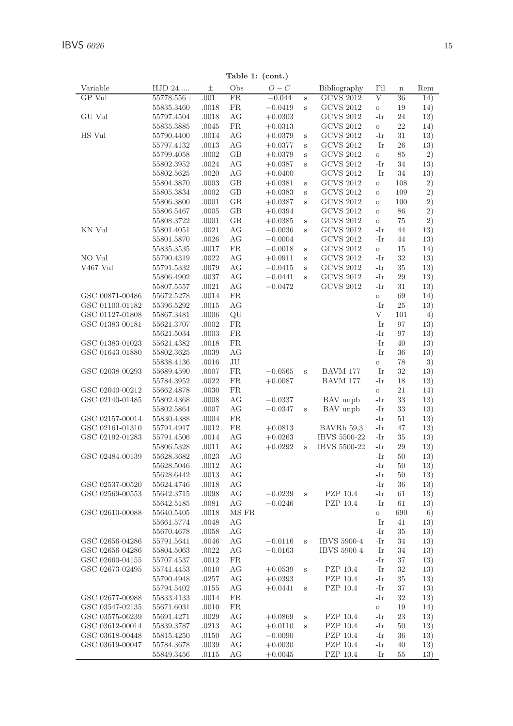| Variable        | HJD 24     | $\pm$ | Obs       | $O-C$     |        | Bibliography       | Fil        | $\overline{\mathbf{n}}$ | Rem |
|-----------------|------------|-------|-----------|-----------|--------|--------------------|------------|-------------------------|-----|
| GP Vul          | 55778.556: | .001  | FR.       | $-0.044$  | Ś      | <b>GCVS 2012</b>   | $_{\rm V}$ | 36                      | 14) |
|                 | 55835.3460 | .0018 | FR        | $-0.0419$ | S      | <b>GCVS 2012</b>   | $\rm{O}$   | 19                      | 14) |
| GU Vul          | 55797.4504 | .0018 | AG        | $+0.0303$ |        | <b>GCVS 2012</b>   | -Ir        | 24                      | 13) |
|                 | 55835.3885 | .0045 | <b>FR</b> | $+0.0313$ |        | <b>GCVS 2012</b>   | $\rm{O}$   | 22                      | 14) |
| HS Vul          | 55790.4400 | .0014 | AG        | $+0.0379$ | S      | <b>GCVS 2012</b>   | -Ir        | 31                      | 13) |
|                 | 55797.4132 | .0013 | AG        | $+0.0377$ | S      | <b>GCVS 2012</b>   | -Ir        | 26                      | 13) |
|                 | 55799.4058 | .0002 | GВ        | $+0.0379$ | S      | <b>GCVS 2012</b>   | $\rm{O}$   | 85                      | 2)  |
|                 | 55802.3952 | .0024 | AG        | $+0.0387$ | Ś      | <b>GCVS 2012</b>   | -Ir        | 34                      | 13) |
|                 | 55802.5625 | .0020 | АG        | $+0.0400$ |        | <b>GCVS 2012</b>   | -Ir        | 34                      | 13) |
|                 | 55804.3870 | .0003 | GB        |           |        | <b>GCVS 2012</b>   | $\rm{O}$   | 108                     | 2)  |
|                 |            |       |           | $+0.0381$ | S      |                    |            |                         |     |
|                 | 55805.3834 | .0002 | GB        | $+0.0383$ | S      | <b>GCVS 2012</b>   | $\circ$    | 109                     | 2)  |
|                 | 55806.3800 | .0001 | GB        | $+0.0387$ | S      | <b>GCVS 2012</b>   | $\circ$    | 100                     | 2)  |
|                 | 55806.5467 | .0005 | GB        | $+0.0394$ |        | <b>GCVS 2012</b>   | $\circ$    | 86                      | 2)  |
|                 | 55808.3722 | .0001 | GB        | $+0.0385$ | S      | <b>GCVS 2012</b>   | $\circ$    | 75                      | 2)  |
| KN Vul          | 55801.4051 | .0021 | АG        | $-0.0036$ | S      | <b>GCVS 2012</b>   | -Ir        | 44                      | 13) |
|                 | 55801.5870 | .0026 | AG        | $-0.0004$ |        | <b>GCVS 2012</b>   | -Ir        | 44                      | 13) |
|                 | 55835.3535 | .0017 | FR.       | $-0.0018$ | S      | <b>GCVS 2012</b>   | $\rm{O}$   | 15                      | 14) |
| NO Vul          | 55790.4319 | .0022 | AG        | $+0.0911$ | S      | <b>GCVS 2012</b>   | -Ir        | 32                      | 13) |
| V467 Vul        | 55791.5332 | .0079 | AG        | $-0.0415$ | S      | <b>GCVS 2012</b>   | -Ir        | 35                      | 13) |
|                 | 55806.4902 | .0037 | АG        | $-0.0441$ | Ś      | <b>GCVS 2012</b>   | -Ir        | 29                      | 13) |
|                 | 55807.5557 | .0021 | АG        | $-0.0472$ |        | <b>GCVS 2012</b>   | -Ir        | 31                      | 13) |
| GSC 00871-00486 | 55672.5278 | .0014 | <b>FR</b> |           |        |                    | $\rm{O}$   | 69                      | 14) |
| GSC 01100-01182 | 55396.5292 | .0015 | AG        |           |        |                    | -Ir        | 25                      | 13) |
| GSC 01127-01808 | 55867.3481 | .0006 | QU        |           |        |                    | V          | 101                     | 4)  |
| GSC 01383-00181 | 55621.3707 | .0002 | FR.       |           |        |                    | -Ir        | 97                      | 13) |
|                 | 55621.5034 | .0003 | FR.       |           |        |                    | -Ir        | 97                      | 13) |
| GSC 01383-01023 | 55621.4382 | .0018 | <b>FR</b> |           |        |                    | -Ir        | 40                      | 13) |
| GSC 01643-01880 | 55802.3625 | .0039 | AG        |           |        |                    | -Ir        | 36                      | 13) |
|                 |            |       | JU        |           |        |                    |            | 78                      |     |
|                 | 55838.4136 | .0016 |           |           |        |                    | $\rm{O}$   |                         | 3)  |
| GSC 02038-00293 | 55689.4590 | .0007 | FR        | $-0.0565$ | S      | BAVM 177           | -Ir        | 32                      | 13) |
|                 | 55784.3952 | .0022 | <b>FR</b> | $+0.0087$ |        | BAVM 177           | -Ir        | 18                      | 13) |
| GSC 02040-00212 | 55662.4878 | .0030 | <b>FR</b> |           |        |                    | $\rm{O}$   | 21                      | 14) |
| GSC 02140-01485 | 55802.4368 | .0008 | AG        | $-0.0337$ |        | BAV unpb           | -Ir        | 33                      | 13) |
|                 | 55802.5864 | .0007 | АG        | $-0.0347$ | $\,$ s | BAV unpb           | -Ir        | 33                      | 13) |
| GSC 02157-00014 | 55830.4388 | .0004 | FR        |           |        |                    | -Ir        | 51                      | 13) |
| GSC 02161-01310 | 55791.4917 | .0012 | <b>FR</b> | $+0.0813$ |        | BAVRb 59,3         | -Ir        | 47                      | 13) |
| GSC 02192-01283 | 55791.4506 | .0014 | AG        | $+0.0263$ |        | IBVS 5500-22       | -Ir        | 35                      | 13) |
|                 | 55806.5328 | .0011 | AG        | $+0.0292$ | S      | IBVS 5500-22       | -Ir        | 29                      | 13) |
| GSC 02484-00139 | 55628.3682 | .0023 | АG        |           |        |                    | -Ir        | 50                      | 13) |
|                 | 55628.5046 | .0012 | АG        |           |        |                    | -Ir        | 50                      | 13) |
|                 | 55628.6442 | .0013 | AG        |           |        |                    | -Ir        | 50                      | 13) |
| GSC 02537-00520 | 55624.4746 | .0018 | AG        |           |        |                    | -Ir        | 36                      | 13) |
| GSC 02569-00553 | 55642.3715 | .0098 | AG        | $-0.0239$ | Ś      | PZP 10.4           | -Ir        | 61                      | 13) |
|                 | 55642.5185 | .0081 | AG        | $-0.0246$ |        | PZP 10.4           | -Ir        | 61                      | 13) |
| GSC 02610-00088 | 55640.5405 | .0018 | MS FR     |           |        |                    | $\circ$    | 690                     | 6)  |
|                 | 55661.5774 | .0048 | АG        |           |        |                    | -Ir        | 41                      | 13) |
|                 | 55670.4678 | .0058 | AG        |           |        |                    | -Ir        | 35                      | 13) |
| GSC 02656-04286 |            |       | AG        |           |        | <b>IBVS 5900-4</b> | -Ir        | 34                      |     |
|                 | 55791.5641 | .0046 |           | $-0.0116$ | S      |                    |            |                         | 13) |
| GSC 02656-04286 | 55804.5063 | .0022 | AG        | $-0.0163$ |        | <b>IBVS 5900-4</b> | -Ir        | 34                      | 13) |
| GSC 02660-04155 | 55707.4537 | .0012 | FR.       |           |        |                    | -Ir        | 37                      | 13) |
| GSC 02673-02495 | 55741.4453 | .0010 | AG        | $+0.0539$ | S      | PZP 10.4           | -Ir        | 32                      | 13) |
|                 | 55790.4948 | .0257 | AG        | $+0.0393$ |        | PZP 10.4           | -Ir        | 35                      | 13) |
|                 | 55794.5402 | .0155 | AG        | $+0.0441$ | S      | PZP 10.4           | -Ir        | 37                      | 13) |
| GSC 02677-00988 | 55833.4133 | .0014 | FR.       |           |        |                    | -Ir        | 32                      | 13) |
| GSC 03547-02135 | 55671.6031 | .0010 | <b>FR</b> |           |        |                    | $\rm{O}$   | 19                      | 14) |
| GSC 03575-06239 | 55691.4271 | .0029 | AG        | $+0.0869$ | S      | PZP 10.4           | -Ir        | 23                      | 13) |
| GSC 03612-00014 | 55839.3787 | .0213 | AG        | $+0.0110$ | S      | PZP 10.4           | -Ir        | 50                      | 13) |
| GSC 03618-00448 | 55815.4250 | .0150 | АG        | $-0.0090$ |        | PZP 10.4           | -Ir        | 36                      | 13) |
| GSC 03619-00047 | 55784.3678 | .0039 | АG        | $+0.0030$ |        | PZP 10.4           | -Ir        | 40                      | 13) |
|                 | 55849.3456 | .0115 | АG        | $+0.0045$ |        | PZP 10.4           | -Ir        | 55                      | 13) |
|                 |            |       |           |           |        |                    |            |                         |     |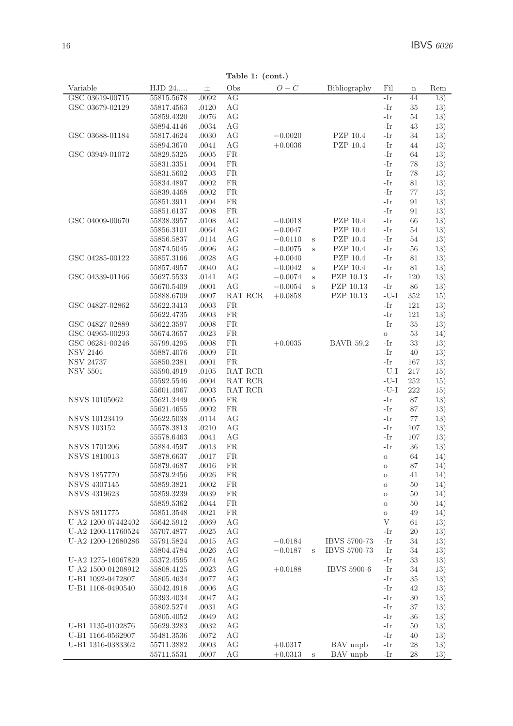Table 1: (cont.)

| Variable             | HJD 24                   | 士              | Obs       | $O-C$     |         | Bibliography       | Fil      | $\mathbf n$ | Rem |
|----------------------|--------------------------|----------------|-----------|-----------|---------|--------------------|----------|-------------|-----|
| GSC 03619-00715      | 55815.5678               | .0092          | AG        |           |         |                    | -Ir      | 44          | 13) |
| GSC 03679-02129      | 55817.4563               | .0120          | AG        |           |         |                    | -Ir      | 35          | 13) |
|                      | 55859.4320               | .0076          | AG        |           |         |                    | -Ir      | 54          | 13) |
|                      | 55894.4146               | .0034          | AG        |           |         |                    | -Ir      | 43          | 13) |
| GSC 03688-01184      | 55817.4624               | .0030          | AG        | $-0.0020$ |         | PZP 10.4           | -Ir      | 34          | 13) |
|                      | 55894.3670               | .0041          | AG        | $+0.0036$ |         | PZP 10.4           | -Ir      | 44          | 13) |
| GSC 03949-01072      | 55829.5325               | .0005          | FR        |           |         |                    | -Ir      | 64          | 13) |
|                      | 55831.3351               | .0004          | <b>FR</b> |           |         |                    | -Ir      | 78          | 13) |
|                      | 55831.5602               | .0003          | FR        |           |         |                    | -Ir      | 78          | 13) |
|                      | 55834.4897               | .0002          | FR        |           |         |                    | -Ir      | 81          | 13) |
|                      | 55839.4468               | .0002          | FR        |           |         |                    | -Ir      | 77          | 13) |
|                      | 55851.3911               | .0004          | FR.       |           |         |                    | -Ir      | 91          | 13) |
|                      | 55851.6137               | .0008          | FR.       |           |         |                    | -Ir      | 91          | 13) |
| GSC 04009-00670      | 55838.3957               | .0108          | AG        | $-0.0018$ |         | PZP 10.4           | -Ir      | 66          | 13) |
|                      | 55856.3101               | .0064          | AG        | $-0.0047$ |         | PZP 10.4           | -Ir      | 54          | 13) |
|                      | 55856.5837               | .0114          | AG        | $-0.0110$ |         | PZP 10.4           | -Ir      | 54          | 13) |
|                      |                          |                | AG        |           | $\rm s$ | PZP 10.4           | -Ir      | 56          |     |
| GSC 04285-00122      | 55874.5045<br>55857.3166 | .0096<br>.0028 | AG        | $-0.0075$ | S       | PZP 10.4           | -Ir      | 81          | 13) |
|                      |                          | .0040          | AG        | $+0.0040$ |         | PZP 10.4           | -Ir      |             | 13) |
|                      | 55857.4957               |                |           | $-0.0042$ | S       |                    |          | 81          | 13) |
| GSC 04339-01166      | 55627.5533               | .0141          | AG        | $-0.0074$ | S       | PZP 10.13          | -Ir      | 120         | 13) |
|                      | 55670.5409               | .0001          | AG        | $-0.0054$ | S       | PZP 10.13          | -Ir      | 86          | 13) |
|                      | 55888.6709               | .0007          | RAT RCR   | $+0.0858$ |         | PZP 10.13          | $-U-I$   | 352         | 15) |
| GSC 04827-02862      | 55622.3413               | .0003          | FR        |           |         |                    | -Ir      | 121         | 13) |
|                      | 55622.4735               | .0003          | <b>FR</b> |           |         |                    | -Ir      | 121         | 13) |
| GSC 04827-02889      | 55622.3597               | .0008          | <b>FR</b> |           |         |                    | -Ir      | 35          | 13) |
| GSC 04965-00293      | 55674.3657               | .0023          | <b>FR</b> |           |         |                    | $\rm{O}$ | 53          | 14) |
| GSC 06281-00246      | 55799.4295               | .0008          | <b>FR</b> | $+0.0035$ |         | <b>BAVR 59,2</b>   | -Ir      | 33          | 13) |
| <b>NSV 2146</b>      | 55887.4076               | .0009          | <b>FR</b> |           |         |                    | -Ir      | 40          | 13) |
| <b>NSV 24737</b>     | 55850.2381               | .0001          | <b>FR</b> |           |         |                    | -Ir      | 167         | 13) |
| <b>NSV 5501</b>      | 55590.4919               | .0105          | RAT RCR   |           |         |                    | $-U-I$   | 217         | 15) |
|                      | 55592.5546               | .0004          | RAT RCR   |           |         |                    | $-U-I$   | 252         | 15) |
|                      | 55601.4967               | .0003          | RAT RCR   |           |         |                    | $-U-I$   | 222         | 15) |
| <b>NSVS 10105062</b> | 55621.3449               | .0005          | FR        |           |         |                    | -Ir      | 87          | 13) |
|                      | 55621.4655               | .0002          | <b>FR</b> |           |         |                    | -Ir      | 87          | 13) |
| <b>NSVS 10123419</b> | 55622.5038               | .0114          | AG        |           |         |                    | -Ir      | 77          | 13) |
| <b>NSVS 103152</b>   | 55578.3813               | .0210          | AG        |           |         |                    | -Ir      | 107         | 13) |
|                      | 55578.6463               | .0041          | AG        |           |         |                    | -Ir      | 107         | 13) |
| <b>NSVS 1701206</b>  | 55884.4597               | .0013          | <b>FR</b> |           |         |                    | -Ir      | 36          | 13) |
| <b>NSVS 1810013</b>  | 55878.6637               | .0017          | <b>FR</b> |           |         |                    | $\circ$  | 64          | 14) |
|                      | 55879.4687               | .0016          | <b>FR</b> |           |         |                    | $\circ$  | 87          | 14) |
| <b>NSVS 1857770</b>  | 55879.2456               | .0026          | FR        |           |         |                    | $\circ$  | 41          | 14) |
| <b>NSVS 4307145</b>  | 55859.3821               | .0002          | FR.       |           |         |                    | $\circ$  | 50          | 14) |
| <b>NSVS 4319623</b>  | 55859.3239               | .0039          | <b>FR</b> |           |         |                    | $\circ$  | 50          | 14) |
|                      | 55859.5362               | .0044          | <b>FR</b> |           |         |                    | $\circ$  | 50          | 14) |
| <b>NSVS 5811775</b>  | 55851.3548               | .0021          | <b>FR</b> |           |         |                    | $\circ$  | 49          | 14) |
| U-A2 1200-07442402   | 55642.5912               | .0069          | AG        |           |         |                    | V        | 61          | 13) |
| U-A2 1200-11760524   | 55707.4877               | .0025          | AG        |           |         |                    | -Ir      | 20          | 13) |
| U-A2 1200-12680286   | 55791.5824               | .0015          | AG        | $-0.0184$ |         | IBVS 5700-73       | -Ir      | 34          | 13) |
|                      | 55804.4784               | .0026          | AG        | $-0.0187$ | $\,$ s  | IBVS 5700-73       | -Ir      | 34          | 13) |
| U-A2 1275-16067829   | 55372.4595               | .0074          | AG        |           |         |                    | -Ir      | 33          | 13) |
| U-A2 1500-01208912   | 55808.4125               | .0023          | AG        | $+0.0188$ |         | <b>IBVS 5900-6</b> | -Ir      | 34          | 13) |
| U-B1 1092-0472807    | 55805.4634               | .0077          | АG        |           |         |                    | -Ir      | 35          | 13) |
| U-B1 1108-0490540    | 55042.4918               | .0006          | AG        |           |         |                    | -Ir      | 42          | 13) |
|                      | 55393.4034               | .0047          | AG        |           |         |                    | -Ir      | 30          | 13) |
|                      | 55802.5274               | .0031          | AG        |           |         |                    | -Ir      | 37          | 13) |
|                      | 55805.4052               | .0049          | AG        |           |         |                    | -Ir      | 36          | 13) |
| U-B1 1135-0102876    | 55629.3283               | .0032          | AG        |           |         |                    | -Ir      | 50          | 13) |
| U-B1 1166-0562907    | 55481.3536               | .0072          | AG        |           |         |                    | -Ir      | 40          | 13) |
| U-B1 1316-0383362    | 55711.3882               | .0003          | AG        | $+0.0317$ |         | BAV unpb           | -Ir      | 28          | 13) |
|                      | 55711.5531               | .0007          | AG        | $+0.0313$ | s       | BAV unpb           | -Ir      | 28          | 13) |
|                      |                          |                |           |           |         |                    |          |             |     |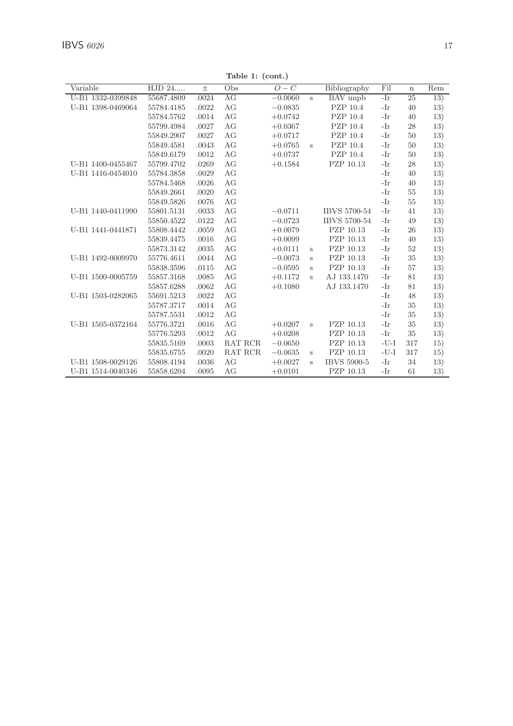| $:(\text{cont.})$ |   |              |     |             |     |
|-------------------|---|--------------|-----|-------------|-----|
| $O-C$             |   | Bibliography | Fil | $\mathbf n$ | Rem |
| $-0.0060$         | s | BAV unpb     | -Ir | 25          | 13) |
| $-0.0835$         |   | PZP 10.4     | -Ir | 40          | 13) |
| $+0.0742$         |   | PZP 10.4     | -Ir | 40          | 13) |
| $+0.0367$         |   | PZP 10.4     | -Ir | 28          | 13) |
| $+0.0717$         |   | PZP 10.4     | -Ir | 50          | 13) |
| $+0.0765$         | s | PZP 10.4     | -Ir | 50          | 13) |
| $+0.0737$         |   | PZP 10.4     | -Ir | 50          | 13) |

Table 1:

| HJD 24<br>$O-C$<br>Variable<br>Obs<br>Bibliography<br>Fil<br>$_{\pm}$<br>$\bf n$<br>U-B1 1332-0399848<br>AG<br>55687.4809<br>.0024<br>BAV unpb<br>-Ir<br>25<br>$-0.0060$<br>$\mathbf{s}$<br>AG<br>PZP 10.4<br>U-B1 1398-0469064<br>55784.4185<br>.0022<br>-Ir<br>40<br>$-0.0835$ | Rem<br>13) |
|----------------------------------------------------------------------------------------------------------------------------------------------------------------------------------------------------------------------------------------------------------------------------------|------------|
|                                                                                                                                                                                                                                                                                  |            |
|                                                                                                                                                                                                                                                                                  |            |
| AG<br>PZP 10.4<br>-Ir<br>55784.5762<br>.0014<br>$+0.0742$<br>40                                                                                                                                                                                                                  | 13)<br>13) |
| AG<br>PZP 10.4<br>-Ir<br>55799.4984<br>.0027<br>$+0.0367$<br>28                                                                                                                                                                                                                  | 13)        |
| AG<br>PZP 10.4<br>$-Ir$<br>50<br>55849.2907<br>.0027<br>$+0.0717$                                                                                                                                                                                                                | 13)        |
| AG<br>PZP 10.4<br>-Ir<br>55849.4581<br>.0043<br>$+0.0765$<br>50                                                                                                                                                                                                                  | 13)        |
| $\,$ s<br>AG<br>.0012<br>PZP 10.4<br>-Ir<br>50<br>55849.6179<br>$+0.0737$                                                                                                                                                                                                        | 13)        |
| AG                                                                                                                                                                                                                                                                               |            |
| U-B1 1400-0455467<br>PZP 10.13<br>-Ir<br>55799.4702<br>.0269<br>$+0.1584$<br>28                                                                                                                                                                                                  | 13)        |
| U-B1 1416-0454010<br>AG<br>55784.3858<br>.0029<br>-Ir<br>40                                                                                                                                                                                                                      | 13)        |
| AG<br>-Ir<br>55784.5468<br>.0026<br>40                                                                                                                                                                                                                                           | 13)        |
| AG<br>-Ir<br>55849.2661<br>.0020<br>55                                                                                                                                                                                                                                           | 13)        |
| AG<br>-Ir<br>55849.5826<br>.0076<br>55                                                                                                                                                                                                                                           | 13)        |
| AG<br>U-B1 1440-0411990<br>IBVS 5700-54<br>-Ir<br>55801.5131<br>.0033<br>$-0.0711$<br>41                                                                                                                                                                                         | 13)        |
| AG<br>IBVS 5700-54<br>-Ir<br>55850.4522<br>$-0.0723$<br>49<br>.0122                                                                                                                                                                                                              | 13)        |
| AG<br>PZP 10.13<br>U-B1 1441-0441871<br>55808.4442<br>.0059<br>$+0.0079$<br>-Ir<br>26                                                                                                                                                                                            | 13)        |
| AG<br>.0016<br>$+0.0099$<br>PZP 10.13<br>-Ir<br>40<br>55839.4475                                                                                                                                                                                                                 | 13)        |
| AG<br>PZP 10.13<br>55873.3142<br>-Ir<br>52<br>.0035<br>$+0.0111$<br>$\, {\bf S}$                                                                                                                                                                                                 | 13)        |
| AG<br>U-B1 1492-0009970<br>55776.4611<br>.0044<br>$-0.0073$<br>PZP 10.13<br>-Ir<br>35<br>s                                                                                                                                                                                       | 13)        |
| AG<br>PZP 10.13<br>-Ir<br>57<br>55838.3596<br>.0115<br>$-0.0595$<br>s                                                                                                                                                                                                            | 13)        |
| AG<br>U-B1 1500-0005759<br>55857.3168<br>$+0.1172$<br>AJ 133.1470<br>-Ir<br>81<br>.0085<br>S                                                                                                                                                                                     | 13)        |
| AG<br>AJ 133.1470<br>-Ir<br>81<br>55857.6288<br>.0062<br>$+0.1080$                                                                                                                                                                                                               | 13)        |
| AG<br>$-Ir$<br>55691.5213<br>48<br>U-B1 1503-0282065<br>.0022                                                                                                                                                                                                                    | 13)        |
| AG<br>-Ir<br>55787.3717<br>.0014<br>35                                                                                                                                                                                                                                           | 13)        |
| AG<br>$-Ir$<br>.0012<br>35<br>55787.5531                                                                                                                                                                                                                                         | 13)        |
| U-B1 1505-0372164<br>AG<br>PZP 10.13<br>-Ir<br>35<br>.0016<br>55776.3721<br>$+0.0207$<br>s                                                                                                                                                                                       | 13)        |
| AG<br>PZP 10.13<br>-Ir<br>35<br>55776.5293<br>.0012<br>$+0.0208$                                                                                                                                                                                                                 | 13)        |
| $-U-I$<br>.0003<br>RAT RCR<br>$-0.0650$<br>PZP 10.13<br>55835.5169<br>317                                                                                                                                                                                                        | 15)        |
| $-U-I$<br>RAT RCR<br>PZP 10.13<br>317<br>55835.6755<br>.0020<br>$-0.0635$<br>s                                                                                                                                                                                                   | 15)        |
| U-B1 1508-0029126<br>AG<br><b>IBVS 5900-5</b><br>-Ir<br>55808.4194<br>.0036<br>$+0.0027$<br>34<br>s                                                                                                                                                                              | 13)        |
| AG<br>PZP 10.13<br>U-B1 1514-0040346<br>55858.6204<br>.0095<br>$+0.0101$<br>-Ir<br>61                                                                                                                                                                                            | 13)        |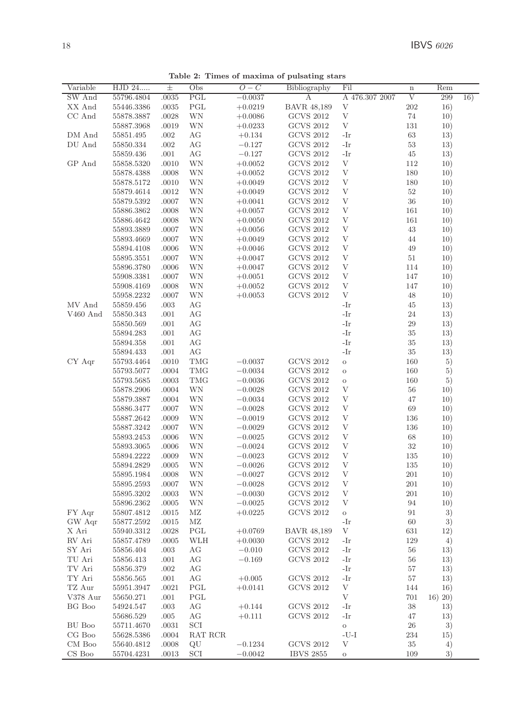| Variable   | $\overline{\mathrm{HJD}}$ 24 | 士         | Obs        | $O-C$     | Bibliography       | Fil            | $\mathbf n$ | Rem     |     |
|------------|------------------------------|-----------|------------|-----------|--------------------|----------------|-------------|---------|-----|
| SW And     | 55796.4804                   | .0035     | PGL        | $-0.0037$ | А                  | A 476.307 2007 | V           | 299     | 16) |
| XX And     | 55446.3386                   | .0035     | PGL        | $+0.0219$ | <b>BAVR 48,189</b> | $\mathbf{V}$   | 202         | 16)     |     |
| CC And     | 55878.3887                   | .0028     | WΝ         | $+0.0086$ | <b>GCVS 2012</b>   | $\mathbf V$    | 74          | 10)     |     |
|            | 55887.3968                   | .0019     | <b>WN</b>  | $+0.0233$ | <b>GCVS 2012</b>   | V              | 131         | 10)     |     |
| DM And     | 55851.495                    | .002      | AG         | $+0.134$  | <b>GCVS 2012</b>   | -Ir            | 63          | 13)     |     |
| DU And     | 55850.334                    | .002      | AG         | $-0.127$  | <b>GCVS 2012</b>   | -Ir            | 53          | 13)     |     |
|            | 55859.436                    | .001      | AG         | $-0.127$  | <b>GCVS 2012</b>   | -Ir            | 45          | 13)     |     |
| GP And     | 55858.5320                   | .0010     | WΝ         | $+0.0052$ | <b>GCVS 2012</b>   | V              | 112         | 10)     |     |
|            |                              |           |            |           |                    | $\mathbf{V}$   |             |         |     |
|            | 55878.4388                   | .0008     | WΝ         | $+0.0052$ | <b>GCVS 2012</b>   | $\mathbf{V}$   | 180         | 10)     |     |
|            | 55878.5172                   | .0010     | WΝ         | $+0.0049$ | <b>GCVS 2012</b>   |                | 180         | 10)     |     |
|            | 55879.4614                   | .0012     | WN         | $+0.0049$ | <b>GCVS 2012</b>   | $\mathbf{V}$   | 52          | 10)     |     |
|            | 55879.5392                   | .0007     | WN         | $+0.0041$ | <b>GCVS 2012</b>   | $\mathbf{V}$   | 36          | 10)     |     |
|            | 55886.3862                   | .0008     | WN         | $+0.0057$ | <b>GCVS 2012</b>   | V              | 161         | 10)     |     |
|            | 55886.4642                   | .0008     | WΝ         | $+0.0050$ | <b>GCVS 2012</b>   | $\mathbf{V}$   | 161         | 10)     |     |
|            | 55893.3889                   | .0007     | WΝ         | $+0.0056$ | <b>GCVS 2012</b>   | V              | 43          | 10)     |     |
|            | 55893.4669                   | .0007     | WΝ         | $+0.0049$ | <b>GCVS 2012</b>   | V              | 44          | 10)     |     |
|            | 55894.4108                   | .0006     | WΝ         | $+0.0046$ | <b>GCVS 2012</b>   | V              | 49          | 10)     |     |
|            | 55895.3551                   | .0007     | WΝ         | $+0.0047$ | <b>GCVS 2012</b>   | V              | 51          | 10)     |     |
|            | 55896.3780                   | .0006     | WΝ         | $+0.0047$ | <b>GCVS 2012</b>   | V              | 114         | 10)     |     |
|            | 55908.3381                   | .0007     | WN         | $+0.0051$ | <b>GCVS 2012</b>   | V              | 147         | 10)     |     |
|            | 55908.4169                   | .0008     | WN         | $+0.0052$ | <b>GCVS 2012</b>   | V              | 147         | 10)     |     |
|            | 55958.2232                   | .0007     | <b>WN</b>  | $+0.0053$ | <b>GCVS 2012</b>   | $\rm V$        | 48          | 10)     |     |
| MV And     | 55859.456                    | $.003$    | AG         |           |                    | -Ir            | 45          | 13)     |     |
| $V460$ And | 55850.343                    | .001      | AG         |           |                    | -Ir            | 24          | 13)     |     |
|            | 55850.569                    | .001      | AG         |           |                    | -Ir            | 29          | 13)     |     |
|            |                              | .001      | AG         |           |                    | -Ir            | 35          |         |     |
|            | 55894.283                    |           |            |           |                    | -Ir            |             | 13)     |     |
|            | 55894.358                    | .001      | AG         |           |                    |                | 35          | 13)     |     |
|            | 55894.433                    | .001      | AG         |           |                    | -Ir            | 35          | 13)     |     |
| CY Aqr     | 55793.4464                   | .0010     | <b>TMG</b> | $-0.0037$ | <b>GCVS 2012</b>   | $\circ$        | 160         | 5)      |     |
|            | 55793.5077                   | .0004     | <b>TMG</b> | $-0.0034$ | <b>GCVS 2012</b>   | $\circ$        | 160         | 5)      |     |
|            | 55793.5685                   | .0003     | <b>TMG</b> | $-0.0036$ | <b>GCVS 2012</b>   | $\circ$        | 160         | 5)      |     |
|            | 55878.2906                   | .0004     | WN         | $-0.0028$ | <b>GCVS 2012</b>   | V              | 56          | 10)     |     |
|            | 55879.3887                   | .0004     | WΝ         | $-0.0034$ | <b>GCVS 2012</b>   | V              | 47          | 10)     |     |
|            | 55886.3477                   | .0007     | WN         | $-0.0028$ | <b>GCVS 2012</b>   | V              | 69          | 10)     |     |
|            | 55887.2642                   | .0009     | WN         | $-0.0019$ | <b>GCVS 2012</b>   | V              | 136         | 10)     |     |
|            | 55887.3242                   | .0007     | WN         | $-0.0029$ | <b>GCVS 2012</b>   | $\mathbf{V}$   | 136         | 10)     |     |
|            | 55893.2453                   | .0006     | WΝ         | $-0.0025$ | <b>GCVS 2012</b>   | V              | 68          | 10)     |     |
|            | 55893.3065                   | .0006     | WΝ         | $-0.0024$ | <b>GCVS 2012</b>   | V              | 32          | 10)     |     |
|            | 55894.2222                   | .0009     | WΝ         | $-0.0023$ | <b>GCVS 2012</b>   | V              | 135         | 10)     |     |
|            | 55894.2829                   | .0005     | WN         | $-0.0026$ | <b>GCVS 2012</b>   | V              | 135         | 10)     |     |
|            | 55895.1984                   | .0008     | WN         | $-0.0027$ | <b>GCVS 2012</b>   | V              | 201         | 10)     |     |
|            | 55895.2593                   | .0007     | WΝ         | $-0.0028$ | <b>GCVS 2012</b>   | V              | 201         | 10)     |     |
|            | 55895.3202                   | .0003     | WΝ         | $-0.0030$ | <b>GCVS 2012</b>   | V              | 201         | 10)     |     |
|            | 55896.2362                   | .0005     | WN         | $-0.0025$ | <b>GCVS 2012</b>   | $\mathbf{V}$   | 94          | 10)     |     |
| FY Aqr     | 55807.4812                   | .0015     | MZ         | $+0.0225$ | <b>GCVS 2012</b>   | $\rm{O}$       | 91          | 3)      |     |
| GW Aqr     | 55877.2592                   | .0015     | MZ         |           |                    | -Ir            | 60          | 3)      |     |
| X Ari      | 55940.3312                   | $.0028\,$ | PGL        | $+0.0769$ | <b>BAVR 48,189</b> | $\mathbf V$    | 631         | 12)     |     |
| RV Ari     | 55857.4789                   | .0005     | WLH        | $+0.0030$ | <b>GCVS 2012</b>   | -Ir            | 129         | 4)      |     |
|            |                              |           |            |           |                    | -Ir            |             |         |     |
| SY Ari     | 55856.404                    | .003      | AG         | $-0.010$  | <b>GCVS 2012</b>   |                | 56          | 13)     |     |
| TU Ari     | 55856.413                    | .001      | AG         | $-0.169$  | GCVS 2012          | -Ir            | 56          | 13)     |     |
| TV Ari     | 55856.379                    | .002      | AG         |           |                    | -Ir            | 57          | 13)     |     |
| TY Ari     | 55856.565                    | .001      | AG         | $+0.005$  | <b>GCVS 2012</b>   | -Ir            | 57          | 13)     |     |
| TZ Aur     | 55951.3947                   | .0021     | PGL        | $+0.0141$ | <b>GCVS 2012</b>   | $\mathbf V$    | 144         | 16)     |     |
| V378 Aur   | 55650.271                    | .001      | PGL        |           |                    | $\rm V$        | 701         | 16) 20) |     |
| BG Boo     | 54924.547                    | $.003$    | AG         | $+0.144$  | <b>GCVS 2012</b>   | -Ir            | 38          | 13)     |     |
|            | 55686.529                    | .005      | AG         | $+0.111$  | <b>GCVS 2012</b>   | -Ir            | 47          | 13)     |     |
| BU Boo     | 55711.4670                   | .0031     | SCI        |           |                    | $\rm _O$       | $\sqrt{26}$ | 3)      |     |
| CG Boo     | 55628.5386                   | .0004     | RAT RCR    |           |                    | $-U-I$         | 234         | 15)     |     |
| CM Boo     | 55640.4812                   | .0008     | QU         | $-0.1234$ | <b>GCVS 2012</b>   | V              | 35          | 4)      |     |
| CS Boo     | 55704.4231                   | .0013     | SCI        | $-0.0042$ | <b>IBVS 2855</b>   | $\circ$        | 109         | 3)      |     |

Table 2: Times of maxima of pulsating stars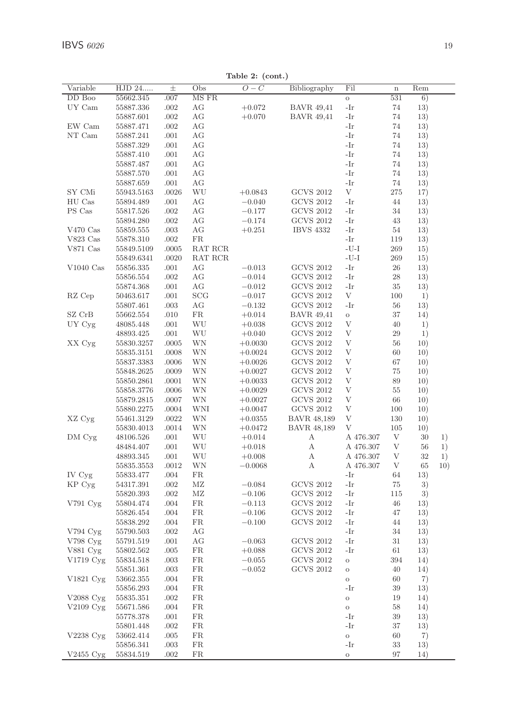Table 2: (cont.)

| Variable    | HJD 24     | $_{\pm}$     | Obs       | $O-C$     | Bibliography       | Fil          | $\mathbf n$  | Rem |     |
|-------------|------------|--------------|-----------|-----------|--------------------|--------------|--------------|-----|-----|
| DD Boo      | 55662.345  | .007         | MS FR     |           |                    | $\rm{O}$     | 531          | 6)  |     |
| UY Cam      | 55887.336  | .002         | АG        | $+0.072$  | <b>BAVR</b> 49,41  | -Ir          | 74           | 13) |     |
|             | 55887.601  | .002         | АG        | $+0.070$  | <b>BAVR</b> 49,41  | -Ir          | 74           | 13) |     |
| EW Cam      | 55887.471  | .002         | АG        |           |                    | -Ir          | 74           | 13) |     |
| NT Cam      | 55887.241  | $.001$       | AG        |           |                    | -Ir          | 74           | 13) |     |
|             | 55887.329  | .001         | AG        |           |                    | -Ir          | 74           | 13) |     |
|             | 55887.410  | .001         | AG        |           |                    | -Ir          | 74           | 13) |     |
|             | 55887.487  | .001         | AG        |           |                    | -Ir          | 74           | 13) |     |
|             | 55887.570  | .001         | AG        |           |                    | -Ir          | 74           | 13) |     |
|             | 55887.659  | .001         | AG        |           |                    | -Ir          | 74           | 13) |     |
| SY CMi      | 55943.5163 | .0026        | WU        | $+0.0843$ | <b>GCVS 2012</b>   | V            | 275          | 17) |     |
| HU Cas      | 55894.489  | .001         | AG        | $-0.040$  | <b>GCVS 2012</b>   | -Ir          | 44           | 13) |     |
| PS Cas      | 55817.526  | .002         | АG        | $-0.177$  | <b>GCVS 2012</b>   | -Ir          | 34           | 13) |     |
|             | 55894.280  | .002         | AG        | $-0.174$  | <b>GCVS 2012</b>   | -Ir          | 43           | 13) |     |
| $V470$ Cas  | 55859.555  | .003         | AG        | $+0.251$  | <b>IBVS 4332</b>   | -Ir          | 54           | 13) |     |
| V823 Cas    | 55878.310  | .002         | <b>FR</b> |           |                    | -Ir          | 119          | 13) |     |
| $V871$ Cas  | 55849.5109 | .0005        | RAT RCR   |           |                    | $-U-I$       | 269          | 15) |     |
|             | 55849.6341 | .0020        | RAT RCR   |           |                    | $-U-I$       | 269          | 15) |     |
| $V1040$ Cas | 55856.335  | .001         | AG        | $-0.013$  | <b>GCVS 2012</b>   | -Ir          | $\sqrt{26}$  | 13) |     |
|             | 55856.554  | .002         | AG        | $-0.014$  | <b>GCVS 2012</b>   | -Ir          | $\sqrt{28}$  | 13) |     |
|             | 55874.368  | .001         | AG        | $-0.012$  | <b>GCVS 2012</b>   | -Ir          | 35           | 13) |     |
| RZ Cep      | 50463.617  | .001         | SCG       | $-0.017$  | <b>GCVS 2012</b>   | $\mathbf V$  | 100          | 1)  |     |
|             | 55807.461  | .003         | AG        | $-0.132$  | <b>GCVS 2012</b>   | -Ir          | 56           | 13) |     |
| SZ CrB      |            |              | FR.       |           | <b>BAVR 49,41</b>  |              | 37           |     |     |
|             | 55662.554  | .010<br>.001 | WU        | $+0.014$  | <b>GCVS 2012</b>   | $\circ$<br>V | 40           | 14) |     |
| UY Cyg      | 48085.448  |              |           | $+0.038$  |                    | $\mathbf{V}$ |              | 1)  |     |
|             | 48893.425  | .001         | WU        | $+0.040$  | <b>GCVS 2012</b>   |              | 29           | 1)  |     |
| XX Cyg      | 55830.3257 | .0005        | WΝ        | $+0.0030$ | <b>GCVS 2012</b>   | V            | 56           | 10) |     |
|             | 55835.3151 | .0008        | WΝ        | $+0.0024$ | <b>GCVS 2012</b>   | V            | 60           | 10) |     |
|             | 55837.3383 | .0006        | WΝ        | $+0.0026$ | <b>GCVS 2012</b>   | V            | 67           | 10) |     |
|             | 55848.2625 | .0009        | WΝ        | $+0.0027$ | <b>GCVS 2012</b>   | V            | 75           | 10) |     |
|             | 55850.2861 | .0001        | WN        | $+0.0033$ | <b>GCVS 2012</b>   | V            | 89           | 10) |     |
|             | 55858.3776 | .0006        | WΝ        | $+0.0029$ | <b>GCVS 2012</b>   | V            | 55           | 10) |     |
|             | 55879.2815 | .0007        | WΝ        | $+0.0027$ | <b>GCVS 2012</b>   | V            | 66           | 10) |     |
|             | 55880.2275 | .0004        | WNI       | $+0.0047$ | <b>GCVS 2012</b>   | V            | 100          | 10) |     |
| XZ Cyg      | 55461.3129 | .0022        | WN        | $+0.0355$ | <b>BAVR 48,189</b> | V            | 130          | 10) |     |
|             | 55830.4013 | .0014        | WΝ        | $+0.0472$ | <b>BAVR 48,189</b> | V            | 105          | 10) |     |
| DM Cyg      | 48106.526  | .001         | WU        | $+0.014$  | А                  | A 476.307    | V            | 30  | 1)  |
|             | 48484.407  | .001         | WU        | $+0.018$  | А                  | A 476.307    | V            | 56  | 1)  |
|             | 48893.345  | .001         | WU        | $+0.008$  | А                  | A 476.307    | V            | 32  | 1)  |
|             | 55835.3553 | .0012        | WΝ        | $-0.0068$ | А                  | A 476.307    | $\mathbf{V}$ | 65  | 10) |
| IV Cyg      | 55833.477  | .004         | FR        |           |                    | -Ir          | 64           | 13) |     |
| KP Cyg      | 54317.391  | .002         | МZ        | $-0.084$  | <b>GCVS 2012</b>   | -Ir          | 75           | 3)  |     |
|             | 55820.393  | .002         | MZ        | $-0.106$  | <b>GCVS 2012</b>   | -Ir          | 115          | 3)  |     |
| V791 Cyg    | 55804.474  | .004         | <b>FR</b> | $-0.113$  | <b>GCVS 2012</b>   | -Ir          | 46           | 13) |     |
|             | 55826.454  | .004         | <b>FR</b> | $-0.106$  | <b>GCVS 2012</b>   | -Ir          | 47           | 13) |     |
|             | 55838.292  | .004         | <b>FR</b> | $-0.100$  | <b>GCVS 2012</b>   | -Ir          | 44           | 13) |     |
| V794 Cyg    | 55790.503  | .002         | AG        |           |                    | -Ir          | 34           | 13) |     |
| V798 Cyg    | 55791.519  | .001         | AG        | $-0.063$  | <b>GCVS 2012</b>   | -Ir          | 31           | 13) |     |
| V881 Cyg    | 55802.562  | .005         | FR.       | $+0.088$  | <b>GCVS 2012</b>   | -Ir          | 61           | 13) |     |
| V1719 Cyg   | 55834.518  | .003         | FR.       | $-0.055$  | <b>GCVS 2012</b>   | $\circ$      | 394          | 14) |     |
|             | 55851.361  | .003         | FR.       | $-0.052$  | <b>GCVS 2012</b>   | $\circ$      | 40           | 14) |     |
| V1821 Cyg   | 53662.355  | .004         | FR.       |           |                    | $\circ$      | 60           | 7)  |     |
|             | 55856.293  | .004         | <b>FR</b> |           |                    | -Ir          | 39           | 13) |     |
| V2088 Cyg   | 55835.351  | .002         | <b>FR</b> |           |                    | $\circ$      | 19           | 14) |     |
| V2109 Cyg   | 55671.586  | .004         | FR.       |           |                    | $\circ$      | $58\,$       | 14) |     |
|             | 55778.378  | .001         | FR.       |           |                    | -Ir          | 39           | 13) |     |
|             | 55801.448  | .002         | FR.       |           |                    | -Ir          | 37           | 13) |     |
| V2238 Cyg   | 53662.414  | .005         | FR.       |           |                    | $\circ$      | 60           | 7)  |     |
|             | 55856.341  | .003         | FR        |           |                    | -Ir          | 33           | 13) |     |
| V2455 Cyg   | 55834.519  | .002         | FR.       |           |                    | $\mathbf O$  | 97           | 14) |     |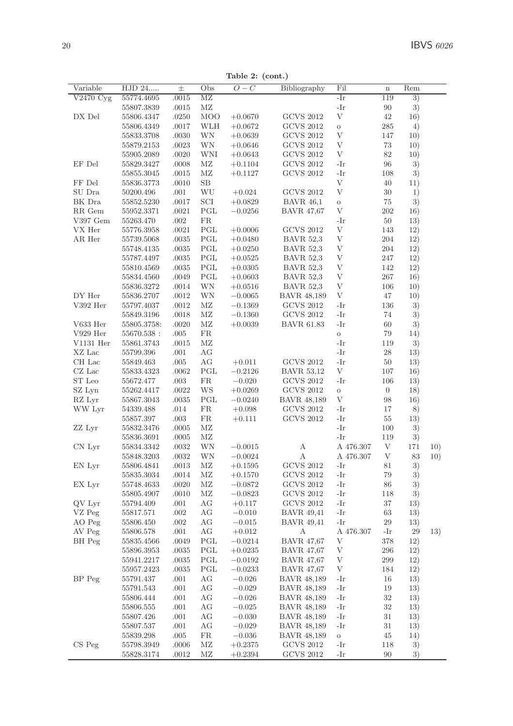Table 2: (cont.)

| Variable                              | $\overline{\mathrm{HJD}}$ 24 | $_{\pm}$ | Obs        | $O-C$     | Bibliography       | Fil       | $\mathbf n$      | Rem |     |
|---------------------------------------|------------------------------|----------|------------|-----------|--------------------|-----------|------------------|-----|-----|
| $\overline{\text{V2}}470 \text{ Cyg}$ | 55774.4695                   | .0015    | MZ         |           |                    | -Ir       | 119              | 3)  |     |
|                                       | 55807.3839                   | .0015    | MZ         |           |                    | -Ir       | 90               | 3)  |     |
| DX Del                                | 55806.4347                   | .0250    | <b>MOO</b> | $+0.0670$ | <b>GCVS 2012</b>   | V         | 42               | 16) |     |
|                                       | 55806.4349                   | .0017    | WLH        | $+0.0672$ | <b>GCVS 2012</b>   | $\circ$   | 285              | 4)  |     |
|                                       |                              | .0030    | WN         |           | <b>GCVS 2012</b>   | V         | 147              |     |     |
|                                       | 55833.3708                   |          |            | $+0.0639$ |                    | V         |                  | 10) |     |
|                                       | 55879.2153                   | .0023    | <b>WN</b>  | $+0.0646$ | <b>GCVS 2012</b>   |           | 73               | 10) |     |
|                                       | 55905.2089                   | .0020    | WNI        | $+0.0643$ | <b>GCVS 2012</b>   | V         | 82               | 10) |     |
| EF Del                                | 55829.3427                   | .0008    | МZ         | $+0.1104$ | <b>GCVS 2012</b>   | -Ir       | 96               | 3)  |     |
|                                       | 55855.3045                   | .0015    | МZ         | $+0.1127$ | <b>GCVS 2012</b>   | -Ir       | 108              | 3)  |     |
| FF Del                                | 55836.3773                   | .0010    | SB         |           |                    | V         | 40               | 11) |     |
| SU Dra                                | 50200.496                    | .001     | WU         | $+0.024$  | <b>GCVS 2012</b>   | V         | 30               | 1)  |     |
| BK Dra                                | 55852.5230                   | .0017    | SCI        | $+0.0829$ | <b>BAVR</b> 46,1   | $\circ$   | 75               | 3)  |     |
| RR Gem                                | 55952.3371                   | .0021    | PGL        | $-0.0256$ | <b>BAVR 47,67</b>  | V         | 202              | 16) |     |
| V397 Gem                              | 55263.470                    | .002     | FR.        |           |                    | -Ir       | 50               | 13) |     |
| VX Her                                | 55776.3958                   | .0021    | PGL        | $+0.0006$ | <b>GCVS 2012</b>   | V         | 143              | 12) |     |
| AR Her                                | 55739.5068                   | .0035    | PGL        | $+0.0480$ | <b>BAVR 52,3</b>   | V         | 204              | 12) |     |
|                                       | 55748.4135                   | .0035    | PGL        | $+0.0250$ | <b>BAVR 52,3</b>   | V         | 204              | 12) |     |
|                                       | 55787.4497                   | .0035    | PGL        | $+0.0525$ | <b>BAVR</b> 52,3   | V         | 247              | 12) |     |
|                                       | 55810.4569                   | .0035    | PGL        | $+0.0305$ | <b>BAVR</b> 52.3   | V         | 142              | 12) |     |
|                                       | 55834.4560                   | .0049    | PGL        | $+0.0603$ | <b>BAVR</b> 52,3   | V         | 267              | 16) |     |
|                                       | 55836.3272                   | .0014    | WΝ         | $+0.0516$ | <b>BAVR</b> 52,3   | V         | 106              | 10) |     |
| DY Her                                |                              |          | WN         |           |                    | V         |                  |     |     |
|                                       | 55836.2707                   | .0012    |            | $-0.0065$ | <b>BAVR 48,189</b> |           | 47               | 10) |     |
| V392 Her                              | 55797.4037                   | .0012    | МZ         | $-0.1369$ | <b>GCVS 2012</b>   | -Ir       | 136              | 3)  |     |
|                                       | 55849.3196                   | .0018    | МZ         | $-0.1360$ | <b>GCVS 2012</b>   | -Ir       | 74               | 3)  |     |
| V633 Her                              | 55805.3758:                  | .0020    | МZ         | $+0.0039$ | <b>BAVR 61.83</b>  | -Ir       | 60               | 3)  |     |
| $V929$ Her                            | $55670.538\,$ :              | .005     | FR.        |           |                    | $\circ$   | 79               | 14) |     |
| V1131 Her                             | 55861.3743                   | .0015    | MZ         |           |                    | -Ir       | 119              | 3)  |     |
| XZ Lac                                | 55799.396                    | .001     | AG         |           |                    | -Ir       | 28               | 13) |     |
| CH Lac                                | 55849.463                    | .005     | AG         | $+0.011$  | <b>GCVS 2012</b>   | -Ir       | 50               | 13) |     |
| $CZ$ Lac                              | 55833.4323                   | .0062    | PGL        | $-0.2126$ | <b>BAVR 53,12</b>  | V         | 107              | 16) |     |
| ST Leo                                | 55672.477                    | .003     | <b>FR</b>  | $-0.020$  | <b>GCVS 2012</b>   | -Ir       | 106              | 13) |     |
| SZ Lyn                                | 55262.4417                   | .0022    | WS         | $+0.0269$ | <b>GCVS 2012</b>   | O         | $\boldsymbol{0}$ | 18) |     |
| RZ Lyr                                | 55867.3043                   | .0035    | PGL        | $-0.0240$ | <b>BAVR 48,189</b> | V         | 98               | 16) |     |
| WW Lyr                                | 54339.488                    | .014     | <b>FR</b>  | $+0.098$  | <b>GCVS 2012</b>   | -Ir       | 17               | 8)  |     |
|                                       | 55857.397                    | .003     | FR.        | $+0.111$  | <b>GCVS 2012</b>   | -Ir       | 55               | 13) |     |
| ZZ Lyr                                | 55832.3476                   | .0005    | МZ         |           |                    | -Ir       | 100              | 3)  |     |
|                                       | 55836.3691                   | .0005    | МZ         |           |                    | -Ir       | 119              | 3)  |     |
| CN Lyr                                | 55834.3342                   | .0032    | WN         | $-0.0015$ | А                  | A 476.307 | V                | 171 | 10) |
|                                       | 55848.3203                   | .0032    | WN         | $-0.0024$ | А                  | A 476.307 | V                | 83  | 10) |
| EN Lyr                                | 55806.4841                   | .0013    | MZ         | $+0.1595$ | <b>GCVS 2012</b>   | -Ir       | 81               | 3)  |     |
|                                       |                              |          | MZ         |           | <b>GCVS 2012</b>   | -Ir       | 79               |     |     |
|                                       | 55835.3034                   | .0014    | MZ         | $+0.1570$ |                    | -Ir       |                  | 3)  |     |
| EX Lyr                                | 55748.4633                   | .0020    | MZ         | $-0.0872$ | <b>GCVS 2012</b>   |           | 86               | 3)  |     |
|                                       | 55805.4907                   | .0010    |            | $-0.0823$ | <b>GCVS 2012</b>   | -Ir       | 118              | 3)  |     |
| QV Lyr                                | 55794.409                    | .001     | AG         | $+0.117$  | <b>GCVS 2012</b>   | -Ir       | 37               | 13) |     |
| VZ Peg                                | 55817.571                    | .002     | AG         | $-0.010$  | <b>BAVR 49,41</b>  | -Ir       | 63               | 13) |     |
| AO Peg                                | 55806.450                    | .002     | АG         | $-0.015$  | <b>BAVR</b> 49,41  | -Ir       | 29               | 13) |     |
| AV Peg                                | 55806.578                    | .001     | AG         | $+0.012$  | А                  | A 476.307 | -Ir              | 29  | 13) |
| BH Peg                                | 55835.4566                   | .0049    | PGL        | $-0.0214$ | <b>BAVR 47,67</b>  | V         | 378              | 12) |     |
|                                       | 55896.3953                   | .0035    | PGL        | $+0.0235$ | <b>BAVR 47,67</b>  | V         | 296              | 12) |     |
|                                       | 55941.2217                   | .0035    | PGL        | $-0.0192$ | <b>BAVR 47,67</b>  | V         | 299              | 12) |     |
|                                       | 55957.2423                   | .0035    | PGL        | $-0.0233$ | <b>BAVR 47,67</b>  | V         | 184              | 12) |     |
| BP Peg                                | 55791.437                    | .001     | AG         | $-0.026$  | <b>BAVR 48,189</b> | -Ir       | 16               | 13) |     |
|                                       | 55791.543                    | .001     | AG         | $-0.029$  | BAVR 48,189        | -Ir       | 19               | 13) |     |
|                                       | 55806.444                    | .001     | AG         | $-0.026$  | BAVR 48,189        | -Ir       | 32               | 13) |     |
|                                       | 55806.555                    | .001     | АG         | $-0.025$  | <b>BAVR 48,189</b> | -Ir       | 32               | 13) |     |
|                                       | 55807.426                    | .001     | АG         | $-0.030$  | BAVR 48,189        | -Ir       | 31               | 13) |     |
|                                       | 55807.537                    | .001     | АG         | $-0.029$  | BAVR 48,189        | -Ir       | 31               | 13) |     |
|                                       | 55839.298                    | .005     | FR.        | $-0.036$  | BAVR 48.189        | $\circ$   | 45               | 14) |     |
| CS Peg                                | 55798.3949                   | .0006    | МZ         | $+0.2375$ | GCVS 2012          | -Ir       | 118              | 3)  |     |
|                                       | 55828.3174                   | .0012    | MZ         | $+0.2394$ | <b>GCVS 2012</b>   | -Ir       | 90               | 3)  |     |
|                                       |                              |          |            |           |                    |           |                  |     |     |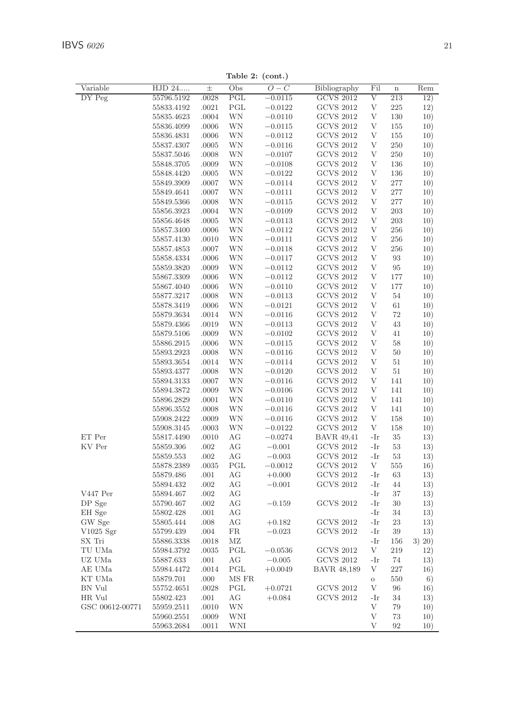Table 2: (cont.)

| Variable        | HJD 24                   | $_{\pm}$       | Obs          | $O-C$                  | Bibliography      | Fil     | $\mathbf n$ | Rem    |
|-----------------|--------------------------|----------------|--------------|------------------------|-------------------|---------|-------------|--------|
| DY Peg          | 55796.5192               | .0028          | $_{\rm PGL}$ | $-0.0115$              | GCVS 2012         | V       | 213         | 12)    |
|                 | 55833.4192               | .0021          | PGL          | $-0.0122$              | GCVS 2012         | V       | 225         | 12)    |
|                 | 55835.4623               | .0004          | WΝ           | $-0.0110$              | <b>GCVS 2012</b>  | V       | 130         | 10)    |
|                 | 55836.4099               | .0006          | WΝ           | $-0.0115$              | <b>GCVS 2012</b>  | V       | 155         | 10)    |
|                 | 55836.4831               | .0006          | WΝ           | $-0.0112$              | <b>GCVS 2012</b>  | V       | 155         | 10)    |
|                 | 55837.4307               | .0005          | WΝ           | $-0.0116$              | <b>GCVS 2012</b>  | V       | 250         | 10)    |
|                 | 55837.5046               | .0008          | WΝ           | $-0.0107$              | GCVS 2012         | V       | 250         | 10)    |
|                 | 55848.3705               | .0009          | WΝ           | $-0.0108$              | <b>GCVS 2012</b>  | V       | 136         | 10)    |
|                 | 55848.4420               | .0005          | WΝ           | $-0.0122$              | <b>GCVS 2012</b>  | V       | 136         | 10)    |
|                 | 55849.3909               | .0007          | WΝ           | $-0.0114$              | <b>GCVS 2012</b>  | V       | 277         | 10)    |
|                 | 55849.4641               |                | WΝ           |                        | <b>GCVS 2012</b>  | V       | 277         |        |
|                 |                          | .0007          | WΝ           | $-0.0111$<br>$-0.0115$ | <b>GCVS 2012</b>  | V       | 277         | 10)    |
|                 | 55849.5366<br>55856.3923 | .0008<br>.0004 | WΝ           | $-0.0109$              | GCVS 2012         | V       | 203         | 10)    |
|                 | 55856.4648               |                | WΝ           |                        | <b>GCVS 2012</b>  | V       | 203         | 10)    |
|                 | 55857.3400               | .0005          | WΝ           | $-0.0113$<br>$-0.0112$ | <b>GCVS 2012</b>  | V       | 256         | 10)    |
|                 |                          | .0006          |              |                        |                   | V       |             | 10)    |
|                 | 55857.4130               | .0010          | WΝ           | $-0.0111$              | <b>GCVS 2012</b>  |         | 256         | 10)    |
|                 | 55857.4853               | .0007          | WΝ           | $-0.0118$              | <b>GCVS 2012</b>  | V       | 256         | 10)    |
|                 | 55858.4334               | .0006          | WΝ           | $-0.0117$              | GCVS 2012         | V       | 93          | 10)    |
|                 | 55859.3820               | .0009          | WΝ           | $-0.0112$              | <b>GCVS 2012</b>  | V       | 95          | 10)    |
|                 | 55867.3309               | .0006          | WΝ           | $-0.0112$              | <b>GCVS 2012</b>  | V       | 177         | 10)    |
|                 | 55867.4040               | .0006          | WΝ           | $-0.0110$              | <b>GCVS 2012</b>  | V       | 177         | 10)    |
|                 | 55877.3217               | .0008          | WΝ           | $-0.0113$              | <b>GCVS 2012</b>  | V       | 54          | 10)    |
|                 | 55878.3419               | .0006          | WΝ           | $-0.0121$              | <b>GCVS 2012</b>  | V       | 61          | 10)    |
|                 | 55879.3634               | .0014          | WΝ           | $-0.0116$              | <b>GCVS 2012</b>  | V       | 72          | 10)    |
|                 | 55879.4366               | .0019          | WΝ           | $-0.0113$              | <b>GCVS 2012</b>  | V       | 43          | 10)    |
|                 | 55879.5106               | .0009          | WΝ           | $-0.0102$              | <b>GCVS 2012</b>  | V       | 41          | 10)    |
|                 | 55886.2915               | .0006          | WΝ           | $-0.0115$              | <b>GCVS 2012</b>  | V       | 58          | 10)    |
|                 | 55893.2923               | .0008          | WΝ           | $-0.0116$              | <b>GCVS 2012</b>  | V       | 50          | 10)    |
|                 | 55893.3654               | .0014          | WΝ           | $-0.0114$              | <b>GCVS 2012</b>  | V       | 51          | 10)    |
|                 | 55893.4377               | .0008          | WΝ           | $-0.0120$              | <b>GCVS 2012</b>  | V       | 51          | 10)    |
|                 | 55894.3133               | .0007          | WΝ           | $-0.0116$              | <b>GCVS 2012</b>  | V       | 141         | 10)    |
|                 | 55894.3872               | .0009          | WΝ           | $-0.0106$              | <b>GCVS 2012</b>  | V       | 141         | 10)    |
|                 | 55896.2829               | .0001          | WΝ           | $-0.0110$              | <b>GCVS 2012</b>  | V       | 141         | 10)    |
|                 | 55896.3552               | .0008          | WΝ           | $-0.0116$              | <b>GCVS 2012</b>  | V       | 141         | 10)    |
|                 | 55908.2422               | .0009          | WΝ           | $-0.0116$              | <b>GCVS 2012</b>  | V       | 158         | 10)    |
|                 | 55908.3145               | .0003          | WΝ           | $-0.0122$              | <b>GCVS 2012</b>  | V       | 158         | 10)    |
| ET Per          | 55817.4490               | .0010          | АG           | $-0.0274$              | <b>BAVR</b> 49,41 | -Ir     | 35          | 13)    |
| KV Per          | 55859.306                | .002           | АG           | $-0.001$               | GCVS 2012         | -Ir     | 53          | 13)    |
|                 | 55859.553                | .002           | АG           | $-0.003$               | GCVS 2012         | -Ir     | 53          | 13)    |
|                 | 55878.2389               | .0035          | PGL          | $-0.0012$              | <b>GCVS 2012</b>  | V       | 555         | 16)    |
|                 | 55879.486                | .001           | AG           | $+0.000$               | <b>GCVS 2012</b>  | -Ir     | 63          | 13)    |
|                 | 55894.432                | .002           | АG           | $-0.001$               | <b>GCVS 2012</b>  | -Ir     | 44          | 13)    |
| V447 Per        | 55894.467                | .002           | АG           |                        |                   | -Ir     | 37          | 13)    |
| DP Sge          | 55790.467                | .002           | АG           | $-0.159$               | <b>GCVS 2012</b>  | -Ir     | 30          | 13)    |
| EH Sge          | 55802.428                | .001           | АG           |                        |                   | -Ir     | 34          | 13)    |
| GW Sge          | 55805.444                | .008           | АG           | $+0.182$               | <b>GCVS 2012</b>  | -Ir     | 23          | 13)    |
| $V1025$ Sgr     | 55799.439                | .004           | FR           | $-0.023$               | <b>GCVS 2012</b>  | -Ir     | 39          | 13)    |
| SX Tri          | 55886.3338               | .0018          | ΜZ           |                        |                   | -Ir     | 156         | 3) 20) |
| TU UMa          | 55984.3792               | .0035          | PGL          | $-0.0536$              | <b>GCVS 2012</b>  | V       | 219         | 12)    |
| UZ UMa          | 55887.633                | .001           | АG           | $-0.005$               | <b>GCVS 2012</b>  | -Ir     | 74          | 13)    |
| AE UMa          | 55984.4472               | .0014          | PGL          | $+0.0049$              | BAVR 48,189       | V       | 227         | 16)    |
| KT UMa          | 55879.701                | .000           | MS FR        |                        |                   | $\circ$ | 550         | 6)     |
| BN Vul          | 55752.4651               | .0028          | PGL          | $+0.0721$              | <b>GCVS 2012</b>  | V       | 96          | 16)    |
| HR Vul          | 55802.423                | .001           | АG           | $+0.084$               | <b>GCVS 2012</b>  | -Ir     | 34          | 13)    |
| GSC 00612-00771 | 55959.2511               | .0010          | WΝ           |                        |                   | V       | 79          | 10)    |
|                 | 55960.2551               | .0009          | WNI          |                        |                   | V       | 73          | 10)    |
|                 | 55963.2684               | .0011          | WNI          |                        |                   | V       | 92          | 10)    |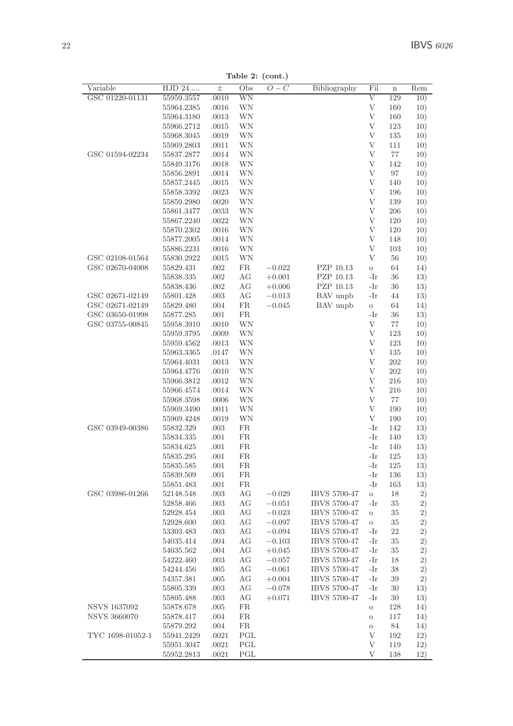| Variable            | HJD 24                 | $_{\pm}$     | Obs              | $O-C$    | Bibliography        | Fil            | $\mathbf n$ | Rem        |
|---------------------|------------------------|--------------|------------------|----------|---------------------|----------------|-------------|------------|
| GSC 01220-01131     | 55959.3557             | .0010        | WN               |          |                     | $_{\rm V}$     | 129         | 10)        |
|                     | 55964.2385             | .0016        | WN               |          |                     | V              | 160         | 10)        |
|                     | 55964.3180             | .0013        | WN               |          |                     | V              | 160         | 10)        |
|                     | 55966.2712             | .0015        | WN               |          |                     | V              | 123         | 10)        |
|                     | 55968.3045             | .0019        | WN               |          |                     | V              | 135         | 10)        |
|                     | 55969.2803             | .0011        | WN               |          |                     | V              | 111         | 10)        |
| GSC 01594-02234     | 55837.2877             | .0014        | WN               |          |                     | V              | 77          | 10)        |
|                     | 55849.3176             | .0018        | WN               |          |                     | V              | 142         | 10)        |
|                     | 55856.2891             | .0014        | WN               |          |                     | $\overline{V}$ | 97          | 10)        |
|                     | 55857.2445             | .0015        | WN               |          |                     | V              | 140         | 10)        |
|                     | 55858.3392             | .0023        | WN               |          |                     | V              | 196         | 10)        |
|                     | 55859.2980             | .0020        | WN               |          |                     | V              | 139         | 10)        |
|                     | 55861.3477             | .0033        | WN               |          |                     | V              | 206         | 10)        |
|                     | 55867.2240             | .0022        | WN               |          |                     | V              | 120         | 10)        |
|                     | 55870.2302             | .0016        | WN               |          |                     | V              | 120         | 10)        |
|                     | 55877.2005             | .0014        | WN               |          |                     | V              | 148         | 10)        |
|                     | 55886.2231             | .0016        | WN               |          |                     | V              | 103         | 10)        |
| GSC 02108-01564     | 55830.2922             | .0015        | WN               |          |                     | V              | 56          | 10)        |
| GSC 02670-04008     | 55829.431              | .002         | <b>FR</b>        | $-0.022$ | PZP 10.13           | $\circ$        | 64          | 14)        |
|                     | 55838.335              | .002         | AG               | $+0.001$ | PZP 10.13           | -Ir            | 36          | 13)        |
|                     | 55838.436              | .002         | AG               | $+0.006$ | PZP 10.13           | -Ir            | 36          | 13)        |
| GSC 02671-02149     | 55801.428              | .003         | АG               | $-0.013$ | BAV unpb            | -Ir            | 44          | 13)        |
| GSC 02671-02149     | 55829.480              | .004         | <b>FR</b>        | $-0.045$ | BAV unpb            | $\mathcal O$   | 64          | 14)        |
| GSC 03650-01998     | 55877.285              | .001         | FR.              |          |                     | -Ir            | 36          | 13)        |
| GSC 03755-00845     | 55958.3910             | .0010        | WN               |          |                     | V              | 77          | 10)        |
|                     | 55959.3795             | .0009        | WN               |          |                     | V              | 123         | 10)        |
|                     | 55959.4562             | .0013        | WN               |          |                     | V              | 123         | 10)        |
|                     | 55963.3365             | .0147        | WN               |          |                     | V              | 135         | 10)        |
|                     | 55964.4031             | .0013        | WN               |          |                     | $\bar{V}$      | 202         | 10)        |
|                     | 55964.4776             | .0010        | WN               |          |                     | $\bar{V}$      | 202         | 10)        |
|                     | 55966.3812             | .0012        | WN               |          |                     | V              | 216         | 10)        |
|                     | 55966.4574             | .0014        | WN               |          |                     | V              | 216         | 10)        |
|                     | 55968.3598             | .0006        | WN               |          |                     | V              | 77          | 10)        |
|                     | 55969.3490             | .0011        | WN               |          |                     | V              | 190         | 10)        |
|                     | 55969.4248             | .0019        | WN               |          |                     | V<br>-Ir       | 190         | 10)        |
| GSC 03949-00386     | 55832.329              | .003         | FR.              |          |                     |                | 142         | 13)        |
|                     | 55834.335              | .001         | FR.<br><b>FR</b> |          |                     | -Ir<br>-Ir     | 140         | 13)        |
|                     | 55834.625<br>55835.295 | .001         | <b>FR</b>        |          |                     | -Ir            | 140<br>125  | 13)        |
|                     | 55835.585              | .001<br>.001 | FR.              |          |                     | -Ir            | 125         | 13)        |
|                     | 55839.509              | .001         | FR               |          |                     | -Ir            | 136         | 13)<br>13) |
|                     | 55851.483              | .001         | FR.              |          |                     | -Ir            | 163         | 13)        |
| GSC 03986-01266     | 52148.548              | .003         | AG               | $-0.029$ | IBVS 5700-47        | $\circ$        | 18          | $_{2)}$    |
|                     | 52858.466              | .003         | AG               | $-0.051$ | <b>IBVS 5700-47</b> | -Ir            | 35          | 2)         |
|                     | 52928.454              | .003         | AG               | $-0.023$ | IBVS 5700-47        | $\circ$        | 35          | $_{2)}$    |
|                     | 52928.600              | .003         | AG               | $-0.097$ | IBVS 5700-47        | $\circ$        | 35          | 2)         |
|                     | 53303.483              | .003         | AG               | $-0.094$ | IBVS 5700-47        | -Ir            | $^{22}$     | 2)         |
|                     | 54035.414              | .004         | AG               | $-0.103$ | IBVS 5700-47        | -Ir            | 35          | 2)         |
|                     | 54035.562              | .004         | AG               | $+0.045$ | IBVS 5700-47        | -Ir            | 35          | 2)         |
|                     | 54222.460              | .003         | AG               | $-0.057$ | IBVS 5700-47        | -Ir            | 18          | 2)         |
|                     | 54244.456              | .005         | AG               | $-0.061$ | IBVS 5700-47        | -Ir            | 38          | 2)         |
|                     | 54357.381              | .005         | AG               | $+0.004$ | IBVS 5700-47        | -Ir            | 39          | 2)         |
|                     | 55805.339              | .003         | AG               | $-0.078$ | <b>IBVS 5700-47</b> | -Ir            | 30          | 13)        |
|                     | 55805.488              | .003         | AG               | $+0.071$ | IBVS 5700-47        | -Ir            | 30          | 13)        |
| <b>NSVS 1637092</b> | 55878.678              | .005         | <b>FR</b>        |          |                     | $\circ$        | 128         | 14)        |
| <b>NSVS 3660070</b> | 55878.417              | .004         | FR               |          |                     | $\circ$        | 117         | 14)        |
|                     | 55879.292              | .004         | <b>FR</b>        |          |                     | $\circ$        | 84          | 14)        |
| TYC 1698-01052-1    | 55941.2429             | .0021        | PGL              |          |                     | V              | 192         | 12)        |
|                     | 55951.3047             | .0021        | PGL              |          |                     | V              | 119         | 12)        |
|                     | 55952.2813             | .0021        | PGL              |          |                     | V              | 138         | 12)        |

Table 2: (cont.)